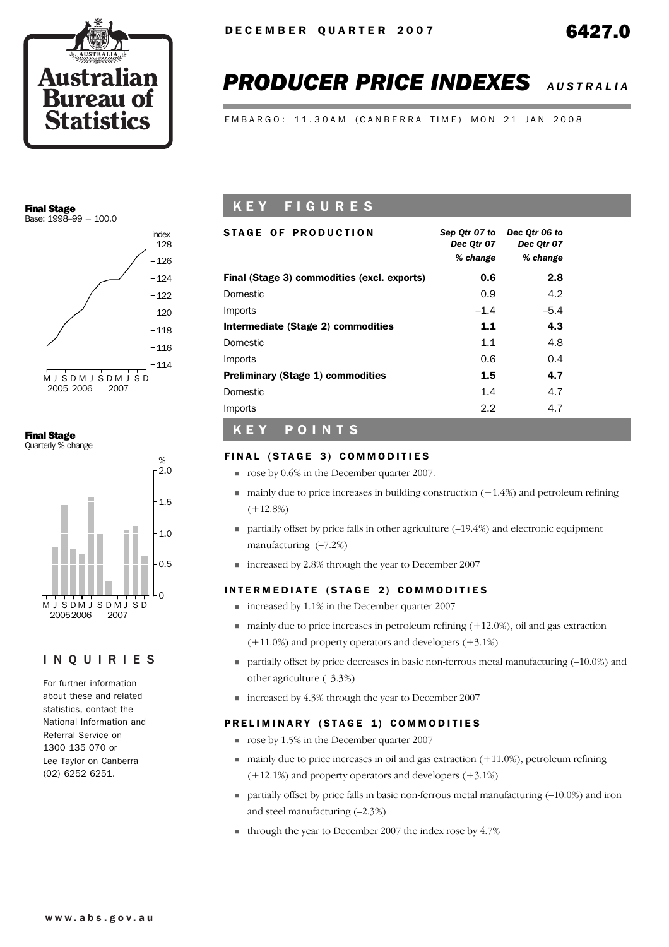

# *PRODUCER PRICE INDEXES AUSTRALIA*

EMBARGO: 11.30AM (CANBERRA TIME) MON 21 JAN 2008

#### Final Stage Base:  $1998 - 99 = 100.0$



Final Stage Quarterly % change



## INQUIRIES

For further information about these and related statistics, contact the National Information and Referral Service on 1300 135 070 or Lee Taylor on Canberra (02) 6252 6251.

# K E Y F I G U R E S

| <b>STAGE OF PRODUCTION</b>                  | Sep Qtr 07 to<br>Dec Otr 07<br>% change | Dec Otr 06 to<br>Dec Otr 07<br>% change |
|---------------------------------------------|-----------------------------------------|-----------------------------------------|
| Final (Stage 3) commodities (excl. exports) | 0.6                                     | 2.8                                     |
| Domestic                                    | 0.9                                     | 4.2                                     |
| Imports                                     | $-1.4$                                  | $-5.4$                                  |
| Intermediate (Stage 2) commodities          | 1.1                                     | 4.3                                     |
| Domestic                                    | 1.1                                     | 4.8                                     |
| Imports                                     | 0.6                                     | 0.4                                     |
| <b>Preliminary (Stage 1) commodities</b>    | 1.5                                     | 4.7                                     |
| Domestic                                    | 1.4                                     | 4.7                                     |
| Imports                                     | 2.2                                     | 4.7                                     |
|                                             |                                         |                                         |

## K E Y POINTS

#### FINAL (STAGE 3) COMMODITIES

- **p** rose by 0.6% in the December quarter 2007.
- $\blacksquare$  mainly due to price increases in building construction (+1.4%) and petroleum refining  $(+12.8%)$
- $\blacksquare$  partially offset by price falls in other agriculture  $(-19.4%)$  and electronic equipment manufacturing (–7.2%)
- ! increased by 2.8% through the year to December 2007

#### INTERMEDIATE (STAGE 2) COMMODITIES

- increased by 1.1% in the December quarter 2007
- $\blacksquare$  mainly due to price increases in petroleum refining  $(+12.0\%)$ , oil and gas extraction (+11.0%) and property operators and developers (+3.1%)
- $\blacksquare$  partially offset by price decreases in basic non-ferrous metal manufacturing  $(-10.0\%)$  and other agriculture (–3.3%)
- increased by 4.3% through the year to December 2007

#### PRELIMINARY (STAGE 1) COMMODITIES

- **p** rose by 1.5% in the December quarter 2007
- $\blacksquare$  mainly due to price increases in oil and gas extraction (+11.0%), petroleum refining (+12.1%) and property operators and developers (+3.1%)
- $\blacksquare$  partially offset by price falls in basic non-ferrous metal manufacturing  $(-10.0\%)$  and iron and steel manufacturing (–2.3%)
- $\blacksquare$  through the year to December 2007 the index rose by 4.7%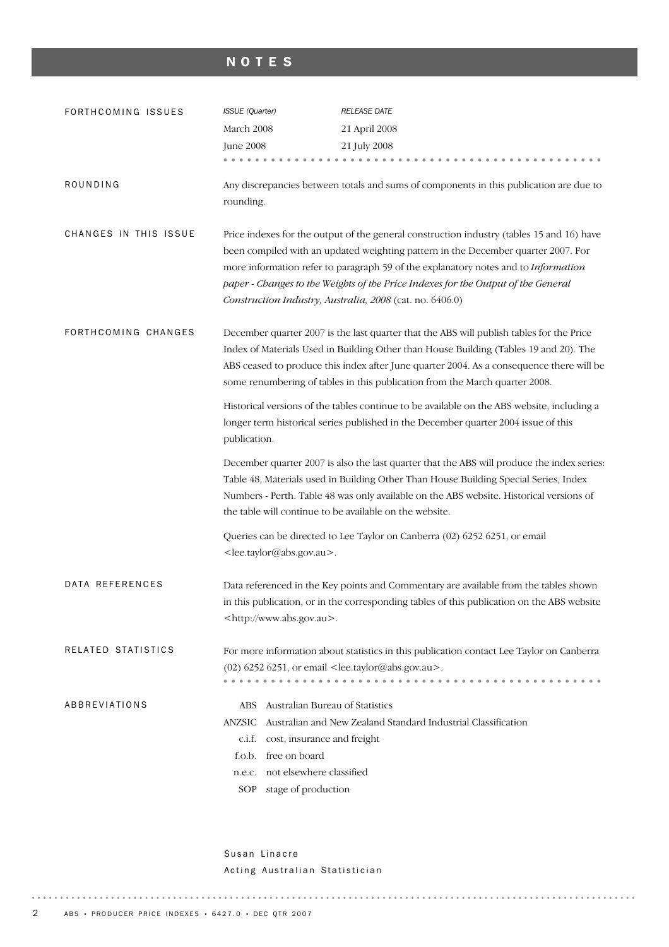# NOTES

| FORTHCOMING ISSUES    | <b>ISSUE</b> (Quarter)                                                                                                                                                                           | RELEASE DATE                                                                                                                                                                                                                                                                                                                                                                                                          |  |  |  |  |  |  |
|-----------------------|--------------------------------------------------------------------------------------------------------------------------------------------------------------------------------------------------|-----------------------------------------------------------------------------------------------------------------------------------------------------------------------------------------------------------------------------------------------------------------------------------------------------------------------------------------------------------------------------------------------------------------------|--|--|--|--|--|--|
|                       | March 2008                                                                                                                                                                                       | 21 April 2008                                                                                                                                                                                                                                                                                                                                                                                                         |  |  |  |  |  |  |
|                       | <b>June 2008</b>                                                                                                                                                                                 | 21 July 2008                                                                                                                                                                                                                                                                                                                                                                                                          |  |  |  |  |  |  |
|                       |                                                                                                                                                                                                  |                                                                                                                                                                                                                                                                                                                                                                                                                       |  |  |  |  |  |  |
| ROUNDING              | rounding.                                                                                                                                                                                        | Any discrepancies between totals and sums of components in this publication are due to                                                                                                                                                                                                                                                                                                                                |  |  |  |  |  |  |
| CHANGES IN THIS ISSUE |                                                                                                                                                                                                  | Price indexes for the output of the general construction industry (tables 15 and 16) have<br>been compiled with an updated weighting pattern in the December quarter 2007. For<br>more information refer to paragraph 59 of the explanatory notes and to Information<br>paper - Changes to the Weights of the Price Indexes for the Output of the General<br>Construction Industry, Australia, 2008 (cat. no. 6406.0) |  |  |  |  |  |  |
| FORTHCOMING CHANGES   |                                                                                                                                                                                                  | December quarter 2007 is the last quarter that the ABS will publish tables for the Price<br>Index of Materials Used in Building Other than House Building (Tables 19 and 20). The<br>ABS ceased to produce this index after June quarter 2004. As a consequence there will be<br>some renumbering of tables in this publication from the March quarter 2008.                                                          |  |  |  |  |  |  |
|                       | Historical versions of the tables continue to be available on the ABS website, including a<br>longer term historical series published in the December quarter 2004 issue of this<br>publication. |                                                                                                                                                                                                                                                                                                                                                                                                                       |  |  |  |  |  |  |
|                       |                                                                                                                                                                                                  | December quarter 2007 is also the last quarter that the ABS will produce the index series:<br>Table 48, Materials used in Building Other Than House Building Special Series, Index<br>Numbers - Perth. Table 48 was only available on the ABS website. Historical versions of<br>the table will continue to be available on the website.                                                                              |  |  |  |  |  |  |
|                       | <lee.taylor@abs.gov.au>.</lee.taylor@abs.gov.au>                                                                                                                                                 | Queries can be directed to Lee Taylor on Canberra (02) 6252 6251, or email                                                                                                                                                                                                                                                                                                                                            |  |  |  |  |  |  |
| DATA REFERENCES       | <http: www.abs.gov.au="">.</http:>                                                                                                                                                               | Data referenced in the Key points and Commentary are available from the tables shown<br>in this publication, or in the corresponding tables of this publication on the ABS website                                                                                                                                                                                                                                    |  |  |  |  |  |  |
| RELATED STATISTICS    | $(02)$ 6252 6251, or email <lee.taylor@abs.gov.au>.</lee.taylor@abs.gov.au>                                                                                                                      | For more information about statistics in this publication contact Lee Taylor on Canberra                                                                                                                                                                                                                                                                                                                              |  |  |  |  |  |  |
| ABBREVIATIONS         | Australian Bureau of Statistics<br>ABS<br>ANZSIC<br>c.i.f.<br>cost, insurance and freight<br>f.o.b. free on board<br>n.e.c. not elsewhere classified<br>SOP stage of production                  | Australian and New Zealand Standard Industrial Classification                                                                                                                                                                                                                                                                                                                                                         |  |  |  |  |  |  |

Susan Linacre Acting Australian Statistician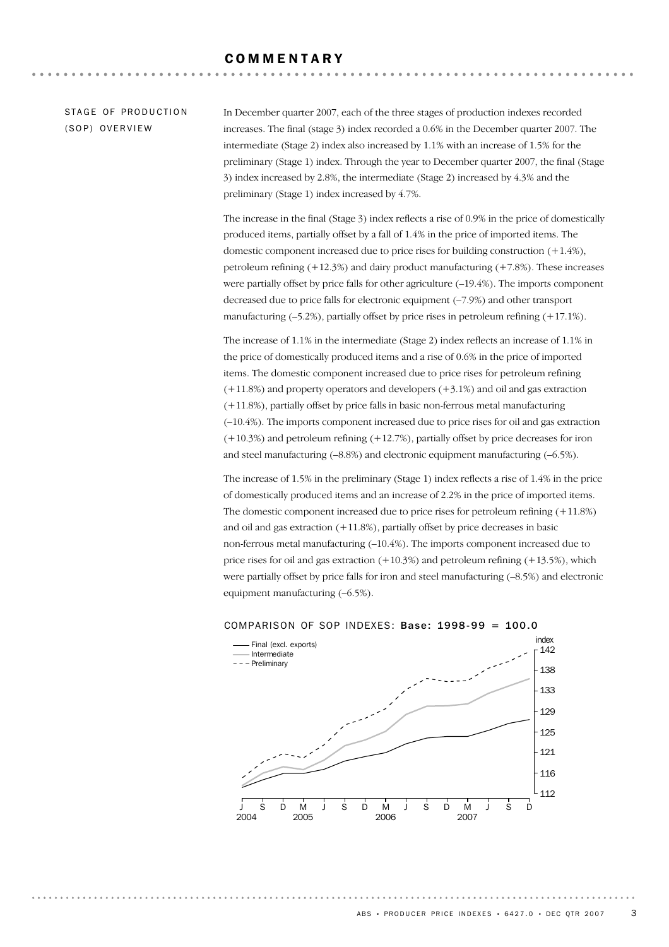#### COMMENTARY

#### STAGE OF PRODUCTION (SOP) OVERVIEW

In December quarter 2007, each of the three stages of production indexes recorded increases. The final (stage 3) index recorded a 0.6% in the December quarter 2007. The intermediate (Stage 2) index also increased by 1.1% with an increase of 1.5% for the preliminary (Stage 1) index. Through the year to December quarter 2007, the final (Stage 3) index increased by 2.8%, the intermediate (Stage 2) increased by 4.3% and the preliminary (Stage 1) index increased by 4.7%.

The increase in the final (Stage 3) index reflects a rise of 0.9% in the price of domestically produced items, partially offset by a fall of 1.4% in the price of imported items. The domestic component increased due to price rises for building construction (+1.4%), petroleum refining  $(+12.3%)$  and dairy product manufacturing  $(+7.8%)$ . These increases were partially offset by price falls for other agriculture  $(-19.4\%)$ . The imports component decreased due to price falls for electronic equipment (–7.9%) and other transport manufacturing  $(-5.2\%)$ , partially offset by price rises in petroleum refining  $(+17.1\%)$ .

The increase of 1.1% in the intermediate (Stage 2) index reflects an increase of 1.1% in the price of domestically produced items and a rise of 0.6% in the price of imported items. The domestic component increased due to price rises for petroleum refining  $(+11.8\%)$  and property operators and developers  $(+3.1\%)$  and oil and gas extraction (+11.8%), partially offset by price falls in basic non-ferrous metal manufacturing (–10.4%). The imports component increased due to price rises for oil and gas extraction (+10.3%) and petroleum refining (+12.7%), partially offset by price decreases for iron and steel manufacturing  $(-8.8\%)$  and electronic equipment manufacturing  $(-6.5\%)$ .

The increase of 1.5% in the preliminary (Stage 1) index reflects a rise of 1.4% in the price of domestically produced items and an increase of 2.2% in the price of imported items. The domestic component increased due to price rises for petroleum refining (+11.8%) and oil and gas extraction  $(+11.8%)$ , partially offset by price decreases in basic non-ferrous metal manufacturing (–10.4%). The imports component increased due to price rises for oil and gas extraction  $(+10.3%)$  and petroleum refining  $(+13.5%)$ , which were partially offset by price falls for iron and steel manufacturing (–8.5%) and electronic equipment manufacturing (–6.5%).



#### COMPARISON OF SOP INDEXES: Base: 1998-99 = 100.0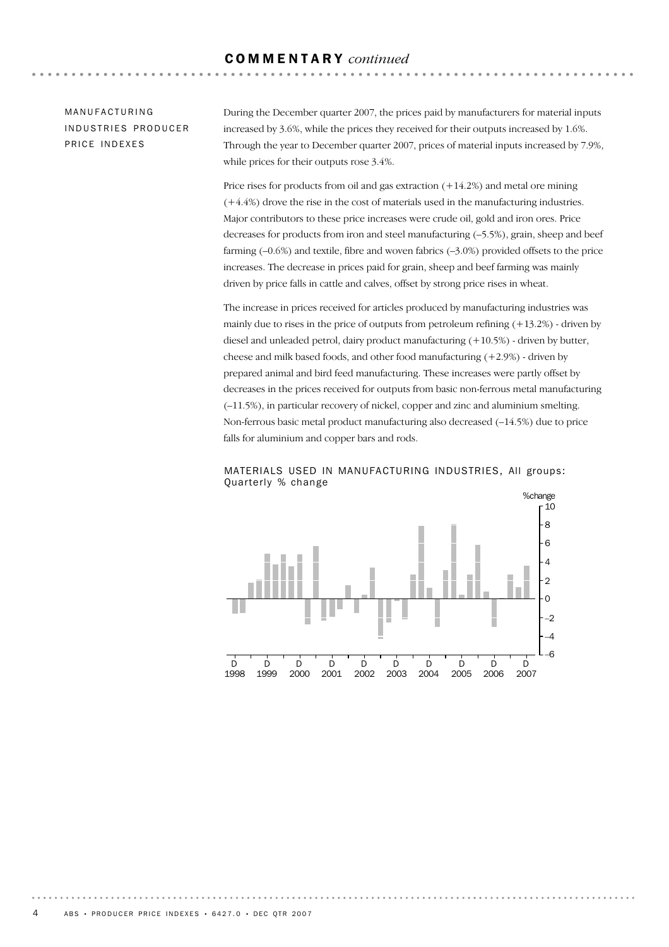## COMMENTARY *continued*

MANUFACTURING INDUSTRIES PRODUCER PRICE INDEXES

During the December quarter 2007, the prices paid by manufacturers for material inputs increased by 3.6%, while the prices they received for their outputs increased by 1.6%. Through the year to December quarter 2007, prices of material inputs increased by 7.9%, while prices for their outputs rose 3.4%.

Price rises for products from oil and gas extraction (+14.2%) and metal ore mining (+4.4%) drove the rise in the cost of materials used in the manufacturing industries. Major contributors to these price increases were crude oil, gold and iron ores. Price decreases for products from iron and steel manufacturing (–5.5%), grain, sheep and beef farming (–0.6%) and textile, fibre and woven fabrics (–3.0%) provided offsets to the price increases. The decrease in prices paid for grain, sheep and beef farming was mainly driven by price falls in cattle and calves, offset by strong price rises in wheat.

The increase in prices received for articles produced by manufacturing industries was mainly due to rises in the price of outputs from petroleum refining  $(+13.2%)$  - driven by diesel and unleaded petrol, dairy product manufacturing (+10.5%) - driven by butter, cheese and milk based foods, and other food manufacturing  $(+2.9\%)$  - driven by prepared animal and bird feed manufacturing. These increases were partly offset by decreases in the prices received for outputs from basic non-ferrous metal manufacturing (–11.5%), in particular recovery of nickel, copper and zinc and aluminium smelting. Non-ferrous basic metal product manufacturing also decreased (–14.5%) due to price falls for aluminium and copper bars and rods.



MATERIALS USED IN MANUFACTURING INDUSTRIES, All groups: Quarterly % change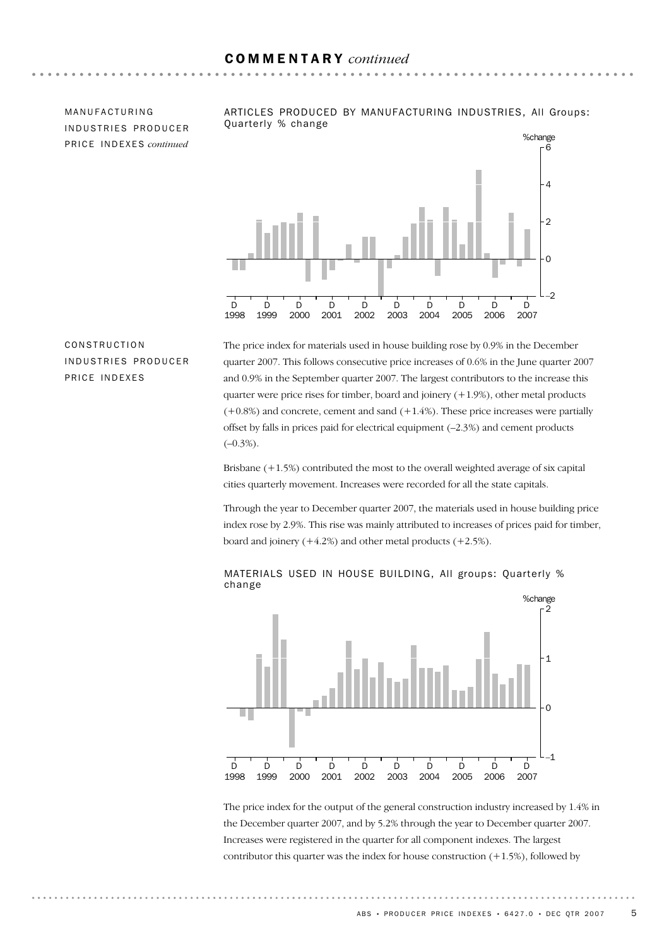MANUFACTURING INDUSTRIES PRODUCER PR I C E IN D E X E S *continued*



ARTICLES PRODUCED BY MANUFACTURING INDUSTRIES, All Groups:

## CONSTRUCTION IN DUSTRIES PRODUCER PRICE INDEXES

The price index for materials used in house building rose by 0.9% in the December quarter 2007. This follows consecutive price increases of 0.6% in the June quarter 2007 and 0.9% in the September quarter 2007. The largest contributors to the increase this quarter were price rises for timber, board and joinery  $(+1.9\%)$ , other metal products  $(+0.8%)$  and concrete, cement and sand  $(+1.4%)$ . These price increases were partially offset by falls in prices paid for electrical equipment (–2.3%) and cement products  $(-0.3\%)$ .

Brisbane (+1.5%) contributed the most to the overall weighted average of six capital cities quarterly movement. Increases were recorded for all the state capitals.

Through the year to December quarter 2007, the materials used in house building price index rose by 2.9%. This rise was mainly attributed to increases of prices paid for timber, board and joinery  $(+4.2%)$  and other metal products  $(+2.5%).$ 



#### MATERIALS USED IN HOUSE BUILDING, All groups: Quarterly % change

The price index for the output of the general construction industry increased by 1.4% in the December quarter 2007, and by 5.2% through the year to December quarter 2007. Increases were registered in the quarter for all component indexes. The largest contributor this quarter was the index for house construction  $(+1.5\%)$ , followed by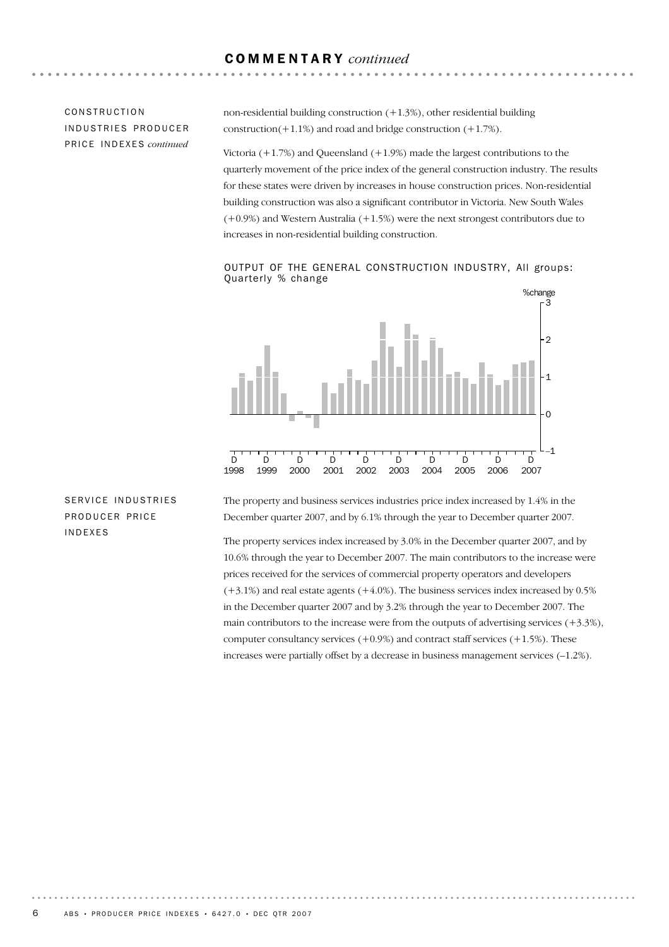## COMMENTARY *continued*

## CONSTRUCTION INDUSTRIES PRODUCER PR I C E IN D E X E S *continued*

non-residential building construction  $(+1.3%)$ , other residential building construction( $+1.1\%$ ) and road and bridge construction ( $+1.7\%$ ).

Victoria  $(+1.7%)$  and Queensland  $(+1.9%)$  made the largest contributions to the quarterly movement of the price index of the general construction industry. The results for these states were driven by increases in house construction prices. Non-residential building construction was also a significant contributor in Victoria. New South Wales (+0.9%) and Western Australia (+1.5%) were the next strongest contributors due to increases in non-residential building construction.

#### OUTPUT OF THE GENERAL CONSTRUCTION INDUSTRY, All groups: Quarterly % change



SERVICE INDUSTRIES PRODUCER PRICE INDEXES

The property and business services industries price index increased by 1.4% in the December quarter 2007, and by 6.1% through the year to December quarter 2007.

The property services index increased by 3.0% in the December quarter 2007, and by 10.6% through the year to December 2007. The main contributors to the increase were prices received for the services of commercial property operators and developers  $(+3.1%)$  and real estate agents  $(+4.0%)$ . The business services index increased by 0.5% in the December quarter 2007 and by 3.2% through the year to December 2007. The main contributors to the increase were from the outputs of advertising services  $(+3.3\%)$ , computer consultancy services  $(+0.9%)$  and contract staff services  $(+1.5%)$ . These increases were partially offset by a decrease in business management services (–1.2%).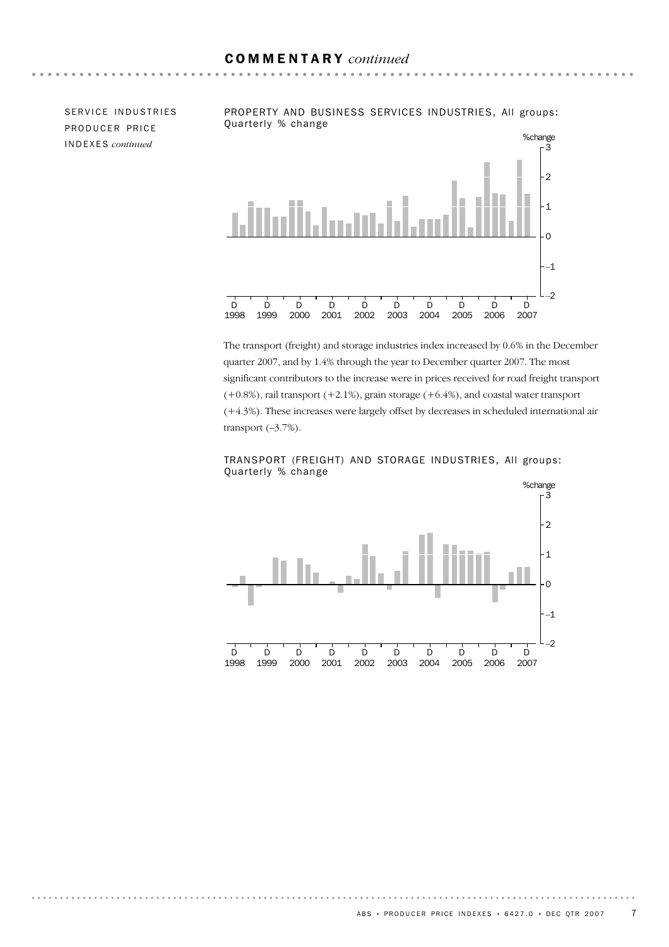$\sim$   $\sim$   $\sim$   $\sim$ 

SERVICE INDUSTRIES PRODUCER PRICE INDEXES *continued*



The transport (freight) and storage industries index increased by 0.6% in the December quarter 2007, and by 1.4% through the year to December quarter 2007. The most significant contributors to the increase were in prices received for road freight transport  $(+0.8\%)$ , rail transport  $(+2.1\%)$ , grain storage  $(+6.4\%)$ , and coastal water transport (+4.3%). These increases were largely offset by decreases in scheduled international air transport  $(-3.7\%)$ .



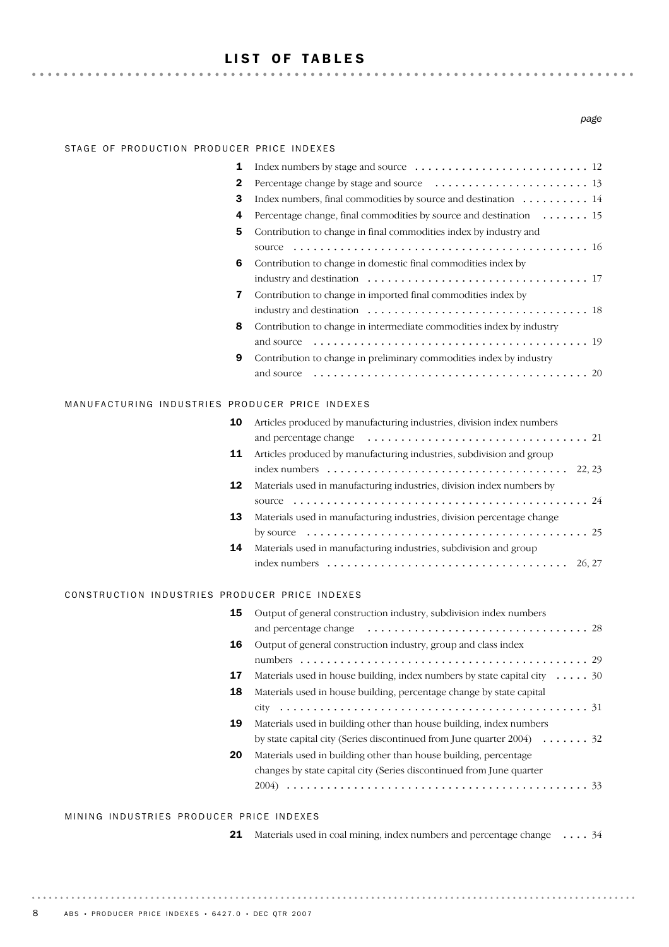## LIST OF TABLES

#### *page*

#### STAGE OF PRODUCTION PRODUCER PRICE INDEXES

| 1  |                                                                                               |
|----|-----------------------------------------------------------------------------------------------|
| 2  | Percentage change by stage and source $\ldots \ldots \ldots \ldots \ldots \ldots \ldots$ . 13 |
| 3  | Index numbers, final commodities by source and destination $\dots \dots \dots \dots$          |
| 4  | Percentage change, final commodities by source and destination $\dots \dots \dots$ 15         |
| 5. | Contribution to change in final commodities index by industry and                             |
|    |                                                                                               |
| 6  | Contribution to change in domestic final commodities index by                                 |
|    |                                                                                               |
| 7  | Contribution to change in imported final commodities index by                                 |
|    |                                                                                               |
| 8  | Contribution to change in intermediate commodities index by industry                          |
|    |                                                                                               |
| 9  | Contribution to change in preliminary commodities index by industry                           |
|    |                                                                                               |

#### MANUFACTURING INDUSTRIES PRODUCER PRICE INDEXES

| 10 | Articles produced by manufacturing industries, division index numbers                               |
|----|-----------------------------------------------------------------------------------------------------|
|    |                                                                                                     |
| 11 | Articles produced by manufacturing industries, subdivision and group                                |
|    | index numbers $\ldots \ldots \ldots \ldots \ldots \ldots \ldots \ldots \ldots \ldots \ldots$ 22, 23 |
| 12 | Materials used in manufacturing industries, division index numbers by                               |
|    | source $\ldots \ldots \ldots \ldots \ldots \ldots \ldots \ldots \ldots \ldots \ldots \ldots \ldots$ |
| 13 | Materials used in manufacturing industries, division percentage change                              |
|    |                                                                                                     |
| 14 | Materials used in manufacturing industries, subdivision and group                                   |
|    |                                                                                                     |

#### CONSTRUCTION INDUSTRIES PRODUCER PRICE INDEXES

| 15 | Output of general construction industry, subdivision index numbers                 |
|----|------------------------------------------------------------------------------------|
|    |                                                                                    |
| 16 | Output of general construction industry, group and class index                     |
|    |                                                                                    |
| 17 | Materials used in house building, index numbers by state capital city $\dots$ . 30 |
| 18 | Materials used in house building, percentage change by state capital               |
|    |                                                                                    |
| 19 | Materials used in building other than house building, index numbers                |
|    | by state capital city (Series discontinued from June quarter $2004$ )  32          |
| 20 | Materials used in building other than house building, percentage                   |
|    | changes by state capital city (Series discontinued from June quarter               |
|    | 2004)                                                                              |

#### MINING INDUSTRIES PRODUCER PRICE INDEXES

|  |  | 21 Materials used in coal mining, index numbers and percentage change 34 |  |
|--|--|--------------------------------------------------------------------------|--|
|  |  |                                                                          |  |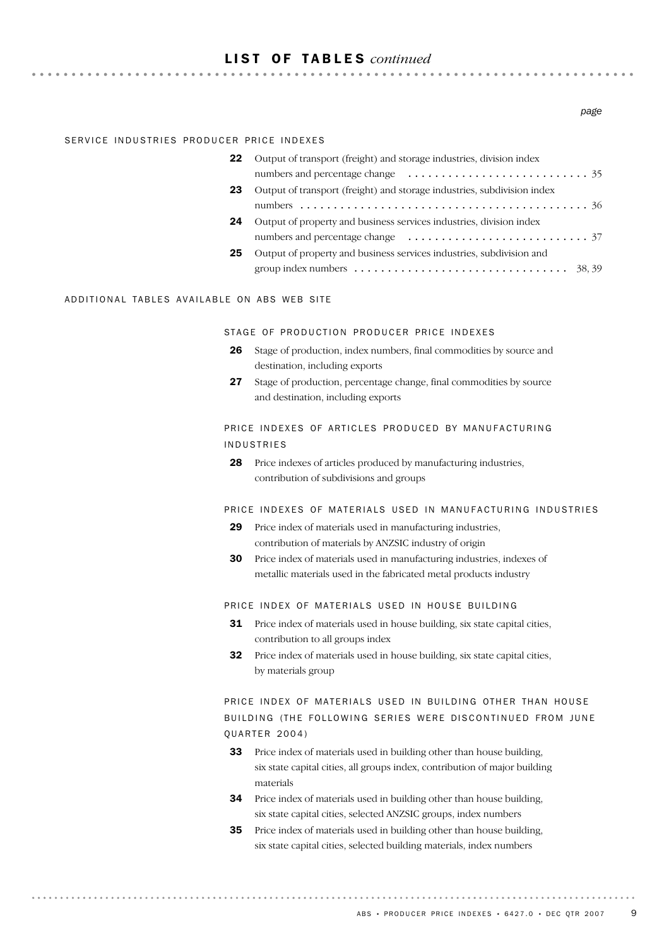## LIST OF TABLES *continued*

. . . . . . . . . . . . . . . . . .

#### SERVICE INDUSTRIES PRODUCER PRICE INDEXES

| 22 | Output of transport (freight) and storage industries, division index                                 |
|----|------------------------------------------------------------------------------------------------------|
|    |                                                                                                      |
| 23 | Output of transport (freight) and storage industries, subdivision index                              |
|    |                                                                                                      |
| 24 | Output of property and business services industries, division index                                  |
|    |                                                                                                      |
| 25 | Output of property and business services industries, subdivision and                                 |
|    | group index numbers $\dots \dots \dots \dots \dots \dots \dots \dots \dots \dots \dots \dots$ 38, 39 |

#### ADDITIONAL TABLES AVAILABLE ON ABS WEB SITE

. . . . . . . . . . . .

#### STAGE OF PRODUCTION PRODUCER PRICE INDEXES

- 26 Stage of production, index numbers, final commodities by source and destination, including exports
- 27 Stage of production, percentage change, final commodities by source and destination, including exports

#### PRICE INDEXES OF ARTICLES PRODUCED BY MANUFACTURING INDUSTRIES

28 Price indexes of articles produced by manufacturing industries, contribution of subdivisions and groups

#### PRICE INDEXES OF MATERIALS USED IN MANUFACTURING INDUSTRIES

- 29 Price index of materials used in manufacturing industries, contribution of materials by ANZSIC industry of origin
- **30** Price index of materials used in manufacturing industries, indexes of metallic materials used in the fabricated metal products industry

#### PRICE INDEX OF MATERIALS USED IN HOUSE BUILDING

- **31** Price index of materials used in house building, six state capital cities, contribution to all groups index
- 32 Price index of materials used in house building, six state capital cities, by materials group

## PRICE INDEX OF MATERIALS USED IN BUILDING OTHER THAN HOUSE BUILDING (THE FOLLOWING SERIES WERE DISCONTINUED FROM JUNE **OUARTER 2004)**

- 33 Price index of materials used in building other than house building, six state capital cities, all groups index, contribution of major building materials
- 34 Price index of materials used in building other than house building, six state capital cities, selected ANZSIC groups, index numbers
- 35 Price index of materials used in building other than house building, six state capital cities, selected building materials, index numbers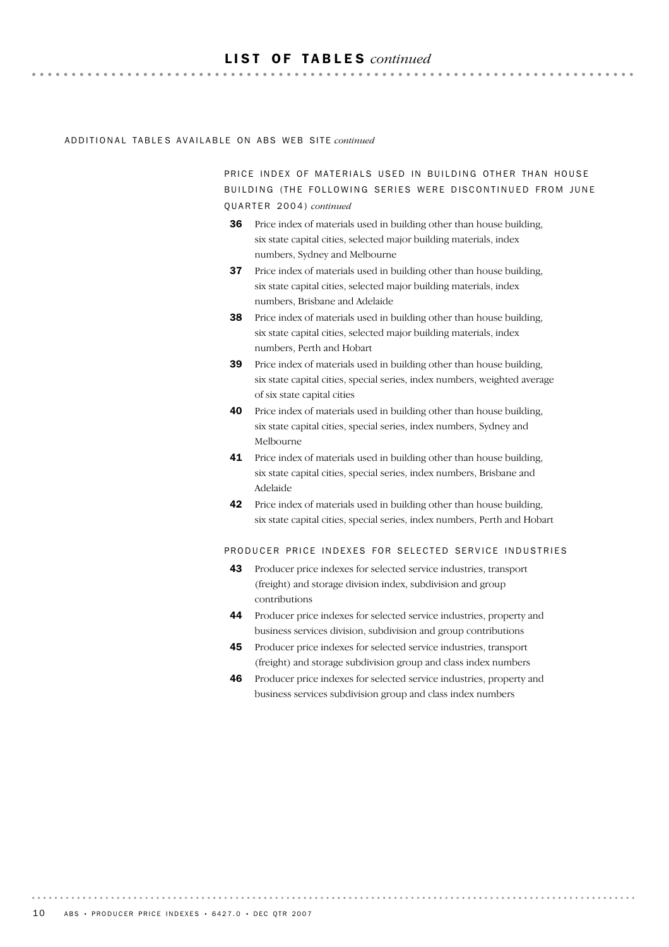#### LIST OF TABLES *continued*

. . . . . . . . . . . . . . . .

#### AD D I T I O N A L TA B L E S AV A I L A B L E ON AB S WE B SI T E *continued*

PRICE INDEX OF MATERIALS USED IN BUILDING OTHER THAN HOUSE BUILDING (THE FOLLOWING SERIES WERE DISCONTINUED FROM JUNE QU A R T E R 20 0 4 ) *continued*

- Price index of materials used in building other than house building, six state capital cities, selected major building materials, index numbers, Sydney and Melbourne 36
- Price index of materials used in building other than house building, six state capital cities, selected major building materials, index numbers, Brisbane and Adelaide 37
- 38 Price index of materials used in building other than house building, six state capital cities, selected major building materials, index numbers, Perth and Hobart
- **39** Price index of materials used in building other than house building, six state capital cities, special series, index numbers, weighted average of six state capital cities
- 40 Price index of materials used in building other than house building, six state capital cities, special series, index numbers, Sydney and Melbourne
- 41 Price index of materials used in building other than house building, six state capital cities, special series, index numbers, Brisbane and Adelaide
- **42** Price index of materials used in building other than house building, six state capital cities, special series, index numbers, Perth and Hobart

#### PRODUCER PRICE INDEXES FOR SELECTED SERVICE INDUSTRIES

- 43 Producer price indexes for selected service industries, transport (freight) and storage division index, subdivision and group contributions
- 44 Producer price indexes for selected service industries, property and business services division, subdivision and group contributions
- 45 Producer price indexes for selected service industries, transport (freight) and storage subdivision group and class index numbers
- 46 Producer price indexes for selected service industries, property and business services subdivision group and class index numbers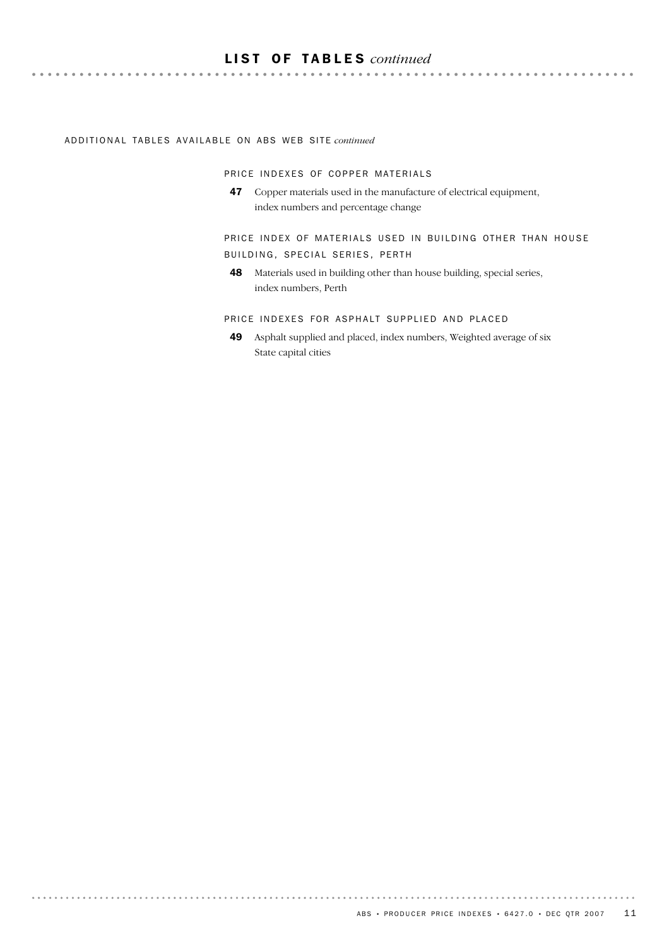## LIST OF TABLES *continued*

#### ADDITIONAL TABLES AVAILABLE ON ABS WEB SITE *continued*

 $\cdots$ 

PRICE INDEXES OF COPPER MATERIALS

47 Copper materials used in the manufacture of electrical equipment, index numbers and percentage change

PRICE INDEX OF MATERIALS USED IN BUILDING OTHER THAN HOUSE BUILDING, SPECIAL SERIES, PERTH

48 Materials used in building other than house building, special series, index numbers, Perth

PRICE INDEXES FOR ASPHALT SUPPLIED AND PLACED

49 Asphalt supplied and placed, index numbers, Weighted average of six State capital cities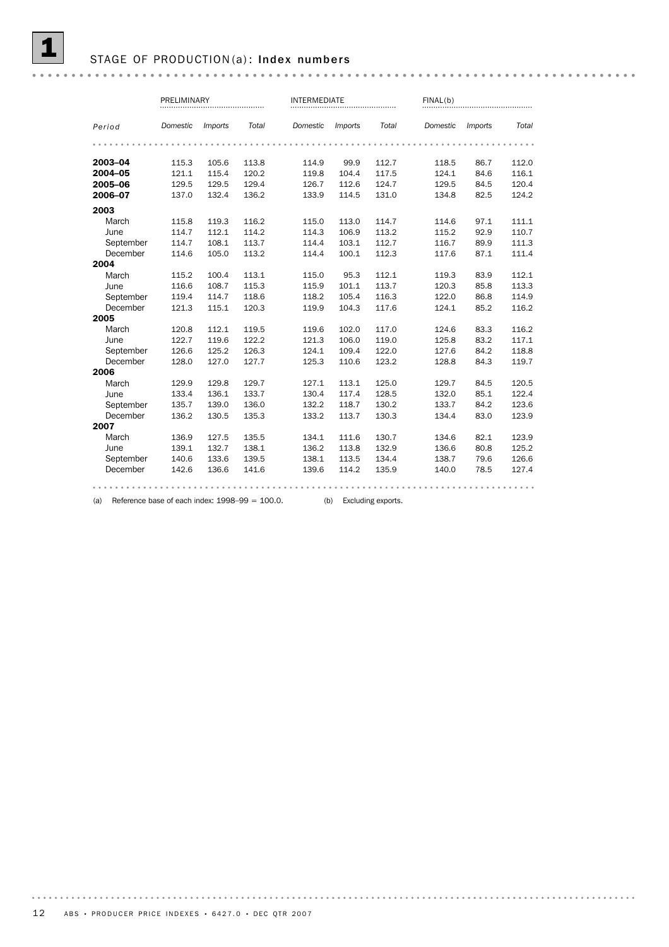#### STAGE OF PRODUCTION(a): Index numbers

|           | PRELIMINARY |                       |       |          | <b>INTERMEDIATE</b> |       |          | FINAL(b)       |       |  |  |
|-----------|-------------|-----------------------|-------|----------|---------------------|-------|----------|----------------|-------|--|--|
| Period    | Domestic    | <i><b>Imports</b></i> | Total | Domestic | <i>Imports</i>      | Total | Domestic | <i>Imports</i> | Total |  |  |
|           |             |                       |       |          |                     |       |          |                |       |  |  |
| 2003-04   | 115.3       | 105.6                 | 113.8 | 114.9    | 99.9                | 112.7 | 118.5    | 86.7           | 112.0 |  |  |
| 2004-05   | 121.1       | 115.4                 | 120.2 | 119.8    | 104.4               | 117.5 | 124.1    | 84.6           | 116.1 |  |  |
| 2005-06   | 129.5       | 129.5                 | 129.4 | 126.7    | 112.6               | 124.7 | 129.5    | 84.5           | 120.4 |  |  |
| 2006-07   | 137.0       | 132.4                 | 136.2 | 133.9    | 114.5               | 131.0 | 134.8    | 82.5           | 124.2 |  |  |
| 2003      |             |                       |       |          |                     |       |          |                |       |  |  |
| March     | 115.8       | 119.3                 | 116.2 | 115.0    | 113.0               | 114.7 | 114.6    | 97.1           | 111.1 |  |  |
| June      | 114.7       | 112.1                 | 114.2 | 114.3    | 106.9               | 113.2 | 115.2    | 92.9           | 110.7 |  |  |
| September | 114.7       | 108.1                 | 113.7 | 114.4    | 103.1               | 112.7 | 116.7    | 89.9           | 111.3 |  |  |
| December  | 114.6       | 105.0                 | 113.2 | 114.4    | 100.1               | 112.3 | 117.6    | 87.1           | 111.4 |  |  |
| 2004      |             |                       |       |          |                     |       |          |                |       |  |  |
| March     | 115.2       | 100.4                 | 113.1 | 115.0    | 95.3                | 112.1 | 119.3    | 83.9           | 112.1 |  |  |
| June      | 116.6       | 108.7                 | 115.3 | 115.9    | 101.1               | 113.7 | 120.3    | 85.8           | 113.3 |  |  |
| September | 119.4       | 114.7                 | 118.6 | 118.2    | 105.4               | 116.3 | 122.0    | 86.8           | 114.9 |  |  |
| December  | 121.3       | 115.1                 | 120.3 | 119.9    | 104.3               | 117.6 | 124.1    | 85.2           | 116.2 |  |  |
| 2005      |             |                       |       |          |                     |       |          |                |       |  |  |
| March     | 120.8       | 112.1                 | 119.5 | 119.6    | 102.0               | 117.0 | 124.6    | 83.3           | 116.2 |  |  |
| June      | 122.7       | 119.6                 | 122.2 | 121.3    | 106.0               | 119.0 | 125.8    | 83.2           | 117.1 |  |  |
| September | 126.6       | 125.2                 | 126.3 | 124.1    | 109.4               | 122.0 | 127.6    | 84.2           | 118.8 |  |  |
| December  | 128.0       | 127.0                 | 127.7 | 125.3    | 110.6               | 123.2 | 128.8    | 84.3           | 119.7 |  |  |
| 2006      |             |                       |       |          |                     |       |          |                |       |  |  |
| March     | 129.9       | 129.8                 | 129.7 | 127.1    | 113.1               | 125.0 | 129.7    | 84.5           | 120.5 |  |  |
| June      | 133.4       | 136.1                 | 133.7 | 130.4    | 117.4               | 128.5 | 132.0    | 85.1           | 122.4 |  |  |
| September | 135.7       | 139.0                 | 136.0 | 132.2    | 118.7               | 130.2 | 133.7    | 84.2           | 123.6 |  |  |
| December  | 136.2       | 130.5                 | 135.3 | 133.2    | 113.7               | 130.3 | 134.4    | 83.0           | 123.9 |  |  |
| 2007      |             |                       |       |          |                     |       |          |                |       |  |  |
| March     | 136.9       | 127.5                 | 135.5 | 134.1    | 111.6               | 130.7 | 134.6    | 82.1           | 123.9 |  |  |
| June      | 139.1       | 132.7                 | 138.1 | 136.2    | 113.8               | 132.9 | 136.6    | 80.8           | 125.2 |  |  |
| September | 140.6       | 133.6                 | 139.5 | 138.1    | 113.5               | 134.4 | 138.7    | 79.6           | 126.6 |  |  |
| December  | 142.6       | 136.6                 | 141.6 | 139.6    | 114.2               | 135.9 | 140.0    | 78.5           | 127.4 |  |  |
|           |             |                       |       |          |                     |       |          |                |       |  |  |

(a) Reference base of each index: 1998–99 = 100.0. (b) Excluding exports.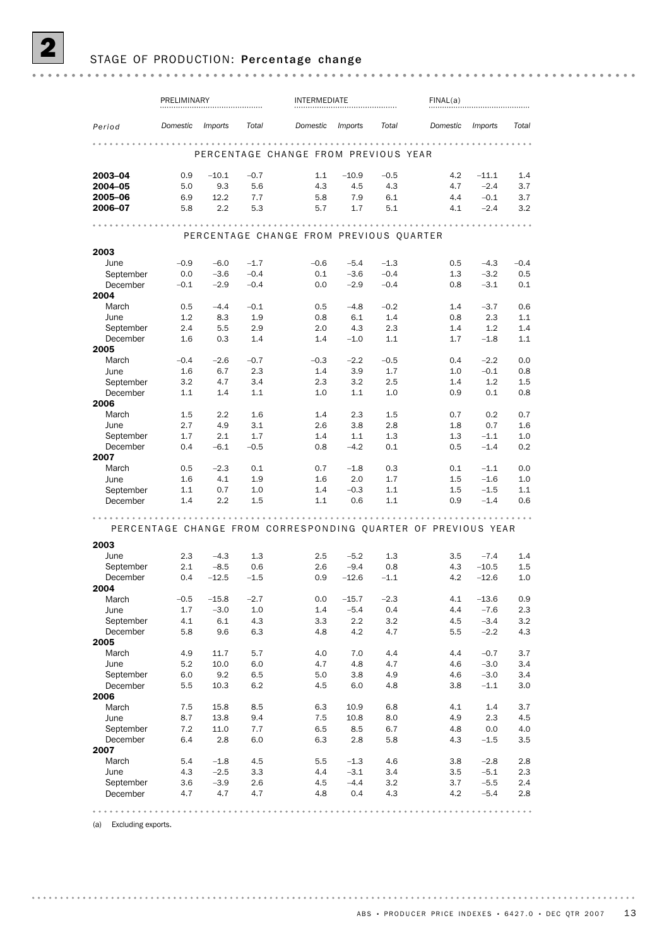|                       | PRELIMINARY |                |         | INTERMEDIATE                                                  |                |        | FINAL(a)   |                |               |  |  |
|-----------------------|-------------|----------------|---------|---------------------------------------------------------------|----------------|--------|------------|----------------|---------------|--|--|
| Period                | Domestic    | <i>Imports</i> | Total   | Domestic                                                      | <i>Imports</i> | Total  | Domestic   | <i>Imports</i> | Total         |  |  |
|                       |             |                |         | PERCENTAGE CHANGE FROM PREVIOUS YEAR                          |                |        |            |                |               |  |  |
| 2003-04               | 0.9         | $-10.1$        | $-0.7$  | 1.1                                                           | $-10.9$        | $-0.5$ | 4.2        | $-11.1$        | 1.4           |  |  |
| 2004-05               | 5.0         | 9.3            | 5.6     | 4.3                                                           | 4.5            | 4.3    | 4.7        | $-2.4$         | 3.7           |  |  |
| 2005-06               | 6.9         | 12.2           | 7.7     | 5.8                                                           | 7.9            | 6.1    | 4.4        | $-0.1$         | 3.7           |  |  |
| 2006-07               | 5.8         | 2.2            | 5.3     | 5.7                                                           | 1.7            | 5.1    | 4.1        | $-2.4$         | 3.2           |  |  |
|                       |             |                |         |                                                               |                |        |            |                |               |  |  |
|                       |             |                |         | PERCENTAGE CHANGE FROM PREVIOUS QUARTER                       |                |        |            |                |               |  |  |
| 2003                  |             |                |         |                                                               |                |        |            |                |               |  |  |
| June                  | $-0.9$      | $-6.0$         | $-1.7$  | $-0.6$                                                        | $-5.4$         | $-1.3$ | 0.5        | $-4.3$         | $-0.4$        |  |  |
| September             | 0.0         | $-3.6$         | $-0.4$  | 0.1                                                           | $-3.6$         | $-0.4$ | 1.3        | $-3.2$         | 0.5           |  |  |
| December              | $-0.1$      | $-2.9$         | $-0.4$  | 0.0                                                           | $-2.9$         | $-0.4$ | 0.8        | $-3.1$         | 0.1           |  |  |
| 2004<br>March         | 0.5         | $-4.4$         | $-0.1$  | 0.5                                                           | $-4.8$         | $-0.2$ | 1.4        | $-3.7$         | 0.6           |  |  |
| June                  | 1.2         | 8.3            | 1.9     | 0.8                                                           | 6.1            | 1.4    | 0.8        | 2.3            | 1.1           |  |  |
|                       | 2.4         | 5.5            | 2.9     | 2.0                                                           | 4.3            | 2.3    |            | 1.2            | 1.4           |  |  |
| September<br>December | 1.6         | 0.3            | 1.4     | 1.4                                                           | $-1.0$         | 1.1    | 1.4<br>1.7 | $-1.8$         | 1.1           |  |  |
| 2005                  |             |                |         |                                                               |                |        |            |                |               |  |  |
| March                 | $-0.4$      | $-2.6$         | $-0.7$  | $-0.3$                                                        | $-2.2$         | $-0.5$ | 0.4        | $-2.2$         | 0.0           |  |  |
| June                  | 1.6         | 6.7            | 2.3     | 1.4                                                           | 3.9            | 1.7    | 1.0        | $-0.1$         | 0.8           |  |  |
| September             | 3.2         | 4.7            | 3.4     | 2.3                                                           | 3.2            | 2.5    | 1.4        | 1.2            | 1.5           |  |  |
| December              | 1.1         | 1.4            | 1.1     | 1.0                                                           | 1.1            | 1.0    | 0.9        | 0.1            | 0.8           |  |  |
| 2006                  |             |                |         |                                                               |                |        |            |                |               |  |  |
| March                 | 1.5         | 2.2            | 1.6     | 1.4                                                           | 2.3            | 1.5    | 0.7        | 0.2            | 0.7           |  |  |
| June                  | 2.7         | 4.9            | 3.1     | 2.6                                                           | 3.8            | 2.8    | 1.8        | 0.7            | 1.6           |  |  |
| September             | 1.7         | 2.1            | 1.7     | 1.4                                                           | 1.1            | 1.3    | 1.3        | $-1.1$         | 1.0           |  |  |
| December              | 0.4         | $-6.1$         | $-0.5$  | 0.8                                                           | $-4.2$         | 0.1    | 0.5        | $-1.4$         | 0.2           |  |  |
| 2007                  |             |                |         |                                                               |                |        |            |                |               |  |  |
| March                 | 0.5         | $-2.3$         | 0.1     | 0.7                                                           | $-1.8$         | 0.3    | 0.1        | $-1.1$         | 0.0           |  |  |
| June                  | 1.6         | 4.1            | 1.9     | 1.6                                                           | 2.0            | 1.7    | $1.5\,$    | $-1.6$         | 1.0           |  |  |
| September             | 1.1         | 0.7            | 1.0     | 1.4                                                           | $-0.3$         | 1.1    | 1.5        | $-1.5$         | 1.1           |  |  |
| December              | 1.4         | 2.2            | 1.5     | 1.1                                                           | 0.6            | 1.1    | 0.9        | $-1.4$         | 0.6           |  |  |
|                       |             |                |         | PERCENTAGE CHANGE FROM CORRESPONDING QUARTER OF PREVIOUS YEAR |                |        |            |                | $- - - - - -$ |  |  |
| 2003                  |             |                |         |                                                               |                |        |            |                |               |  |  |
| June                  | 2.3         | $-4.3$         | 1.3     | 2.5                                                           | $-5.2$         | 1.3    | 3.5        | $-7.4$         | 1.4           |  |  |
| September             | 2.1         | $-8.5$         | 0.6     | 2.6                                                           | $-9.4$         | 0.8    | 4.3        | $-10.5$        | 1.5           |  |  |
| December              | 0.4         | $-12.5$        | $-1.5$  | 0.9                                                           | $-12.6$        | $-1.1$ | 4.2        | $-12.6$        | 1.0           |  |  |
| 2004                  |             |                |         |                                                               |                |        |            |                |               |  |  |
| March                 | $-0.5$      | $-15.8$        | $-2.7$  | 0.0                                                           | $-15.7$        | $-2.3$ | 4.1        | $-13.6$        | 0.9           |  |  |
| June                  | 1.7         | $-3.0$         | $1.0\,$ | 1.4                                                           | $-5.4$         | 0.4    | 4.4        | $-7.6$         | 2.3           |  |  |
| September             | 4.1         | $6.1\,$        | 4.3     | 3.3                                                           | 2.2            | 3.2    | 4.5        | $-3.4$         | 3.2           |  |  |
| December              | 5.8         | 9.6            | 6.3     | 4.8                                                           | 4.2            | 4.7    | 5.5        | $-2.2$         | 4.3           |  |  |
| 2005<br>March         | 4.9         | 11.7           | 5.7     | 4.0                                                           | 7.0            | 4.4    | 4.4        | $-0.7$         | 3.7           |  |  |
| June                  | 5.2         | 10.0           | 6.0     | 4.7                                                           | 4.8            | 4.7    | 4.6        | $-3.0$         | 3.4           |  |  |
| September             | 6.0         | 9.2            | 6.5     | 5.0                                                           | 3.8            | 4.9    | 4.6        | $-3.0$         | 3.4           |  |  |
| December              | 5.5         | 10.3           | 6.2     | 4.5                                                           | 6.0            | 4.8    | 3.8        | $-1.1$         | 3.0           |  |  |
| 2006                  |             |                |         |                                                               |                |        |            |                |               |  |  |
| March                 | 7.5         | 15.8           | 8.5     | 6.3                                                           | 10.9           | 6.8    | 4.1        | $1.4\,$        | 3.7           |  |  |
| June                  | 8.7         | 13.8           | 9.4     | 7.5                                                           | 10.8           | 8.0    | 4.9        | 2.3            | 4.5           |  |  |
| September             | 7.2         | 11.0           | 7.7     | 6.5                                                           | 8.5            | 6.7    | 4.8        | 0.0            | 4.0           |  |  |
| December              | 6.4         | 2.8            | 6.0     | 6.3                                                           | 2.8            | 5.8    | 4.3        | $-1.5$         | 3.5           |  |  |
| 2007                  |             |                |         |                                                               |                |        |            |                |               |  |  |
| March                 | 5.4         | $-1.8$         | 4.5     | 5.5                                                           | $-1.3$         | 4.6    | 3.8        | $-2.8$         | 2.8           |  |  |
| June                  | 4.3         | $-2.5$         | 3.3     | 4.4                                                           | $-3.1$         | 3.4    | $3.5\,$    | $-5.1$         | 2.3           |  |  |
| September             | 3.6         | $-3.9$         | 2.6     | 4.5                                                           | $-4.4$         | 3.2    | 3.7        | $-5.5$         | 2.4           |  |  |
| December              | 4.7         | 4.7            | 4.7     | 4.8                                                           | 0.4            | 4.3    | 4.2        | $-5.4$         | $2.8\,$       |  |  |

(a) Excluding exports.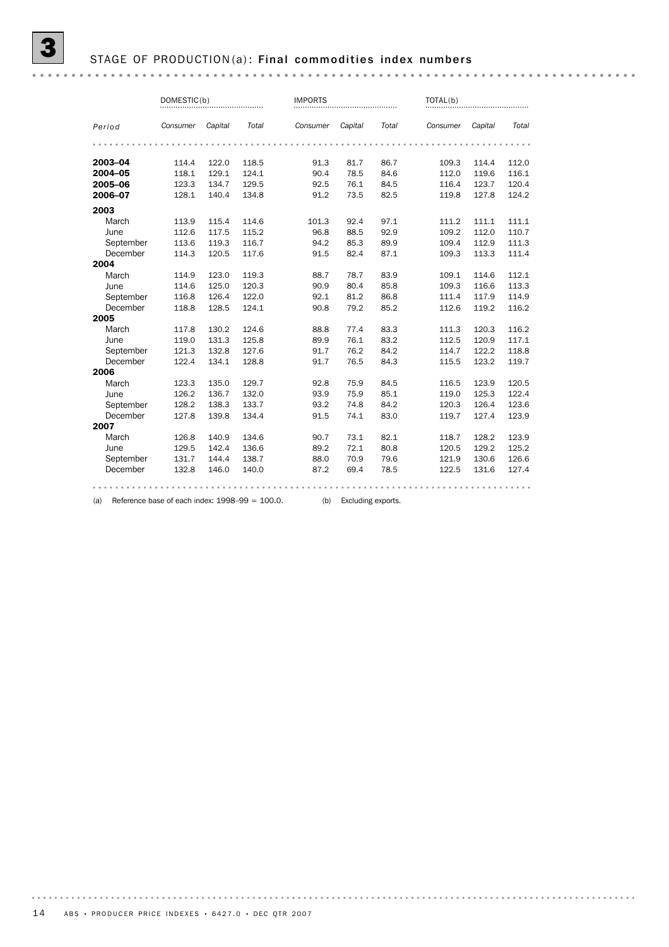#### STAGE OF PRODUCTION(a): Final commodities index numbers

DOMESTIC(b) IMPORTS TOTAL(b) IMPORTS TOTAL(b) .............................. *Period Consumer Capital Total Consumer Capital Total Consumer Capital Total* 2003–04 114.4 122.0 118.5 91.3 81.7 86.7 109.3 114.4 112.0 **2004–05** 118.1 129.1 124.1 90.4 78.5 84.6 112.0 119.6 116.1 <br> **2005–06** 123.3 134.7 129.5 92.5 76.1 84.5 116.4 123.7 120.4 <br> **2006–07** 128.1 140.4 134.8 91.2 73.5 82.5 119.8 127.8 124.2 **2005–06** 123.3 134.7 129.5 92.5 76.1 84.5 116.4 123.7 120.4 **2006–07** 128.1 140.4 134.8 91.2 73.5 82.5 119.8 127.8 124.2 2003 March 113.9 115.4 114.6 101.3 92.4 97.1 111.2 111.1 111.1 June 112.6 117.5 115.2 96.8 88.5 92.9 109.2 112.0 110.7 September 113.6 119.3 116.7 94.2 85.3 89.9 109.4 112.9 111.3 December 114.3 120.5 117.6 91.5 82.4 87.1 109.3 113.3 111.4 2004 March 114.9 123.0 119.3 88.7 78.7 83.9 109.1 114.6 112.1 <table>\n<tbody>\n<tr>\n<th>June</th>\n<td>114.6</td>\n<td>125.0</td>\n<td>120.3</td>\n<td>90.9</td>\n<td>80.4</td>\n<td>85.8</td>\n<td>109.3</td>\n<td>116.6</td>\n<td>113.3</td>\n</tr>\n<tr>\n<th>September</th>\n<td>116.8</td>\n<td>126.4</td>\n<td>122.0</td>\n<td>92.1</td>\n<td>81.2</td>\n<td>86.8</td>\n<td>111.4</td>\n<td>117.9</td>\n<td>114.9</td>\n September 116.8 126.4 122.0 92.1 81.2 86.8 111.4 117.9 114.9 December 118.8 128.5 124.1 90.8 79.2 85.2 112.6 119.2 116.2 2005 March 117.8 130.2 124.6 88.8 77.4 83.3 111.3 120.3 116.2 June 119.0 131.3 125.8 89.9 76.1 83.2 112.5 120.9 117.1 September 121.3 132.8 127.6 91.7 76.2 84.2 114.7 122.2 118.8 December 122.4 134.1 128.8 91.7 76.5 84.3 115.5 123.2 119.7 2006 March 123.3 135.0 129.7 92.8 75.9 84.5 116.5 123.9 120.5 <table>\n<tbody>\n<tr>\n<th>June</th>\n<td>126.2</td>\n<td>136.7</td>\n<td>132.0</td>\n<td>93.9</td>\n<td>75.9</td>\n<td>85.1</td>\n<td>119.0</td>\n<td>125.3</td>\n<td>122.4</td>\n</tr>\n<tr>\n<th>September</th>\n<td>128.2</td>\n<td>138.3</td>\n<td>133.7</td>\n<td>93.2</td>\n<td>74.8</td>\n<td>84.2</td>\n<td>120.3</td>\n<td>126.4</td>\n<td>123.6</td>\n September 128.2 138.3 133.7 93.2 74.8 84.2 120.3 126.4 123.6 December 127.8 139.8 134.4 91.5 74.1 83.0 119.7 127.4 123.9 2007 March 126.8 140.9 134.6 90.7 73.1 82.1 118.7 128.2 123.9 June 129.5 142.4 136.6 89.2 72.1 80.8 120.5 129.2 125.2 September 131.7 144.4 138.7 88.0 70.9 79.6 121.9 130.6 126.6 December 132.8 146.0 140.0 87.2 69.4 78.5 122.5 131.6 127.4 

(a) Reference base of each index:  $1998-99 = 100.0$ . (b) Excluding exports.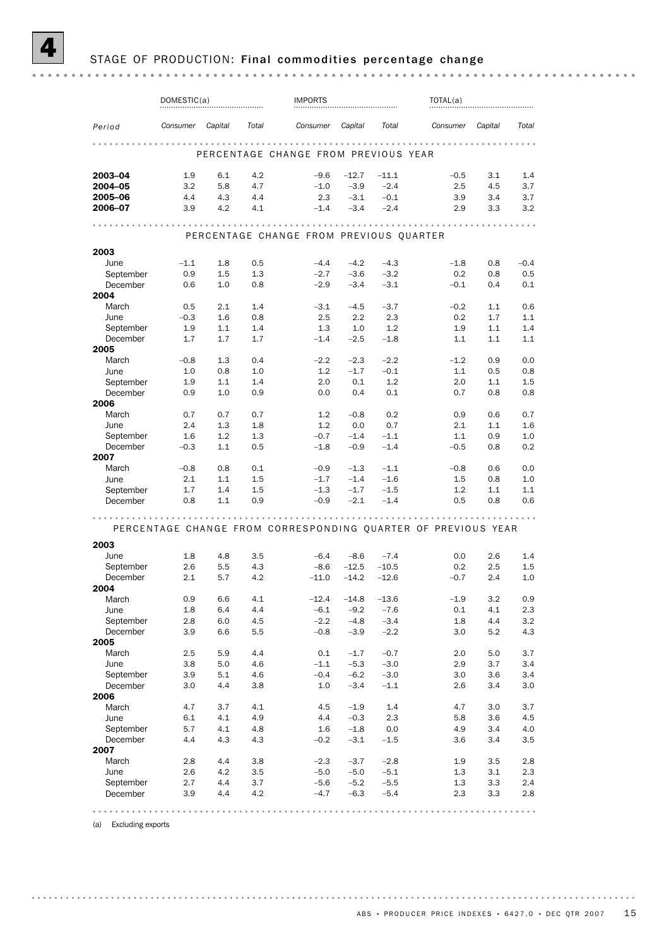## STAGE OF PRODUCTION: Final commodities percentage change

|                       | DOMESTIC(a)   |            |            | <b>IMPORTS</b>                                                |                  | TOTAL(a)         |            |            |            |  |  |  |
|-----------------------|---------------|------------|------------|---------------------------------------------------------------|------------------|------------------|------------|------------|------------|--|--|--|
| Period                | Consumer      | Capital    | Total      | Consumer                                                      | Capital          | Total            | Consumer   | Capital    | Total      |  |  |  |
|                       |               |            |            | .                                                             |                  |                  | .          |            |            |  |  |  |
|                       |               |            |            | PERCENTAGE CHANGE FROM PREVIOUS YEAR                          |                  |                  |            |            |            |  |  |  |
| 2003-04               | 1.9           | 6.1        | 4.2        | $-9.6$                                                        | $-12.7$          | $-11.1$          | $-0.5$     | 3.1        | 1.4        |  |  |  |
| 2004-05               | 3.2           | 5.8        | 4.7        | $-1.0$                                                        | $-3.9$           | $-2.4$           | 2.5        | 4.5        | 3.7        |  |  |  |
| 2005-06               | 4.4           | 4.3        | 4.4        | 2.3                                                           | $-3.1$           | $-0.1$           | 3.9        | 3.4        | 3.7        |  |  |  |
| 2006-07               | 3.9           | 4.2        | 4.1        | $-1.4$                                                        | $-3.4$           | $-2.4$           | 2.9        | 3.3        | 3.2        |  |  |  |
| .                     |               |            |            |                                                               |                  |                  |            |            |            |  |  |  |
|                       |               |            |            | PERCENTAGE CHANGE FROM PREVIOUS QUARTER                       |                  |                  |            |            |            |  |  |  |
| 2003                  |               |            |            |                                                               |                  |                  |            |            |            |  |  |  |
| June                  | $-1.1$        | 1.8        | 0.5        | $-4.4$                                                        | $-4.2$           | $-4.3$           | $-1.8$     | 0.8        | $-0.4$     |  |  |  |
| September             | 0.9           | 1.5        | 1.3        | $-2.7$                                                        | $-3.6$           | $-3.2$           | 0.2        | 0.8        | 0.5        |  |  |  |
| December              | 0.6           | 1.0        | 0.8        | $-2.9$                                                        | $-3.4$           | $-3.1$           | $-0.1$     | 0.4        | 0.1        |  |  |  |
| 2004                  |               |            |            |                                                               |                  |                  |            |            |            |  |  |  |
| March                 | 0.5           | 2.1        | 1.4        | $-3.1$<br>2.5                                                 | $-4.5$<br>2.2    | $-3.7$<br>2.3    | $-0.2$     | 1.1        | 0.6<br>1.1 |  |  |  |
| June<br>September     | $-0.3$<br>1.9 | 1.6<br>1.1 | 0.8<br>1.4 | 1.3                                                           | 1.0              | 1.2              | 0.2<br>1.9 | 1.7<br>1.1 | 1.4        |  |  |  |
| December              | 1.7           | 1.7        | 1.7        | $-1.4$                                                        | $-2.5$           | $-1.8$           | 1.1        | 1.1        | 1.1        |  |  |  |
| 2005                  |               |            |            |                                                               |                  |                  |            |            |            |  |  |  |
| March                 | $-0.8$        | 1.3        | 0.4        | $-2.2$                                                        | $-2.3$           | $-2.2$           | $-1.2$     | 0.9        | 0.0        |  |  |  |
| June                  | 1.0           | 0.8        | 1.0        | 1.2                                                           | $-1.7$           | $-0.1$           | 1.1        | 0.5        | 0.8        |  |  |  |
| September             | 1.9           | 1.1        | 1.4        | 2.0                                                           | 0.1              | 1.2              | 2.0        | 1.1        | 1.5        |  |  |  |
| December              | 0.9           | 1.0        | 0.9        | 0.0                                                           | 0.4              | 0.1              | 0.7        | 0.8        | 0.8        |  |  |  |
| 2006                  |               |            |            |                                                               |                  |                  |            |            |            |  |  |  |
| March                 | 0.7           | 0.7        | 0.7        | 1.2                                                           | $-0.8$           | 0.2              | 0.9        | 0.6        | 0.7        |  |  |  |
| June                  | 2.4           | 1.3        | 1.8        | 1.2                                                           | 0.0              | 0.7              | 2.1        | 1.1        | 1.6        |  |  |  |
| September             | 1.6           | 1.2        | 1.3        | $-0.7$                                                        | $-1.4$           | $-1.1$           | 1.1        | 0.9        | 1.0        |  |  |  |
| December<br>2007      | $-0.3$        | 1.1        | 0.5        | $-1.8$                                                        | $-0.9$           | $-1.4$           | $-0.5$     | 0.8        | 0.2        |  |  |  |
| March                 | $-0.8$        | 0.8        | 0.1        | $-0.9$                                                        | $-1.3$           | $-1.1$           | $-0.8$     | 0.6        | 0.0        |  |  |  |
| June                  | 2.1           | 1.1        | 1.5        | $-1.7$                                                        | $-1.4$           | $-1.6$           | 1.5        | 0.8        | 1.0        |  |  |  |
| September             | 1.7           | 1.4        | $1.5\,$    | $-1.3$                                                        | $-1.7$           | $-1.5$           | 1.2        | 1.1        | 1.1        |  |  |  |
| December              | 0.8           | 1.1        | 0.9        | $-0.9$                                                        | $-2.1$           | $-1.4$           | 0.5        | 0.8        | 0.6        |  |  |  |
|                       |               |            |            |                                                               | .                |                  |            |            |            |  |  |  |
|                       |               |            |            | PERCENTAGE CHANGE FROM CORRESPONDING OUARTER OF PREVIOUS YEAR |                  |                  |            |            |            |  |  |  |
| 2003                  |               |            |            |                                                               |                  |                  |            |            |            |  |  |  |
| June                  | 1.8           | 4.8        | 3.5        | $-6.4$                                                        | $-8.6$           | $-7.4$           | 0.0        | 2.6        | 1.4        |  |  |  |
| September             | 2.6           | 5.5        | 4.3        | $-8.6$                                                        | $-12.5$          | $-10.5$          | 0.2        | 2.5        | 1.5        |  |  |  |
| December              | 2.1           | 5.7        | 4.2        | $-11.0$                                                       | $-14.2$          | $-12.6$          | $-0.7$     | 2.4        | 1.0        |  |  |  |
| 2004                  |               |            |            |                                                               |                  |                  |            |            |            |  |  |  |
| March                 | 0.9           | 6.6        | 4.1        | $-12.4$                                                       | $-14.8$          | $-13.6$          | $-1.9$     | 3.2        | 0.9        |  |  |  |
| June                  | 1.8           | 6.4        | 4.4        | $-6.1$                                                        | $-9.2$           | $-7.6$           | 0.1        | 4.1        | 2.3        |  |  |  |
| September             | 2.8           | 6.0        | 4.5        | $-2.2$                                                        | $-4.8$           | $-3.4$           | 1.8        | 4.4        | 3.2        |  |  |  |
| December              | 3.9           | 6.6        | 5.5        | $-0.8$                                                        | $-3.9$           | $-2.2$           | 3.0        | 5.2        | 4.3        |  |  |  |
| 2005                  |               |            |            |                                                               |                  |                  |            |            |            |  |  |  |
| March<br>June         | 2.5<br>3.8    | 5.9<br>5.0 | 4.4<br>4.6 | 0.1<br>$-1.1$                                                 | $-1.7$<br>$-5.3$ | $-0.7$<br>$-3.0$ | 2.0<br>2.9 | 5.0<br>3.7 | 3.7<br>3.4 |  |  |  |
| September             | 3.9           | 5.1        | 4.6        | $-0.4$                                                        | $-6.2$           | $-3.0$           | 3.0        | 3.6        | 3.4        |  |  |  |
| December              | 3.0           | 4.4        | 3.8        | 1.0                                                           | $-3.4$           | $-1.1$           | 2.6        | 3.4        | 3.0        |  |  |  |
| 2006                  |               |            |            |                                                               |                  |                  |            |            |            |  |  |  |
| March                 | 4.7           | 3.7        | 4.1        | 4.5                                                           | $-1.9$           | 1.4              | 4.7        | 3.0        | 3.7        |  |  |  |
| June                  | 6.1           | 4.1        | 4.9        | 4.4                                                           | $-0.3$           | 2.3              | 5.8        | 3.6        | 4.5        |  |  |  |
| September             | 5.7           | 4.1        | 4.8        | 1.6                                                           | $-1.8$           | 0.0              | 4.9        | 3.4        | 4.0        |  |  |  |
| December              | 4.4           | 4.3        | 4.3        | $-0.2$                                                        | $-3.1$           | $-1.5$           | 3.6        | 3.4        | 3.5        |  |  |  |
| 2007                  |               |            |            |                                                               |                  |                  |            |            |            |  |  |  |
| March                 | 2.8           | 4.4        | 3.8        | $-2.3$                                                        | $-3.7$           | $-2.8$           | 1.9        | 3.5        | 2.8        |  |  |  |
| June                  | 2.6           | 4.2        | 3.5        | $-5.0$                                                        | $-5.0$           | $-5.1$           | 1.3        | 3.1        | 2.3        |  |  |  |
| September<br>December | 2.7<br>3.9    | 4.4<br>4.4 | 3.7<br>4.2 | $-5.6$<br>$-4.7$                                              | $-5.2$<br>$-6.3$ | $-5.5$<br>$-5.4$ | 1.3<br>2.3 | 3.3<br>3.3 | 2.4<br>2.8 |  |  |  |
|                       |               |            |            |                                                               |                  |                  |            |            |            |  |  |  |
|                       |               |            |            |                                                               |                  |                  |            |            |            |  |  |  |

(a) Excluding exports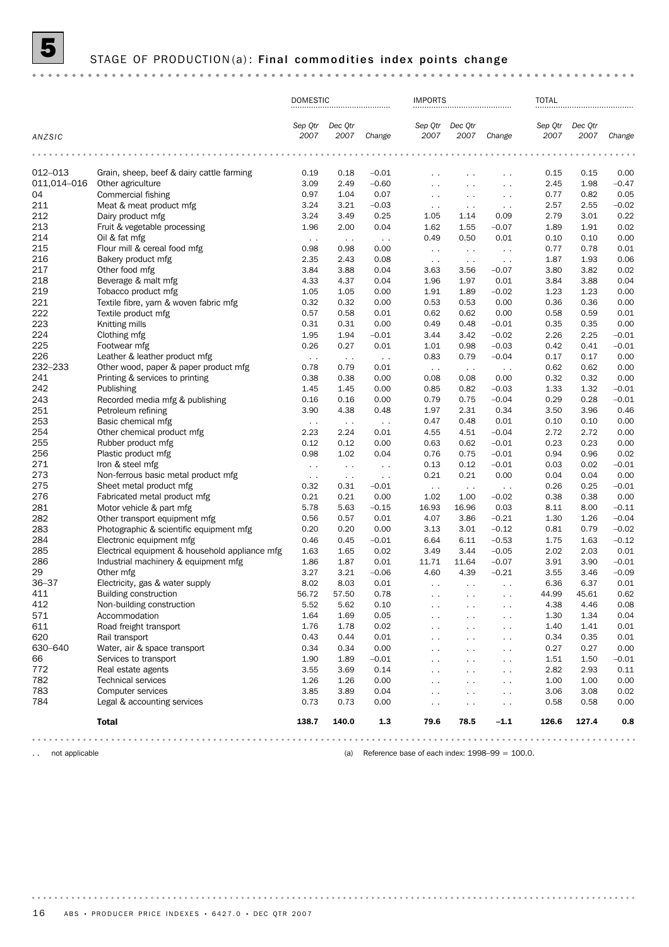

## STAGE OF PRODUCTION (a) : Final commodities index points change

|             |                                                | <b>DOMESTIC</b>       |                 |               | <b>IMPORTS</b>       |                      |               | <b>TOTAL</b>    |                 |         |
|-------------|------------------------------------------------|-----------------------|-----------------|---------------|----------------------|----------------------|---------------|-----------------|-----------------|---------|
| ANZSIC      |                                                | Sep Qtr<br>2007       | Dec Otr<br>2007 | Change        | Sep Qtr<br>2007      | Dec Qtr<br>2007      | Change        | Sep Qtr<br>2007 | Dec Otr<br>2007 | Change  |
|             |                                                |                       |                 |               |                      |                      |               |                 |                 |         |
| 012-013     | Grain, sheep, beef & dairy cattle farming      | 0.19                  | 0.18            | $-0.01$       | . .                  | $\ddotsc$            | $\ddotsc$     | 0.15            | 0.15            | 0.00    |
| 011,014-016 | Other agriculture                              | 3.09                  | 2.49            | $-0.60$       | $\sim$               | $\sim$               | $\sim$ $\sim$ | 2.45            | 1.98            | $-0.47$ |
| 04          | Commercial fishing                             | 0.97                  | 1.04            | 0.07          | $\sim$ $\sim$        | $\sim$ $\sim$        | $\sim$ $\sim$ | 0.77            | 0.82            | 0.05    |
| 211         | Meat & meat product mfg                        | 3.24                  | 3.21            | $-0.03$       | $\sim$ $\sim$        | $\sim$ $\sim$        | $\sim$        | 2.57            | 2.55            | $-0.02$ |
| 212         | Dairy product mfg                              | 3.24                  | 3.49            | 0.25          | 1.05                 | 1.14                 | 0.09          | 2.79            | 3.01            | 0.22    |
| 213         | Fruit & vegetable processing                   | 1.96                  | 2.00            | 0.04          | 1.62                 | 1.55                 | $-0.07$       | 1.89            | 1.91            | 0.02    |
| 214         | Oil & fat mfg                                  | $\sim$ $\sim$         | $\sim$ $\sim$   | $\sim$ $\sim$ | 0.49                 | 0.50                 | 0.01          | 0.10            | 0.10            | 0.00    |
| 215         | Flour mill & cereal food mfg                   | 0.98                  | 0.98            | 0.00          | $\sim$ $\sim$        | $\sim$ $\sim$        | $\sim$        | 0.77            | 0.78            | 0.01    |
| 216         | Bakery product mfg                             | 2.35                  | 2.43            | 0.08          | $\sim$ $\sim$        | $\sim$ $\sim$        | $\sim$ $\sim$ | 1.87            | 1.93            | 0.06    |
| 217         | Other food mfg                                 | 3.84                  | 3.88            | 0.04          | 3.63                 | 3.56                 | $-0.07$       | 3.80            | 3.82            | 0.02    |
| 218         | Beverage & malt mfg                            | 4.33                  | 4.37            | 0.04          | 1.96                 | 1.97                 | 0.01          | 3.84            | 3.88            | 0.04    |
| 219         | Tobacco product mfg                            | 1.05                  | 1.05            | 0.00          | 1.91                 | 1.89                 | $-0.02$       | 1.23            | 1.23            | 0.00    |
| 221         | Textile fibre, yarn & woven fabric mfg         | 0.32                  | 0.32            | 0.00          | 0.53                 | 0.53                 | 0.00          | 0.36            | 0.36            | 0.00    |
| 222         | Textile product mfg                            | 0.57                  | 0.58            | 0.01          | 0.62                 | 0.62                 | 0.00          | 0.58            | 0.59            | 0.01    |
| 223         | Knitting mills                                 | 0.31                  | 0.31            | 0.00          | 0.49                 | 0.48                 | $-0.01$       | 0.35            | 0.35            | 0.00    |
| 224         | Clothing mfg                                   | 1.95                  | 1.94            | $-0.01$       | 3.44                 | 3.42                 | $-0.02$       | 2.26            | 2.25            | $-0.01$ |
| 225         | Footwear mfg                                   | 0.26                  | 0.27            | 0.01          | 1.01                 | 0.98                 | $-0.03$       | 0.42            | 0.41            | $-0.01$ |
| 226         | Leather & leather product mfg                  | $\sim$ $\sim$         | $\sim$ $\sim$   | $\sim$ $\sim$ | 0.83                 | 0.79                 | $-0.04$       | 0.17            | 0.17            | 0.00    |
| 232-233     | Other wood, paper & paper product mfg          | 0.78                  | 0.79            | 0.01          | $\sim$ $\sim$        | $\sim$ $\sim$        | $\sim$        | 0.62            | 0.62            | 0.00    |
| 241         | Printing & services to printing                | 0.38                  | 0.38            | 0.00          | 0.08                 | 0.08                 | 0.00          | 0.32            | 0.32            | 0.00    |
| 242         | Publishing                                     | 1.45                  | 1.45            | 0.00          | 0.85                 | 0.82                 | $-0.03$       | 1.33            | 1.32            | $-0.01$ |
| 243         | Recorded media mfg & publishing                | 0.16                  | 0.16            | 0.00          | 0.79                 | 0.75                 | $-0.04$       | 0.29            | 0.28            | $-0.01$ |
| 251         | Petroleum refining                             | 3.90                  | 4.38            | 0.48          | 1.97                 | 2.31                 | 0.34          | 3.50            | 3.96            | 0.46    |
| 253         | Basic chemical mfg                             | $\sim$ $\sim$         | $\sim$ $\sim$   | $\sim$ $\sim$ | 0.47                 | 0.48                 | 0.01          | 0.10            | 0.10            | 0.00    |
| 254         | Other chemical product mfg                     | 2.23                  | 2.24            | 0.01          | 4.55                 | 4.51                 | $-0.04$       | 2.72            | 2.72            | 0.00    |
| 255         | Rubber product mfg                             | 0.12                  | 0.12            | 0.00          | 0.63                 | 0.62                 | $-0.01$       | 0.23            | 0.23            | 0.00    |
| 256         | Plastic product mfg                            | 0.98                  | 1.02            | 0.04          | 0.76                 | 0.75                 | $-0.01$       | 0.94            | 0.96            | 0.02    |
| 271         | Iron & steel mfg                               | $\sim$ $\sim$         | $\sim$ $\sim$   | $\sim$ $\sim$ | 0.13                 | 0.12                 | $-0.01$       | 0.03            | 0.02            | $-0.01$ |
| 273         | Non-ferrous basic metal product mfg            |                       | $\sim$ $\sim$   | $\sim$ $\sim$ | 0.21                 | 0.21                 | 0.00          | 0.04            | 0.04            | 0.00    |
| 275         | Sheet metal product mfg                        | $\sim$ $\sim$<br>0.32 | 0.31            | $-0.01$       | $\sim$ $\sim$        | $\sim$ $\sim$        | $\ddotsc$     | 0.26            | 0.25            | $-0.01$ |
| 276         | Fabricated metal product mfg                   | 0.21                  | 0.21            | 0.00          | 1.02                 | 1.00                 | $-0.02$       | 0.38            | 0.38            | 0.00    |
| 281         | Motor vehicle & part mfg                       | 5.78                  | 5.63            | $-0.15$       | 16.93                | 16.96                | 0.03          | 8.11            | 8.00            | $-0.11$ |
| 282         | Other transport equipment mfg                  | 0.56                  | 0.57            | 0.01          | 4.07                 | 3.86                 | $-0.21$       | 1.30            | 1.26            | $-0.04$ |
| 283         | Photographic & scientific equipment mfg        | 0.20                  | 0.20            | 0.00          | 3.13                 | 3.01                 | $-0.12$       | 0.81            | 0.79            | $-0.02$ |
| 284         | Electronic equipment mfg                       | 0.46                  | 0.45            | $-0.01$       | 6.64                 | 6.11                 | $-0.53$       | 1.75            | 1.63            | $-0.12$ |
| 285         | Electrical equipment & household appliance mfg | 1.63                  | 1.65            | 0.02          | 3.49                 | 3.44                 | $-0.05$       | 2.02            | 2.03            | 0.01    |
| 286         | Industrial machinery & equipment mfg           | 1.86                  | 1.87            | 0.01          | 11.71                | 11.64                | $-0.07$       | 3.91            | 3.90            | $-0.01$ |
| 29          | Other mfg                                      | 3.27                  | 3.21            | $-0.06$       | 4.60                 | 4.39                 | $-0.21$       | 3.55            | 3.46            | $-0.09$ |
| $36 - 37$   | Electricity, gas & water supply                | 8.02                  | 8.03            | 0.01          | $\ddot{\phantom{a}}$ | $\sim$ $\sim$        | $\sim$ $\sim$ | 6.36            | 6.37            | 0.01    |
| 411         | <b>Building construction</b>                   | 56.72                 | 57.50           | 0.78          | e e                  |                      | $\sim$ $\sim$ | 44.99           | 45.61           | 0.62    |
| 412         | Non-building construction                      | 5.52                  | 5.62            | 0.10          | $\sim$               | $\sim$               | $\sim$ $\sim$ | 4.38            | 4.46            | 0.08    |
| 571         | Accommodation                                  | 1.64                  | 1.69            | 0.05          | $\sim$               | $\ddot{\phantom{0}}$ | $\sim$ $\sim$ | 1.30            | 1.34            | 0.04    |
| 611         | Road freight transport                         | 1.76                  | 1.78            | 0.02          | $\ddot{\phantom{0}}$ | $\ddotsc$            | $\sim$ $\sim$ | 1.40            | 1.41            | 0.01    |
| 620         | Rail transport                                 | 0.43                  | 0.44            | 0.01          | $\sim$               | $\sim$ $\sim$        | $\sim$ $\sim$ | 0.34            | 0.35            | 0.01    |
| 630-640     | Water, air & space transport                   | 0.34                  | 0.34            | 0.00          | . .                  | $\ddotsc$            | $\sim$        | 0.27            | 0.27            | 0.00    |
| 66          | Services to transport                          | 1.90                  | 1.89            | $-0.01$       | $\ddot{\phantom{0}}$ | $\ddotsc$            | $\sim$ $\sim$ | 1.51            | 1.50            | $-0.01$ |
| 772         | Real estate agents                             | 3.55                  | 3.69            | 0.14          | $\sim$               | $\sim$ $\sim$        | $\sim$ $\sim$ | 2.82            | 2.93            | 0.11    |
| 782         | <b>Technical services</b>                      | 1.26                  | 1.26            | 0.00          | $\ddot{\phantom{0}}$ | $\ddotsc$            | $\ddotsc$     | 1.00            | 1.00            | 0.00    |
| 783         | Computer services                              | 3.85                  | 3.89            | 0.04          | $\sim$               | $\sim$ $\sim$        | $\sim$ $\sim$ | 3.06            | 3.08            | 0.02    |
| 784         | Legal & accounting services                    | 0.73                  | 0.73            | 0.00          | $\ddot{\phantom{0}}$ | $\ddot{\phantom{1}}$ | $\sim$ $\sim$ | 0.58            | 0.58            | 0.00    |
|             |                                                |                       |                 |               |                      |                      |               |                 |                 |         |
|             | <b>Total</b>                                   | 138.7                 | 140.0           | 1.3           | 79.6                 | 78.5                 | $-1.1$        | 126.6           | 127.4           | 0.8     |
|             |                                                |                       |                 |               |                      |                      |               |                 |                 |         |

.. not applicable **a** not applicable (a) Reference base of each index: 1998–99 = 100.0.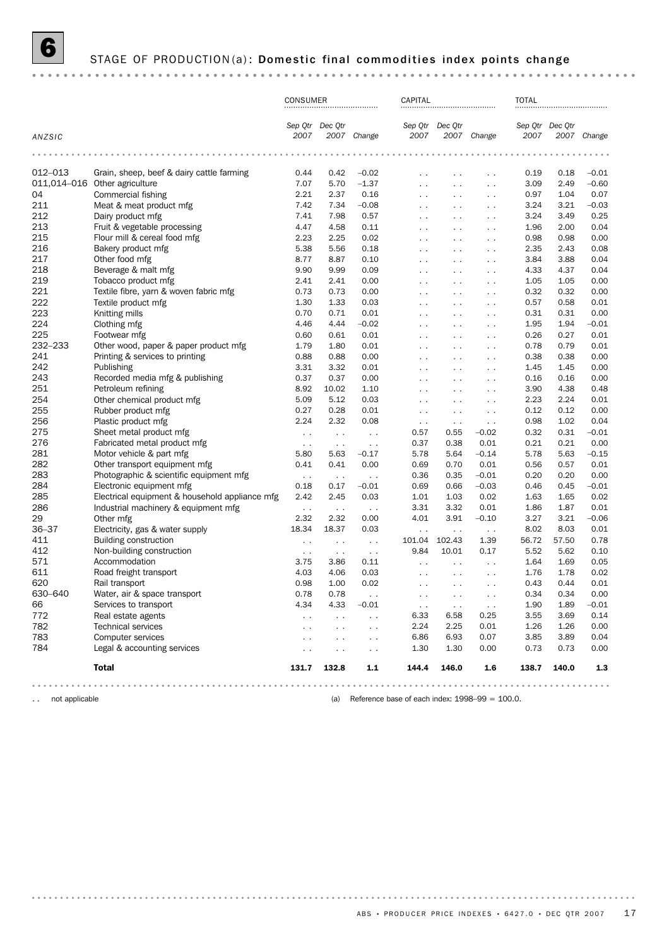# STAGE OF PRODUCTION(a): Domestic final commodities index points change

|           |                                                | CONSUMER                |                      |                      | CAPITAL              |                      |                      | <b>TOTAL</b>            |       |             |
|-----------|------------------------------------------------|-------------------------|----------------------|----------------------|----------------------|----------------------|----------------------|-------------------------|-------|-------------|
| ANZSIC    |                                                | Sep Qtr Dec Qtr<br>2007 |                      | 2007 Change          | 2007                 | Sep Qtr Dec Otr      | 2007 Change          | Sep Qtr Dec Qtr<br>2007 |       | 2007 Change |
|           | .                                              |                         | .                    |                      | .                    |                      | $-0.00$              | .                       |       |             |
| 012–013   | Grain, sheep, beef & dairy cattle farming      | 0.44                    | 0.42                 | $-0.02$              | $\ddot{\phantom{0}}$ | $\ddotsc$            | $\ddot{\phantom{0}}$ | 0.19                    | 0.18  | $-0.01$     |
|           | 011,014-016 Other agriculture                  | 7.07                    | 5.70                 | $-1.37$              | $\ddot{\phantom{0}}$ | $\sim$ $\sim$        | $\sim$               | 3.09                    | 2.49  | $-0.60$     |
| 04        | Commercial fishing                             | 2.21                    | 2.37                 | 0.16                 | $\sim$ $\sim$        | $\sim$ $\sim$        | $\sim$ $\sim$        | 0.97                    | 1.04  | 0.07        |
| 211       | Meat & meat product mfg                        | 7.42                    | 7.34                 | $-0.08$              | $\sim$ $\sim$        | $\sim$ $\sim$        | $\sim$ $\sim$        | 3.24                    | 3.21  | $-0.03$     |
| 212       | Dairy product mfg                              | 7.41                    | 7.98                 | 0.57                 | $\ddotsc$            | $\sim$ $\sim$        | $\ddot{\phantom{0}}$ | 3.24                    | 3.49  | 0.25        |
| 213       | Fruit & vegetable processing                   | 4.47                    | 4.58                 | 0.11                 | $\sim$ $\sim$        | $\sim$               | $\ddot{\phantom{0}}$ | 1.96                    | 2.00  | 0.04        |
| 215       | Flour mill & cereal food mfg                   | 2.23                    | 2.25                 | 0.02                 | $\sim$ $\sim$        | $\sim$ $\sim$        | $\ddot{\phantom{0}}$ | 0.98                    | 0.98  | 0.00        |
| 216       | Bakery product mfg                             | 5.38                    | 5.56                 | 0.18                 | $\sim$ $\sim$        | $\sim$               | $\sim$ $\sim$        | 2.35                    | 2.43  | 0.08        |
| 217       | Other food mfg                                 | 8.77                    | 8.87                 | 0.10                 | $\sim$ $\sim$        | $\sim$ $\sim$        | $\ddot{\phantom{0}}$ | 3.84                    | 3.88  | 0.04        |
| 218       | Beverage & malt mfg                            | 9.90                    | 9.99                 | 0.09                 | $\sim$ $\sim$        | $\sim$ $\sim$        | $\sim$               | 4.33                    | 4.37  | 0.04        |
| 219       | Tobacco product mfg                            | 2.41                    | 2.41                 | 0.00                 | $\sim$ $\sim$        | $\sim$ $\sim$        | $\ddot{\phantom{0}}$ | 1.05                    | 1.05  | 0.00        |
| 221       | Textile fibre, yarn & woven fabric mfg         | 0.73                    | 0.73                 | 0.00                 | $\sim$               | $\sim$ $\sim$        | $\sim$ $\sim$        | 0.32                    | 0.32  | 0.00        |
| 222       | Textile product mfg                            | 1.30                    | 1.33                 | 0.03                 | $\sim$ $\sim$        | $\sim$ $\sim$        | $\ddot{\phantom{0}}$ | 0.57                    | 0.58  | 0.01        |
| 223       | Knitting mills                                 | 0.70                    | 0.71                 | 0.01                 | $\sim$ $\sim$        | $\sim$ $\sim$        | $\sim$ $\sim$        | 0.31                    | 0.31  | 0.00        |
| 224       | Clothing mfg                                   | 4.46                    | 4.44                 | $-0.02$              | $\ddotsc$            | $\sim$ $\sim$        | $\ddot{\phantom{0}}$ | 1.95                    | 1.94  | $-0.01$     |
| 225       | Footwear mfg                                   | 0.60                    | 0.61                 | 0.01                 | $\sim$ $\sim$        | $\sim$               | $\ddot{\phantom{0}}$ | 0.26                    | 0.27  | 0.01        |
| 232-233   | Other wood, paper & paper product mfg          | 1.79                    | 1.80                 | 0.01                 | $\sim$ $\sim$        | $\sim$ $\sim$        | $\ddot{\phantom{0}}$ | 0.78                    | 0.79  | 0.01        |
| 241       | Printing & services to printing                | 0.88                    | 0.88                 | 0.00                 | $\sim$ $\sim$        | $\sim$               | $\sim$ $\sim$        | 0.38                    | 0.38  | 0.00        |
| 242       | Publishing                                     | 3.31                    | 3.32                 | 0.01                 | $\sim$ $\sim$        | $\sim$ $\sim$        | $\ddot{\phantom{0}}$ | 1.45                    | 1.45  | 0.00        |
| 243       | Recorded media mfg & publishing                | 0.37                    | 0.37                 | 0.00                 | $\sim$ $\sim$        | $\sim$ $\sim$        | $\sim$               | 0.16                    | 0.16  | 0.00        |
| 251       | Petroleum refining                             | 8.92                    | 10.02                | 1.10                 | $\sim$ $\sim$        | $\sim$ $\sim$        | $\ddot{\phantom{0}}$ | 3.90                    | 4.38  | 0.48        |
| 254       | Other chemical product mfg                     | 5.09                    | 5.12                 | 0.03                 | $\sim$ $\sim$        | $\sim$ $\sim$        | $\sim$               | 2.23                    | 2.24  | 0.01        |
| 255       | Rubber product mfg                             | 0.27                    | 0.28                 | 0.01                 | $\sim$ $\sim$        | $\sim$ $\sim$        | $\ddot{\phantom{0}}$ | 0.12                    | 0.12  | 0.00        |
| 256       | Plastic product mfg                            | 2.24                    | 2.32                 | 0.08                 | $\sim$ $\sim$        | $\sim$ $\sim$        | $\sim$ $\sim$        | 0.98                    | 1.02  | 0.04        |
| 275       | Sheet metal product mfg                        | $\sim$ $\sim$           | $\sim$ $\sim$        | $\ddot{\phantom{1}}$ | 0.57                 | 0.55                 | $-0.02$              | 0.32                    | 0.31  | $-0.01$     |
| 276       | Fabricated metal product mfg                   | $\sim$ $\sim$           | $\sim$ $\sim$        | $\sim$ $\sim$        | 0.37                 | 0.38                 | 0.01                 | 0.21                    | 0.21  | 0.00        |
| 281       | Motor vehicle & part mfg                       | 5.80                    | 5.63                 | $-0.17$              | 5.78                 | 5.64                 | $-0.14$              | 5.78                    | 5.63  | $-0.15$     |
| 282       | Other transport equipment mfg                  | 0.41                    | 0.41                 | 0.00                 | 0.69                 | 0.70                 | 0.01                 | 0.56                    | 0.57  | 0.01        |
| 283       | Photographic & scientific equipment mfg        | $\sim$ $\sim$           | $\sim$ $\sim$        | $\ddot{\phantom{1}}$ | 0.36                 | 0.35                 | $-0.01$              | 0.20                    | 0.20  | 0.00        |
| 284       | Electronic equipment mfg                       | 0.18                    | 0.17                 | $-0.01$              | 0.69                 | 0.66                 | $-0.03$              | 0.46                    | 0.45  | $-0.01$     |
| 285       | Electrical equipment & household appliance mfg | 2.42                    | 2.45                 | 0.03                 | 1.01                 | 1.03                 | 0.02                 | 1.63                    | 1.65  | 0.02        |
| 286       | Industrial machinery & equipment mfg           | $\sim$ $\sim$           | $\sim$ $\sim$        | $\sim$ $\sim$        | 3.31                 | 3.32                 | 0.01                 | 1.86                    | 1.87  | 0.01        |
| 29        | Other mfg                                      | 2.32                    | 2.32                 | 0.00                 | 4.01                 | 3.91                 | $-0.10$              | 3.27                    | 3.21  | $-0.06$     |
| $36 - 37$ | Electricity, gas & water supply                | 18.34                   | 18.37                | 0.03                 | $\sim$ $\sim$        | $\sim$               | $\sim$ $\sim$        | 8.02                    | 8.03  | 0.01        |
| 411       | <b>Building construction</b>                   | $\sim$ $\sim$           | $\sim$ $\sim$        | $\sim$ $\sim$        | 101.04               | 102.43               | 1.39                 | 56.72                   | 57.50 | 0.78        |
| 412       | Non-building construction                      | $\sim$ $\sim$           | $\sim$ $\sim$        | $\sim$ $\sim$        | 9.84                 | 10.01                | 0.17                 | 5.52                    | 5.62  | 0.10        |
| 571       | Accommodation                                  | 3.75                    | 3.86                 | 0.11                 | $\sim$ $\sim$        | $\ddotsc$            | $\ddot{\phantom{0}}$ | 1.64                    | 1.69  | 0.05        |
| 611       | Road freight transport                         | 4.03                    | 4.06                 | 0.03                 | $\ddotsc$            | $\ddot{\phantom{0}}$ | $\ddot{\phantom{0}}$ | 1.76                    | 1.78  | 0.02        |
| 620       | Rail transport                                 | 0.98                    | 1.00                 | 0.02                 | $\sim$ $\sim$        | $\sim$ $\sim$        | $\ddot{\phantom{0}}$ | 0.43                    | 0.44  | 0.01        |
| 630-640   | Water, air & space transport                   | 0.78                    | 0.78                 |                      |                      |                      |                      | 0.34                    | 0.34  | 0.00        |
| 66        | Services to transport                          | 4.34                    | 4.33                 | $-0.01$              | $\sim$ $\sim$        | $\sim$ $\sim$        | $\sim$ $\sim$        | 1.90                    | 1.89  | $-0.01$     |
| 772       | Real estate agents                             | $\sim$                  | $\sim$ $\sim$        | $\sim$               | 6.33                 | 6.58                 | 0.25                 | 3.55                    | 3.69  | 0.14        |
| 782       | <b>Technical services</b>                      | $\sim$ $\sim$           | $\sim$ $\sim$        | $\sim$ $\sim$        | 2.24                 | 2.25                 | 0.01                 | 1.26                    | 1.26  | 0.00        |
| 783       | Computer services                              | $\sim$ $\sim$           | $\sim$ $\sim$        | $\sim$ $\sim$        | 6.86                 | 6.93                 | 0.07                 | 3.85                    | 3.89  | 0.04        |
| 784       | Legal & accounting services                    | $\ddot{\phantom{1}}$    | $\ddot{\phantom{1}}$ | $\sim$ $\sim$        | 1.30                 | 1.30                 | 0.00                 | 0.73                    | 0.73  | 0.00        |
|           | <b>Total</b>                                   | 131.7                   | 132.8                | $1.1$                | 144.4                | 146.0                | 1.6                  | 138.7                   | 140.0 | 1.3         |
|           |                                                |                         |                      |                      |                      |                      |                      |                         |       |             |

.. not applicable **and the contract of the contract of the contract of each index: 1998–99 = 100.0.**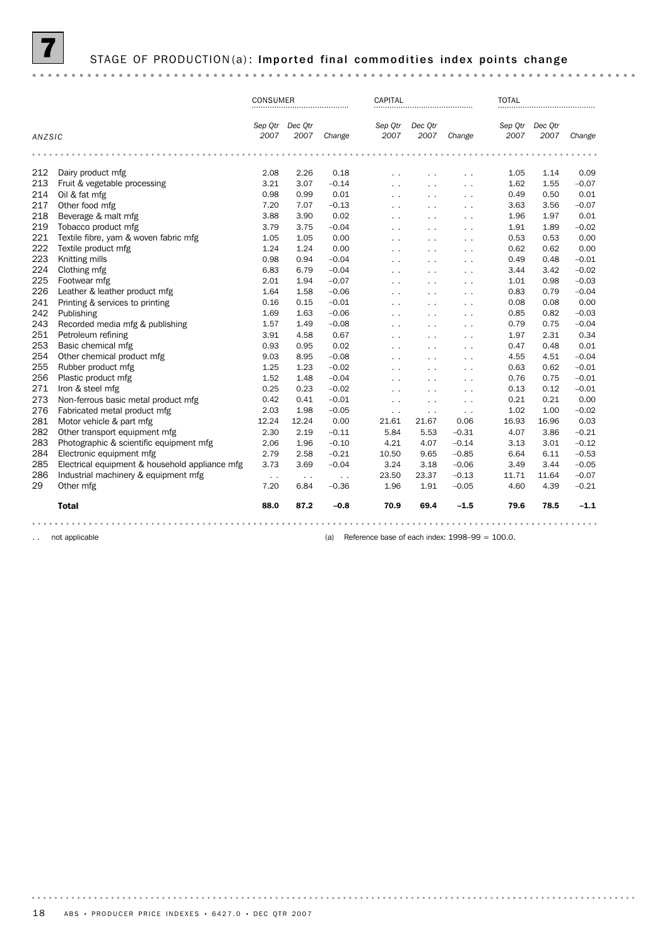

STAGE OF PRODUCTION(a): Imported final commodities index points change

#### CONSUMER CAPITAL CAPITAL TOTAL *Dec Qtr Sep Qtr Dec Qtr Sep Qtr Dec Qtr Sep Qtr Change 2007 ANZSIC Change 2007 2007 2007 Change 2007 2007* 212 Dairy product mfg<br>
213 Fruit & vegetable processing 3.21 3.07 -0.14 . . . . . . . . . 1.62 1.55 -0.07<br>
214 Oil & fat mfg<br>
214 Oil & fat mfg<br>
214 Oil & fat mfg 212 Dairy product mfg 2.08 2.26 0.18 . . . . . . 1.05 1.14 0.09 214 Oil&fat mfg 0.98 0.99 0.01 . . . . . . . . . . 0.49 0.50 0.01 217 Other food mfg 7.20 7.07 –0.13 . . . . . . 3.63 3.56 –0.07 218 Beverage & malt mfg 3.88 3.90 0.02 . . . . . . 1.96 1.97 0.01 218 Beverage & malt mfg<br>
219 Tobacco product mfg<br>
219 Tobacco product mfg<br>
221 Textile fibre, yarn & woven fabric mfg<br>
221 Textile fibre, yarn & woven fabric mfg<br>
221 Textile fibre, yarn & woven fabric mfg<br>
221 Textile fib 221 Textile fibre, yarn & woven fabric mfg 1.05 1.05 0.00 . . . . . . 0.53 0.53 0.00 222 Textile product mfg<br>
222 Textile product mfg<br>
223 Knitting mills<br>
224 Clothing mfg<br>
224 Clothing mfg<br>
224 Clothing mfg<br>
224 Clothing mfg<br>
224 Clothing mfg<br>
224 Clothing mfg<br>
224 Clothing mfg<br>
224 Clothing mfg<br>
224 Clot 223 Knitting mills 0.98 0.94 –0.04 . . . . . . 0.49 0.48 –0.01 224 Clothing mfg 6.83 6.79 –0.04 . . . . . . 3.44 3.42 –0.02 225 Footwear mfg 2.01 1.94 –0.07 . . . . . . 1.01 0.98 –0.03 241 Printing & services to printing 0.16 0.15 –0.01 . . . . . . 0.08 0.08 0.00 226 Leather & leather product mfg 1.64 1.58 –0.06 . . . . . . 0.83 0.79 –0.04 242 Publishing 1.69 1.63 –0.06 . . . . . . 0.85 0.82 –0.03 243 Recorded media mfg & publishing <br>251 Petroleum refining 1.57 1.49 -0.08 . . . . . . . 0.79 0.75 -0.04<br>253 Basic chemical mfg (2.51 0.93 0.95 0.02 . . . . . . . . 0.47 0.48 0.01 251 Petroleum refining 3.91 4.58 0.67 . . . . . . 1.97 2.31 0.34 251 Petroleum refining<br>253 Basic chemical mfg 1990 Companies 1990 Companies 1990 Companies 1990 Companies 1990<br>254 Other chemical product mfg 1990 Companies 1990 Companies 1990 Companies 1990 Companies 1990 Companies 199<br>2 253 Basic chemical mfg 0.93 0.95 0.02 . . . . . . 0.47 0.48 0.01 255 Rubber product mfg 1.25 1.23 –0.02 . . . . . . 0.63 0.62 –0.01 256 Rubber product mfg<br>
256 Rubber product mfg<br>
256 Plastic product mfg<br>
271 Iron & steel mfg<br>
273 Non-ferrous basic metal product mfg<br>
273 Non-ferrous basic metal product mfg<br>
273 Non-ferrous basic metal product mfg<br>
2.03 271 Iron & steel mfg 0.25 0.23 –0.02 . . . . . . 0.13 0.12 –0.01 273 Non-ferrous basic metal product mfg 0.42 0.41 –0.01 . . . . . . 0.21 0.21 0.00 276 Fabricated metal product mfg 2.03 1.98 –0.05 . . . . . . 1.02 1.00 –0.02 281 Motor vehicle & part mfg 12.24 12.24 0.00 21.61 21.67 0.06 16.93 16.96 0.03 282 Other transport equipment mfg 2.30 2.19 –0.11 5.84 5.53 –0.31 4.07 3.86 –0.21 283 Photographic & scientific equipment mfg 2.06 1.96 –0.10 4.21 4.07 –0.14 3.13 3.01 –0.12 284 Electronic equipment mfg 2.79 2.58 –0.21 10.50 9.65 –0.85 6.64 6.11 –0.53 285 Electrical equipment & household appliance mfg 3.73 3.69 –0.04 3.24 3.18 –0.06 3.49 3.44 –0.05 29 Deterministics of the matrice of the matrice of the matrice of the matrice of the matrice of the matrice of<br>29 Other mfg 7.20 6.84 –0.36 1.96 1.91 –0.05 4.60 4.39 –0.21 286 Industrial machinery & equipment mfg . . . . . . 23.50 23.37 –0.13 11.71 11.64 –0.07 Total 88.0 87.2 –0.8 70.9 69.4 –1.5 79.6 78.5 –1.1

.. not applicable  $\qquad \qquad$  100.0.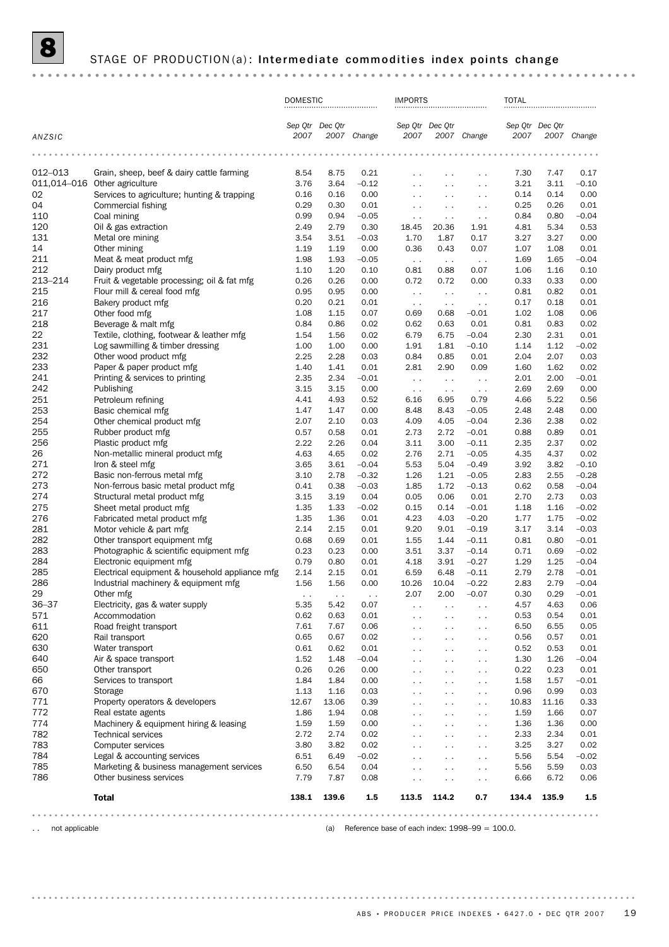# 8 STAGE OF PRODUCTION(a): Intermediate commodities index points change

|            |                                                                               | <b>DOMESTIC</b> |                 |                 |                                       | <b>IMPORTS</b>                        |                                              | <b>TOTAL</b> |                 |                    |
|------------|-------------------------------------------------------------------------------|-----------------|-----------------|-----------------|---------------------------------------|---------------------------------------|----------------------------------------------|--------------|-----------------|--------------------|
| ANZSIC     |                                                                               | 2007            | Sep Qtr Dec Qtr | 2007 Change     | 2007                                  | Sep Qtr Dec Otr                       | 2007 Change                                  | 2007         | Sep Qtr Dec Qtr | 2007 Change        |
|            |                                                                               |                 |                 |                 |                                       |                                       |                                              |              |                 |                    |
|            |                                                                               |                 |                 |                 |                                       |                                       |                                              |              |                 |                    |
| 012-013    | Grain, sheep, beef & dairy cattle farming<br>011,014-016 Other agriculture    | 8.54<br>3.76    | 8.75<br>3.64    | 0.21<br>$-0.12$ | . .                                   | $\sim$ $\sim$                         | $\ddot{\phantom{0}}$                         | 7.30<br>3.21 | 7.47<br>3.11    | 0.17<br>$-0.10$    |
| 02         | Services to agriculture; hunting & trapping                                   | 0.16            | 0.16            | 0.00            | $\ddot{\phantom{1}}$<br>. .           | $\sim$ $\sim$<br>$\ddot{\phantom{0}}$ | $\ddot{\phantom{0}}$<br>$\ddot{\phantom{0}}$ | 0.14         | 0.14            | 0.00               |
| 04         | Commercial fishing                                                            | 0.29            | 0.30            | 0.01            | $\sim$ $\sim$                         | $\sim$ $\sim$                         | $\ddot{\phantom{0}}$                         | 0.25         | 0.26            | 0.01               |
| 110        | Coal mining                                                                   | 0.99            | 0.94            | $-0.05$         | $\sim$ $\sim$                         | $\ddotsc$                             | $\ddot{\phantom{0}}$                         | 0.84         | 0.80            | $-0.04$            |
| 120        | Oil & gas extraction                                                          | 2.49            | 2.79            | 0.30            | 18.45                                 | 20.36                                 | 1.91                                         | 4.81         | 5.34            | 0.53               |
| 131        | Metal ore mining                                                              | 3.54            | 3.51            | $-0.03$         | 1.70                                  | 1.87                                  | 0.17                                         | 3.27         | 3.27            | 0.00               |
| 14         | Other mining                                                                  | 1.19            | 1.19            | 0.00            | 0.36                                  | 0.43                                  | 0.07                                         | 1.07         | 1.08            | 0.01               |
| 211        | Meat & meat product mfg                                                       | 1.98            | 1.93            | $-0.05$         | $\sim$ $\sim$                         | $\sim$ $\sim$                         | $\sim$ $\sim$                                | 1.69         | 1.65            | $-0.04$            |
| 212        | Dairy product mfg                                                             | 1.10            | 1.20            | 0.10            | 0.81                                  | 0.88                                  | 0.07                                         | 1.06         | 1.16            | 0.10               |
| 213-214    | Fruit & vegetable processing; oil & fat mfg                                   | 0.26            | 0.26            | 0.00            | 0.72                                  | 0.72                                  | 0.00                                         | 0.33         | 0.33            | 0.00               |
| 215        | Flour mill & cereal food mfg                                                  | 0.95            | 0.95            | 0.00            | $\sim$                                | $\sim$ $\sim$                         | $\sim$ $\sim$                                | 0.81         | 0.82            | 0.01               |
| 216        | Bakery product mfg                                                            | 0.20            | 0.21            | 0.01            | $\sim$                                | $\sim$ $\sim$                         | $\sim$ $\lambda$                             | 0.17         | 0.18            | 0.01               |
| 217        | Other food mfg                                                                | 1.08            | 1.15            | 0.07            | 0.69                                  | 0.68                                  | $-0.01$                                      | 1.02         | 1.08            | 0.06               |
| 218        | Beverage & malt mfg                                                           | 0.84            | 0.86            | 0.02            | 0.62                                  | 0.63                                  | 0.01                                         | 0.81         | 0.83            | 0.02               |
| 22<br>231  | Textile, clothing, footwear & leather mfg<br>Log sawmilling & timber dressing | 1.54<br>1.00    | 1.56            | 0.02            | 6.79<br>1.91                          | 6.75                                  | $-0.04$                                      | 2.30<br>1.14 | 2.31<br>1.12    | 0.01<br>$-0.02$    |
| 232        | Other wood product mfg                                                        | 2.25            | 1.00<br>2.28    | 0.00<br>0.03    | 0.84                                  | 1.81<br>0.85                          | $-0.10$<br>0.01                              | 2.04         | 2.07            | 0.03               |
| 233        | Paper & paper product mfg                                                     | 1.40            | 1.41            | 0.01            | 2.81                                  | 2.90                                  | 0.09                                         | 1.60         | 1.62            | 0.02               |
| 241        | Printing & services to printing                                               | 2.35            | 2.34            | $-0.01$         | $\sim$ $\sim$                         | $\ddot{\phantom{0}}$                  | $\ddot{\phantom{0}}$                         | 2.01         | 2.00            | $-0.01$            |
| 242        | Publishing                                                                    | 3.15            | 3.15            | 0.00            | $\sim$ $\sim$                         | $\sim$ $\sim$                         | $\sim$ $\sim$                                | 2.69         | 2.69            | 0.00               |
| 251        | Petroleum refining                                                            | 4.41            | 4.93            | 0.52            | 6.16                                  | 6.95                                  | 0.79                                         | 4.66         | 5.22            | 0.56               |
| 253        | Basic chemical mfg                                                            | 1.47            | 1.47            | 0.00            | 8.48                                  | 8.43                                  | $-0.05$                                      | 2.48         | 2.48            | 0.00               |
| 254        | Other chemical product mfg                                                    | 2.07            | 2.10            | 0.03            | 4.09                                  | 4.05                                  | $-0.04$                                      | 2.36         | 2.38            | 0.02               |
| 255        | Rubber product mfg                                                            | 0.57            | 0.58            | 0.01            | 2.73                                  | 2.72                                  | $-0.01$                                      | 0.88         | 0.89            | 0.01               |
| 256        | Plastic product mfg                                                           | 2.22            | 2.26            | 0.04            | 3.11                                  | 3.00                                  | $-0.11$                                      | 2.35         | 2.37            | 0.02               |
| 26         | Non-metallic mineral product mfg                                              | 4.63            | 4.65            | 0.02            | 2.76                                  | 2.71                                  | $-0.05$                                      | 4.35         | 4.37            | 0.02               |
| 271        | Iron & steel mfg                                                              | 3.65            | 3.61            | $-0.04$         | 5.53                                  | 5.04                                  | $-0.49$                                      | 3.92         | 3.82            | $-0.10$            |
| 272        | Basic non-ferrous metal mfg                                                   | 3.10            | 2.78            | $-0.32$         | 1.26                                  | 1.21                                  | $-0.05$                                      | 2.83         | 2.55            | $-0.28$            |
| 273        | Non-ferrous basic metal product mfg                                           | 0.41            | 0.38            | $-0.03$         | 1.85                                  | 1.72                                  | $-0.13$                                      | 0.62         | 0.58            | $-0.04$            |
| 274        | Structural metal product mfg                                                  | 3.15            | 3.19            | 0.04            | 0.05                                  | 0.06                                  | 0.01                                         | 2.70         | 2.73            | 0.03               |
| 275<br>276 | Sheet metal product mfg<br>Fabricated metal product mfg                       | 1.35            | 1.33            | $-0.02$         | 0.15<br>4.23                          | 0.14                                  | $-0.01$                                      | 1.18         | 1.16<br>1.75    | $-0.02$<br>$-0.02$ |
| 281        | Motor vehicle & part mfg                                                      | 1.35<br>2.14    | 1.36<br>2.15    | 0.01<br>0.01    | 9.20                                  | 4.03<br>9.01                          | $-0.20$<br>$-0.19$                           | 1.77<br>3.17 | 3.14            | $-0.03$            |
| 282        | Other transport equipment mfg                                                 | 0.68            | 0.69            | 0.01            | 1.55                                  | 1.44                                  | $-0.11$                                      | 0.81         | 0.80            | $-0.01$            |
| 283        | Photographic & scientific equipment mfg                                       | 0.23            | 0.23            | 0.00            | 3.51                                  | 3.37                                  | $-0.14$                                      | 0.71         | 0.69            | $-0.02$            |
| 284        | Electronic equipment mfg                                                      | 0.79            | 0.80            | 0.01            | 4.18                                  | 3.91                                  | $-0.27$                                      | 1.29         | 1.25            | $-0.04$            |
| 285        | Electrical equipment & household appliance mfg                                | 2.14            | 2.15            | 0.01            | 6.59                                  | 6.48                                  | $-0.11$                                      | 2.79         | 2.78            | $-0.01$            |
| 286        | Industrial machinery & equipment mfg                                          | 1.56            | 1.56            | 0.00            | 10.26                                 | 10.04                                 | $-0.22$                                      | 2.83         | 2.79            | $-0.04$            |
| 29         | Other mfg                                                                     | $\sim$ $\sim$   | $\sim$ $\sim$   | $\sim$ $\sim$   | 2.07                                  | 2.00                                  | $-0.07$                                      | 0.30         | 0.29            | $-0.01$            |
| 36–37      | Electricity, gas & water supply                                               | 5.35            | 5.42            | 0.07            | $\ddot{\phantom{1}}$                  | $\ddotsc$                             | $\ddot{\phantom{0}}$                         | 4.57         | 4.63            | 0.06               |
| 571        | Accommodation                                                                 | 0.62            | 0.63            | 0.01            | $\ddot{\phantom{1}}$                  | $\sim$ $\sim$                         | $\sim$                                       | 0.53         | 0.54            | 0.01               |
| 611        | Road freight transport                                                        | 7.61            | 7.67            | 0.06            | $\ddotsc$                             | $\ddot{\phantom{0}}$                  | $\ddot{\phantom{0}}$                         | 6.50         | 6.55            | 0.05               |
| 620        | Rail transport                                                                | 0.65            | 0.67            | 0.02            | $\ddotsc$                             | $\sim$ $\sim$                         | $\ddotsc$                                    | 0.56         | 0.57            | 0.01               |
| 630        | Water transport                                                               | 0.61            | 0.62            | 0.01            | $\ddot{\phantom{0}}$                  | $\ddot{\phantom{0}}$                  | $\ddot{\phantom{0}}$                         | 0.52         | 0.53            | 0.01               |
| 640        | Air & space transport                                                         | 1.52            | 1.48            | $-0.04$         | $\ddot{\phantom{0}}$                  | $\sim$ $\sim$                         | $\sim$                                       | 1.30         | 1.26            | $-0.04$            |
| 650<br>66  | Other transport<br>Services to transport                                      | 0.26<br>1.84    | 0.26<br>1.84    | 0.00<br>0.00    | . .                                   | $\sim$                                | $\sim$                                       | 0.22         | 0.23<br>1.57    | 0.01<br>$-0.01$    |
| 670        | Storage                                                                       | 1.13            | 1.16            | 0.03            | $\ddotsc$                             | $\ddot{\phantom{0}}$                  | $\sim$<br>$\sim$                             | 1.58<br>0.96 | 0.99            | 0.03               |
| 771        | Property operators & developers                                               | 12.67           | 13.06           | 0.39            | $\sim$ $\sim$<br>$\ddot{\phantom{0}}$ | $\sim$ $\sim$<br>$\sim$ $\sim$        | $\ddotsc$                                    | 10.83        | 11.16           | 0.33               |
| 772        | Real estate agents                                                            | 1.86            | 1.94            | 0.08            | $\ddot{\phantom{0}}$                  | $\sim$                                | $\sim$                                       | 1.59         | 1.66            | 0.07               |
| 774        | Machinery & equipment hiring & leasing                                        | 1.59            | 1.59            | 0.00            | $\sim$                                | $\sim$                                | $\sim$ $\sim$                                | 1.36         | 1.36            | 0.00               |
| 782        | <b>Technical services</b>                                                     | 2.72            | 2.74            | 0.02            | $\ddot{\phantom{0}}$                  | $\ddot{\phantom{0}}$                  | $\sim$                                       | 2.33         | 2.34            | 0.01               |
| 783        | Computer services                                                             | 3.80            | 3.82            | 0.02            | $\sim$ $\sim$                         | $\sim$ $\sim$                         | $\sim$                                       | 3.25         | 3.27            | 0.02               |
| 784        | Legal & accounting services                                                   | 6.51            | 6.49            | $-0.02$         |                                       | $\sim$ $\sim$                         | $\ddotsc$                                    | 5.56         | 5.54            | $-0.02$            |
| 785        | Marketing & business management services                                      | 6.50            | 6.54            | 0.04            | $\ddot{\phantom{0}}$                  | $\sim$ $\sim$                         | $\sim$                                       | 5.56         | 5.59            | 0.03               |
| 786        | Other business services                                                       | 7.79            | 7.87            | 0.08            | . .                                   | $\sim$                                | $\sim$ $\sim$                                | 6.66         | 6.72            | 0.06               |
|            |                                                                               |                 |                 |                 |                                       |                                       |                                              |              |                 |                    |
|            | <b>Total</b>                                                                  | 138.1           | 139.6           | 1.5             | 113.5                                 | 114.2                                 | 0.7                                          | 134.4        | 135.9           | 1.5                |
|            |                                                                               |                 |                 |                 |                                       |                                       |                                              |              |                 |                    |

.. not applicable **a** not applicable **a** not applicable **a** not applicable **a** not applicable **a** not applicable **a** not applicable **a** not applicable **a** not applicable **a** not applicable **a** not applicable **a** not applic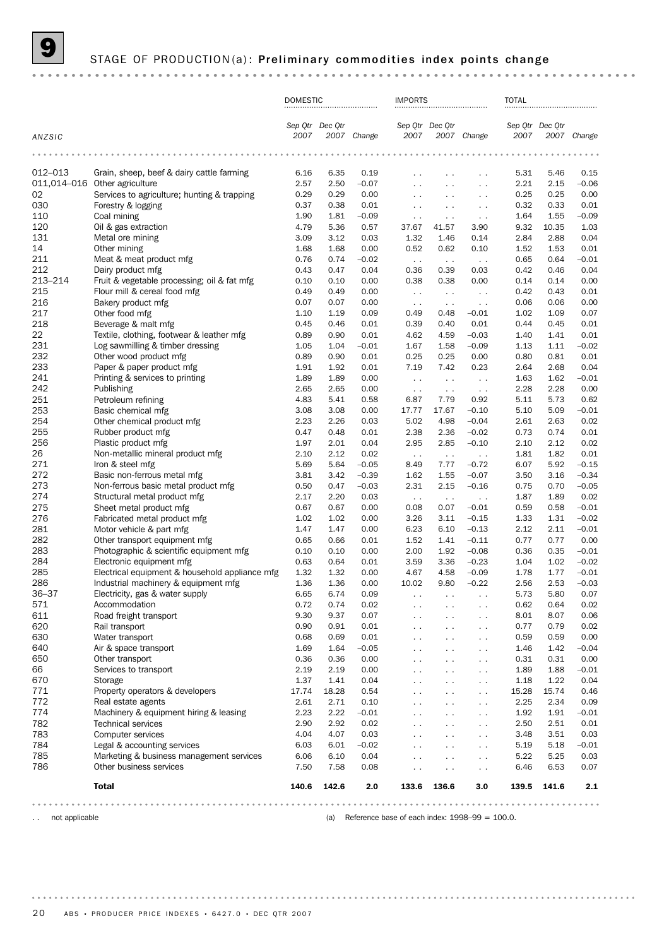## STAGE OF PRODUCTION(a): Preliminary commodities index points change

|            |                                                                                        | <b>DOMESTIC</b> |                 | <b>IMPORTS</b>  |                                              |                                       | <b>TOTAL</b>                                                                                                              |                         |              |                    |
|------------|----------------------------------------------------------------------------------------|-----------------|-----------------|-----------------|----------------------------------------------|---------------------------------------|---------------------------------------------------------------------------------------------------------------------------|-------------------------|--------------|--------------------|
| ANZSIC     |                                                                                        | 2007            | Sep Qtr Dec Qtr | 2007 Change     | 2007                                         | Sep Qtr Dec Qtr                       | 2007 Change                                                                                                               | Sep Qtr Dec Qtr<br>2007 |              | 2007 Change        |
|            |                                                                                        | $\cdots$        |                 |                 |                                              |                                       | $\begin{array}{cccccccccccccc} \bullet & \bullet & \bullet & \bullet & \bullet & \bullet & \bullet & \bullet \end{array}$ |                         |              |                    |
|            |                                                                                        |                 |                 |                 |                                              |                                       |                                                                                                                           |                         |              |                    |
| 012-013    | Grain, sheep, beef & dairy cattle farming<br>011,014-016 Other agriculture             | 6.16<br>2.57    | 6.35<br>2.50    | 0.19<br>$-0.07$ | $\ddot{\phantom{0}}$<br>$\ddot{\phantom{0}}$ | $\sim$                                | $\sim$ $\sim$<br>$\ddot{\phantom{0}}$                                                                                     | 5.31<br>2.21            | 5.46<br>2.15 | 0.15<br>$-0.06$    |
| 02         | Services to agriculture; hunting & trapping                                            | 0.29            | 0.29            | 0.00            | $\ddot{\phantom{0}}$                         | $\sim$ $\sim$<br>$\ddot{\phantom{0}}$ | $\ddot{\phantom{0}}$                                                                                                      | 0.25                    | 0.25         | 0.00               |
| 030        | Forestry & logging                                                                     | 0.37            | 0.38            | 0.01            | $\ddotsc$                                    | $\sim$                                | $\ddot{\phantom{0}}$                                                                                                      | 0.32                    | 0.33         | 0.01               |
| 110        | Coal mining                                                                            | 1.90            | 1.81            | $-0.09$         | $\ddot{\phantom{0}}$                         | $\sim$ $\sim$                         | $\sim$ $\sim$                                                                                                             | 1.64                    | 1.55         | $-0.09$            |
| 120        | Oil & gas extraction                                                                   | 4.79            | 5.36            | 0.57            | 37.67                                        | 41.57                                 | 3.90                                                                                                                      | 9.32                    | 10.35        | 1.03               |
| 131        | Metal ore mining                                                                       | 3.09            | 3.12            | 0.03            | 1.32                                         | 1.46                                  | 0.14                                                                                                                      | 2.84                    | 2.88         | 0.04               |
| 14         | Other mining                                                                           | 1.68            | 1.68            | 0.00            | 0.52                                         | 0.62                                  | 0.10                                                                                                                      | 1.52                    | 1.53         | 0.01               |
| 211        | Meat & meat product mfg                                                                | 0.76            | 0.74            | $-0.02$         | $\sim$ $\sim$                                | $\sim$ $\sim$                         | $\sim$ $\sim$                                                                                                             | 0.65                    | 0.64         | $-0.01$            |
| 212        | Dairy product mfg                                                                      | 0.43            | 0.47            | 0.04            | 0.36                                         | 0.39                                  | 0.03                                                                                                                      | 0.42                    | 0.46         | 0.04               |
| 213-214    | Fruit & vegetable processing; oil & fat mfg                                            | 0.10            | 0.10            | 0.00            | 0.38                                         | 0.38                                  | 0.00                                                                                                                      | 0.14                    | 0.14         | 0.00               |
| 215<br>216 | Flour mill & cereal food mfg<br>Bakery product mfg                                     | 0.49<br>0.07    | 0.49<br>0.07    | 0.00<br>0.00    | $\sim$ $\sim$                                | $\sim$                                | $\sim$ $\sim$                                                                                                             | 0.42<br>0.06            | 0.43<br>0.06 | 0.01<br>0.00       |
| 217        | Other food mfg                                                                         | 1.10            | 1.19            | 0.09            | $\sim$ $\sim$<br>0.49                        | $\sim$ $\sim$<br>0.48                 | $\sim$ $\sim$<br>$-0.01$                                                                                                  | 1.02                    | 1.09         | 0.07               |
| 218        | Beverage & malt mfg                                                                    | 0.45            | 0.46            | 0.01            | 0.39                                         | 0.40                                  | 0.01                                                                                                                      | 0.44                    | 0.45         | 0.01               |
| 22         | Textile, clothing, footwear & leather mfg                                              | 0.89            | 0.90            | 0.01            | 4.62                                         | 4.59                                  | $-0.03$                                                                                                                   | 1.40                    | 1.41         | 0.01               |
| 231        | Log sawmilling & timber dressing                                                       | 1.05            | 1.04            | $-0.01$         | 1.67                                         | 1.58                                  | $-0.09$                                                                                                                   | 1.13                    | 1.11         | $-0.02$            |
| 232        | Other wood product mfg                                                                 | 0.89            | 0.90            | 0.01            | 0.25                                         | 0.25                                  | 0.00                                                                                                                      | 0.80                    | 0.81         | 0.01               |
| 233        | Paper & paper product mfg                                                              | 1.91            | 1.92            | 0.01            | 7.19                                         | 7.42                                  | 0.23                                                                                                                      | 2.64                    | 2.68         | 0.04               |
| 241        | Printing & services to printing                                                        | 1.89            | 1.89            | 0.00            | $\sim$ $\sim$                                | $\ddot{\phantom{0}}$                  | $\sim$ $\sim$                                                                                                             | 1.63                    | 1.62         | $-0.01$            |
| 242        | Publishing                                                                             | 2.65            | 2.65            | 0.00            | $\sim$ $\sim$                                | $\sim$                                | $\sim$ $\sim$                                                                                                             | 2.28                    | 2.28         | 0.00               |
| 251        | Petroleum refining                                                                     | 4.83            | 5.41            | 0.58            | 6.87                                         | 7.79                                  | 0.92                                                                                                                      | 5.11                    | 5.73         | 0.62               |
| 253        | Basic chemical mfg                                                                     | 3.08            | 3.08            | 0.00            | 17.77                                        | 17.67                                 | $-0.10$                                                                                                                   | 5.10                    | 5.09         | $-0.01$            |
| 254        | Other chemical product mfg                                                             | 2.23            | 2.26            | 0.03            | 5.02                                         | 4.98                                  | $-0.04$                                                                                                                   | 2.61                    | 2.63         | 0.02               |
| 255        | Rubber product mfg                                                                     | 0.47<br>1.97    | 0.48            | 0.01            | 2.38                                         | 2.36                                  | $-0.02$                                                                                                                   | 0.73                    | 0.74         | 0.01               |
| 256<br>26  | Plastic product mfg<br>Non-metallic mineral product mfg                                | 2.10            | 2.01<br>2.12    | 0.04<br>0.02    | 2.95                                         | 2.85                                  | $-0.10$                                                                                                                   | 2.10<br>1.81            | 2.12<br>1.82 | 0.02<br>0.01       |
| 271        | Iron & steel mfg                                                                       | 5.69            | 5.64            | $-0.05$         | $\sim$ $\sim$<br>8.49                        | $\sim$ $\sim$<br>7.77                 | $\ddot{\phantom{0}}$<br>$-0.72$                                                                                           | 6.07                    | 5.92         | $-0.15$            |
| 272        | Basic non-ferrous metal mfg                                                            | 3.81            | 3.42            | $-0.39$         | 1.62                                         | 1.55                                  | $-0.07$                                                                                                                   | 3.50                    | 3.16         | $-0.34$            |
| 273        | Non-ferrous basic metal product mfg                                                    | 0.50            | 0.47            | $-0.03$         | 2.31                                         | 2.15                                  | $-0.16$                                                                                                                   | 0.75                    | 0.70         | $-0.05$            |
| 274        | Structural metal product mfg                                                           | 2.17            | 2.20            | 0.03            | $\sim$ $\sim$                                | $\sim$ $\sim$                         | $\sim$ $\sim$                                                                                                             | 1.87                    | 1.89         | 0.02               |
| 275        | Sheet metal product mfg                                                                | 0.67            | 0.67            | 0.00            | 0.08                                         | 0.07                                  | $-0.01$                                                                                                                   | 0.59                    | 0.58         | $-0.01$            |
| 276        | Fabricated metal product mfg                                                           | 1.02            | 1.02            | 0.00            | 3.26                                         | 3.11                                  | $-0.15$                                                                                                                   | 1.33                    | 1.31         | $-0.02$            |
| 281        | Motor vehicle & part mfg                                                               | 1.47            | 1.47            | 0.00            | 6.23                                         | 6.10                                  | $-0.13$                                                                                                                   | 2.12                    | 2.11         | $-0.01$            |
| 282        | Other transport equipment mfg                                                          | 0.65            | 0.66            | 0.01            | 1.52                                         | 1.41                                  | $-0.11$                                                                                                                   | 0.77                    | 0.77         | 0.00               |
| 283        | Photographic & scientific equipment mfg                                                | 0.10            | 0.10            | 0.00            | 2.00                                         | 1.92                                  | $-0.08$                                                                                                                   | 0.36                    | 0.35         | $-0.01$            |
| 284        | Electronic equipment mfg                                                               | 0.63            | 0.64            | 0.01            | 3.59                                         | 3.36                                  | $-0.23$                                                                                                                   | 1.04                    | 1.02         | $-0.02$            |
| 285<br>286 | Electrical equipment & household appliance mfg<br>Industrial machinery & equipment mfg | 1.32<br>1.36    | 1.32<br>1.36    | 0.00<br>0.00    | 4.67<br>10.02                                | 4.58<br>9.80                          | $-0.09$<br>$-0.22$                                                                                                        | 1.78<br>2.56            | 1.77<br>2.53 | $-0.01$<br>$-0.03$ |
| $36 - 37$  | Electricity, gas & water supply                                                        | 6.65            | 6.74            | 0.09            |                                              |                                       |                                                                                                                           | 5.73                    | 5.80         | 0.07               |
| 571        | Accommodation                                                                          | 0.72            | 0.74            | 0.02            | $\sim$                                       | $\sim$ $\sim$                         | $\cdot$ .<br>$\sim$                                                                                                       | 0.62                    | 0.64         | 0.02               |
| 611        | Road freight transport                                                                 | 9.30            | 9.37            | 0.07            | $\ddot{\phantom{0}}$                         | $\sim$ $\sim$                         | $\sim$ $\sim$                                                                                                             | 8.01                    | 8.07         | 0.06               |
| 620        | Rail transport                                                                         | 0.90            | 0.91            | 0.01            | $\sim$                                       | $\sim$ $\sim$                         | $\sim$ .                                                                                                                  | 0.77                    | 0.79         | 0.02               |
| 630        | Water transport                                                                        | 0.68            | 0.69            | 0.01            | $\sim$                                       | $\sim$ $\sim$                         | $\sim$ .                                                                                                                  | 0.59                    | 0.59         | 0.00               |
| 640        | Air & space transport                                                                  | 1.69            | 1.64            | $-0.05$         | $\ddot{\phantom{0}}$                         | $\ddot{\phantom{0}}$                  | $\sim$ .                                                                                                                  | 1.46                    | 1.42         | $-0.04$            |
| 650        | Other transport                                                                        | 0.36            | 0.36            | 0.00            | $\sim$ $\sim$                                | $\sim$ $\sim$                         | $\sim$ .                                                                                                                  | 0.31                    | 0.31         | 0.00               |
| 66         | Services to transport                                                                  | 2.19            | 2.19            | 0.00            | $\ddotsc$                                    | $\sim$                                | $\sim$                                                                                                                    | 1.89                    | 1.88         | $-0.01$            |
| 670        | Storage                                                                                | 1.37            | 1.41            | 0.04            | $\sim$                                       | $\sim$                                | $\sim$ .                                                                                                                  | 1.18                    | 1.22         | 0.04               |
| 771        | Property operators & developers                                                        | 17.74           | 18.28           | 0.54            | $\sim$                                       | $\sim$                                | $\sim$                                                                                                                    | 15.28                   | 15.74        | 0.46               |
| 772        | Real estate agents                                                                     | 2.61            | 2.71            | 0.10            | $\ddotsc$                                    | $\sim$ $\sim$                         | $\sim$                                                                                                                    | 2.25                    | 2.34         | 0.09               |
| 774        | Machinery & equipment hiring & leasing                                                 | 2.23            | 2.22            | $-0.01$         | $\sim$                                       | $\sim$                                | $\sim$ .                                                                                                                  | 1.92                    | 1.91         | $-0.01$            |
| 782<br>783 | <b>Technical services</b><br>Computer services                                         | 2.90<br>4.04    | 2.92<br>4.07    | 0.02<br>0.03    | $\ddot{\phantom{0}}$                         | $\sim$                                | $\sim$                                                                                                                    | 2.50<br>3.48            | 2.51<br>3.51 | 0.01<br>0.03       |
| 784        | Legal & accounting services                                                            | 6.03            | 6.01            | $-0.02$         | $\sim$                                       | $\sim$ $\sim$                         | $\sim$ .<br>$\sim$                                                                                                        | 5.19                    | 5.18         | $-0.01$            |
| 785        | Marketing & business management services                                               | 6.06            | 6.10            | 0.04            | $\sim$<br>$\ddot{\phantom{0}}$               | $\sim$<br>$\sim$ $\sim$               | $\sim$                                                                                                                    | 5.22                    | 5.25         | 0.03               |
| 786        | Other business services                                                                | 7.50            | 7.58            | 0.08            | $\ddot{\phantom{1}}$                         | $\sim$                                | $\sim$                                                                                                                    | 6.46                    | 6.53         | 0.07               |
|            | <b>Total</b>                                                                           | 140.6           | 142.6           | 2.0             | 133.6                                        | 136.6                                 | 3.0                                                                                                                       | 139.5                   | 141.6        | 2.1                |

.. not applicable **a** not applicable **a** not applicable **a** not applicable **a** not applicable **a** not applicable **a** not applicable **a** not applicable **a** not applicable **a** not applicable **a** not applicable **a** not applic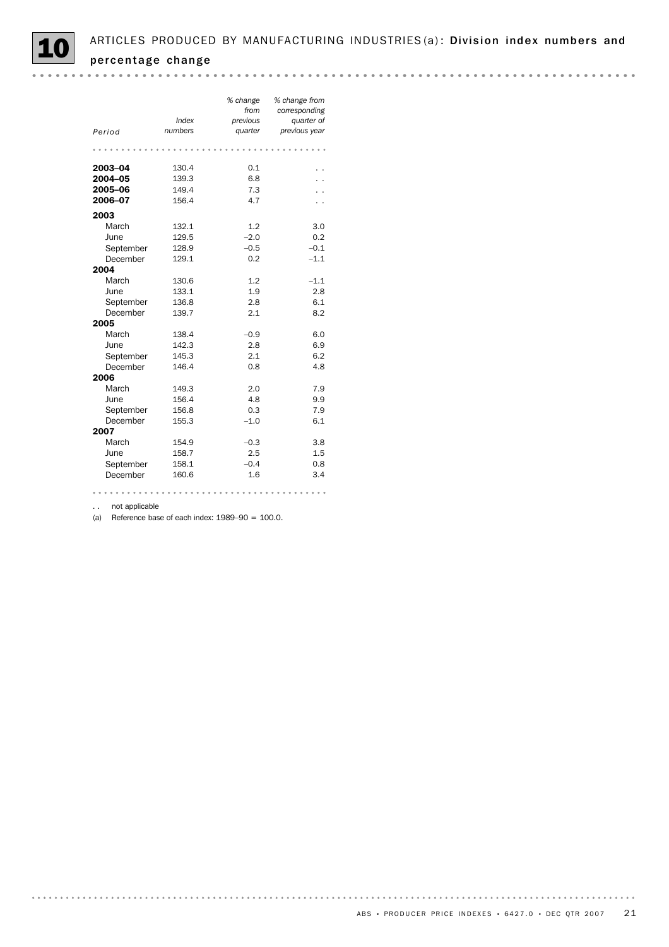|           | Index   | % change<br>from<br>previous | % change from<br>corresponding<br>quarter of |
|-----------|---------|------------------------------|----------------------------------------------|
| Period    | numbers | quarter                      | previous year                                |
|           |         |                              |                                              |
| 2003-04   | 130.4   | 0.1                          |                                              |
| 2004-05   | 139.3   | 6.8                          |                                              |
| 2005-06   | 149.4   | 7.3                          |                                              |
| 2006-07   | 156.4   | 4.7                          |                                              |
| 2003      |         |                              |                                              |
| March     | 132.1   | 1.2                          | 3.0                                          |
| June      | 129.5   | $-2.0$                       | 0.2                                          |
| September | 128.9   | $-0.5$                       | $-0.1$                                       |
| December  | 129.1   | 0.2                          | $-1.1$                                       |
| 2004      |         |                              |                                              |
| March     | 130.6   | 1.2                          | $-1.1$                                       |
| June      | 133.1   | 1.9                          | 2.8                                          |
| September | 136.8   | 2.8                          | 6.1                                          |
| December  | 139.7   | 2.1                          | 8.2                                          |
| 2005      |         |                              |                                              |
| March     | 138.4   | $-0.9$                       | 6.0                                          |
| June      | 142.3   | 2.8                          | 6.9                                          |
| September | 145.3   | 2.1                          | 6.2                                          |
| December  | 146.4   | 0.8                          | 4.8                                          |
| 2006      |         |                              |                                              |
| March     | 149.3   | 2.0                          | 7.9                                          |
| June      | 156.4   | 4.8                          | 9.9                                          |
| September | 156.8   | 0.3                          | 7.9                                          |
| December  | 155.3   | $-1.0$                       | 6.1                                          |
| 2007      |         |                              |                                              |
| March     | 154.9   | $-0.3$                       | 3.8                                          |
| June      | 158.7   | 2.5                          | 1.5                                          |
| September | 158.1   | $-0.4$                       | 0.8                                          |
| December  | 160.6   | 1.6                          | 3.4                                          |
|           |         |                              |                                              |

.. not applicable

(a) Reference base of each index:  $1989-90 = 100.0$ .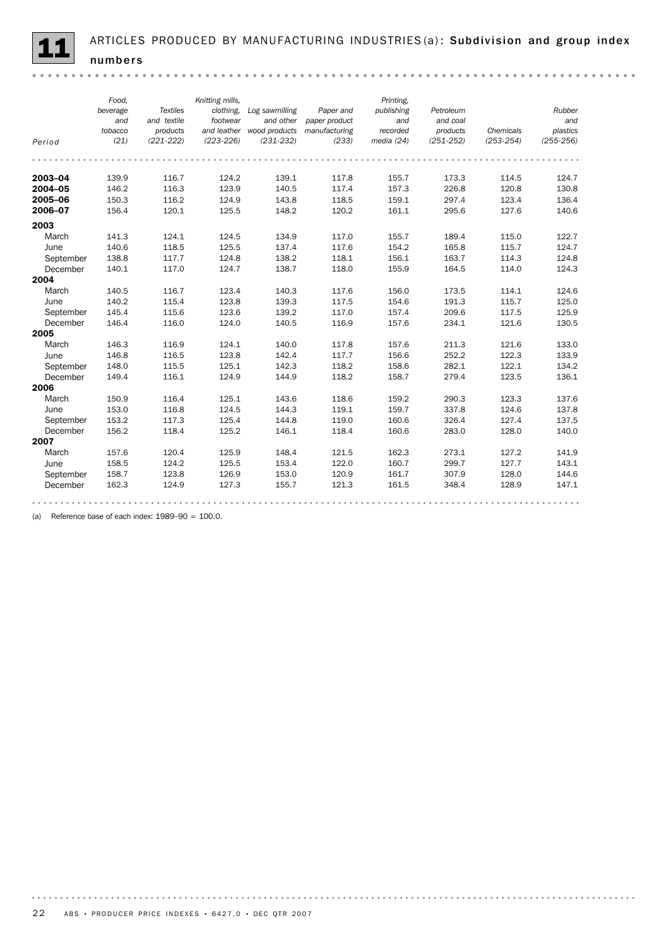

ARTICLES PRODUCED BY MANUFACTURING INDUSTRIES(a): Subdivision and group index numbers

|                                                | Food.<br>beverage<br>and         | <b>Textiles</b><br>and textile   | Knitting mills,<br>clothing.<br>footwear | Log sawmilling<br>and other                | Paper and<br>paper product       | Printing,<br>publishing<br>and   | Petroleum<br>and coal            |                                  | Rubber<br>and                    |
|------------------------------------------------|----------------------------------|----------------------------------|------------------------------------------|--------------------------------------------|----------------------------------|----------------------------------|----------------------------------|----------------------------------|----------------------------------|
| Period                                         | tobacco<br>(21)                  | products<br>$(221 - 222)$        | $(223 - 226)$                            | and leather wood products<br>$(231 - 232)$ | manufacturing<br>(233)           | recorded<br>media (24)           | products<br>$(251 - 252)$        | Chemicals<br>$(253 - 254)$       | plastics<br>$(255 - 256)$        |
|                                                |                                  |                                  |                                          |                                            |                                  |                                  |                                  |                                  |                                  |
| 2003-04<br>2004-05<br>2005-06<br>2006-07       | 139.9<br>146.2<br>150.3<br>156.4 | 116.7<br>116.3<br>116.2<br>120.1 | 124.2<br>123.9<br>124.9<br>125.5         | 139.1<br>140.5<br>143.8<br>148.2           | 117.8<br>117.4<br>118.5<br>120.2 | 155.7<br>157.3<br>159.1<br>161.1 | 173.3<br>226.8<br>297.4<br>295.6 | 114.5<br>120.8<br>123.4<br>127.6 | 124.7<br>130.8<br>136.4<br>140.6 |
|                                                |                                  |                                  |                                          |                                            |                                  |                                  |                                  |                                  |                                  |
| 2003<br>March<br>June<br>September<br>December | 141.3<br>140.6<br>138.8<br>140.1 | 124.1<br>118.5<br>117.7<br>117.0 | 124.5<br>125.5<br>124.8<br>124.7         | 134.9<br>137.4<br>138.2<br>138.7           | 117.0<br>117.6<br>118.1<br>118.0 | 155.7<br>154.2<br>156.1<br>155.9 | 189.4<br>165.8<br>163.7<br>164.5 | 115.0<br>115.7<br>114.3<br>114.0 | 122.7<br>124.7<br>124.8<br>124.3 |
| 2004                                           |                                  |                                  |                                          |                                            |                                  |                                  |                                  |                                  |                                  |
| March<br>June<br>September                     | 140.5<br>140.2<br>145.4          | 116.7<br>115.4<br>115.6          | 123.4<br>123.8<br>123.6                  | 140.3<br>139.3<br>139.2                    | 117.6<br>117.5<br>117.0          | 156.0<br>154.6<br>157.4          | 173.5<br>191.3<br>209.6          | 114.1<br>115.7<br>117.5          | 124.6<br>125.0<br>125.9          |
| December<br>2005                               | 146.4                            | 116.0                            | 124.0                                    | 140.5                                      | 116.9                            | 157.6                            | 234.1                            | 121.6                            | 130.5                            |
| March<br>June<br>September<br>December         | 146.3<br>146.8<br>148.0<br>149.4 | 116.9<br>116.5<br>115.5<br>116.1 | 124.1<br>123.8<br>125.1<br>124.9         | 140.0<br>142.4<br>142.3<br>144.9           | 117.8<br>117.7<br>118.2<br>118.2 | 157.6<br>156.6<br>158.6<br>158.7 | 211.3<br>252.2<br>282.1<br>279.4 | 121.6<br>122.3<br>122.1<br>123.5 | 133.0<br>133.9<br>134.2<br>136.1 |
| 2006                                           |                                  |                                  |                                          |                                            |                                  |                                  |                                  |                                  |                                  |
| March<br>June<br>September<br>December         | 150.9<br>153.0<br>153.2<br>156.2 | 116.4<br>116.8<br>117.3<br>118.4 | 125.1<br>124.5<br>125.4<br>125.2         | 143.6<br>144.3<br>144.8<br>146.1           | 118.6<br>119.1<br>119.0<br>118.4 | 159.2<br>159.7<br>160.6<br>160.6 | 290.3<br>337.8<br>326.4<br>283.0 | 123.3<br>124.6<br>127.4<br>128.0 | 137.6<br>137.8<br>137.5<br>140.0 |
| 2007                                           |                                  |                                  |                                          |                                            |                                  |                                  |                                  |                                  |                                  |
| March<br>June<br>September<br>December         | 157.6<br>158.5<br>158.7<br>162.3 | 120.4<br>124.2<br>123.8<br>124.9 | 125.9<br>125.5<br>126.9<br>127.3         | 148.4<br>153.4<br>153.0<br>155.7           | 121.5<br>122.0<br>120.9<br>121.3 | 162.3<br>160.7<br>161.7<br>161.5 | 273.1<br>299.7<br>307.9<br>348.4 | 127.2<br>127.7<br>128.0<br>128.9 | 141.9<br>143.1<br>144.6<br>147.1 |
|                                                |                                  |                                  |                                          |                                            |                                  |                                  |                                  |                                  |                                  |

(a) Reference base of each index:  $1989-90 = 100.0$ .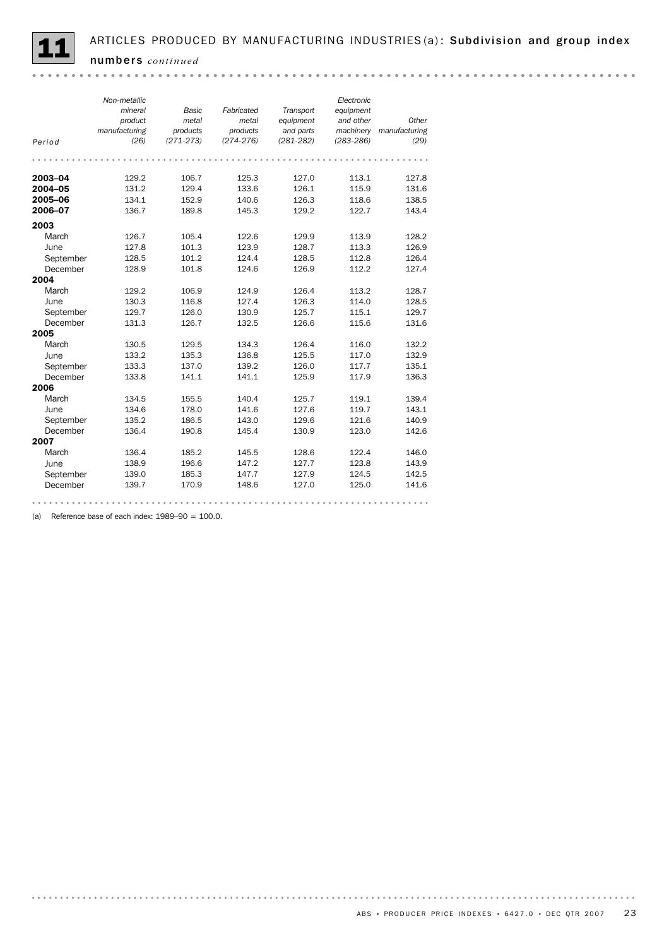

*Non-metallic Electronic Transport mineral Basic Fabricated equipment product equipment metal metal and other Other manufacturing products products and parts manufacturing machinery Period (26) (271-273) (274-276) (281-282) (283-286) (29)* **2003–04** 129.2 106.7 125.3 127.0 113.1 127.8 **2004–05** 131.2 129.4 133.6 126.1 115.9 131.6 **2005–06** 134.1 152.9 140.6 126.3 118.6 138.5 **2006–07** 136.7 189.8 145.3 129.2 122.7 143.4 2003 March 126.7 105.4 122.6 129.9 113.9 128.2 <table>\n<tbody>\n<tr>\n<th>June</th>\n<th>127.8</th>\n<th>101.3</th>\n<th>123.9</th>\n<th>128.7</th>\n<th>113.3</th>\n<th>126.9</th>\n</tr>\n<tr>\n<td>September</td>\n<td>128.5</td>\n<td>101.2</td>\n<td>124.4</td>\n<td>128.5</td>\n<td>112.8</td>\n<td>126.4</td>\n</tr>\n<tr>\n<td>December</td>\n<td>128.9</td>\n<td>101.8</td>\n<td>124.6</td>\n<td>126.9</td>\n<td> June 127.8 101.3 123.9 128.7 113.3 126.9 December 128.9 101.8 124.6 126.9 112.2 127.4 **2004**<br>March March 129.2 106.9 124.9 126.4 113.2 128.7 June 130.3 116.8 127.4 126.3 114.0 128.5 September 129.7 126.0 130.9 125.7 115.1 129.7 December 131.3 126.7 132.5 126.6 115.6 131.6 2005 March 130.5 129.5 134.3 126.4 116.0 132.2 June 133.2 135.3 136.8 125.5 117.0 132.9 September 133.3 137.0 139.2 126.0 117.7 135.1 December 133.8 141.1 141.1 125.9 117.9 136.3 **2006**<br>March June 134.6 178.0 141.6 127.6 119.7 143.1 March 134.5 155.5 140.4 125.7 119.1 139.4 dune 134.6 170.0 1.1.0<br>September 135.2 186.5 143.0 129.6 121.6 140.9 December 136.4 190.8 145.4 130.9 123.0 142.6 2007 March 136.4 185.2 145.5 128.6 122.4 146.0 June 138.9 196.6 147.2 127.7 123.8 143.9 September 139.0 185.3 147.7 127.9 124.5 142.5 December 139.7 170.9 148.6 127.0 125.0 141.6

(a) Reference base of each index:  $1989-90 = 100.0$ .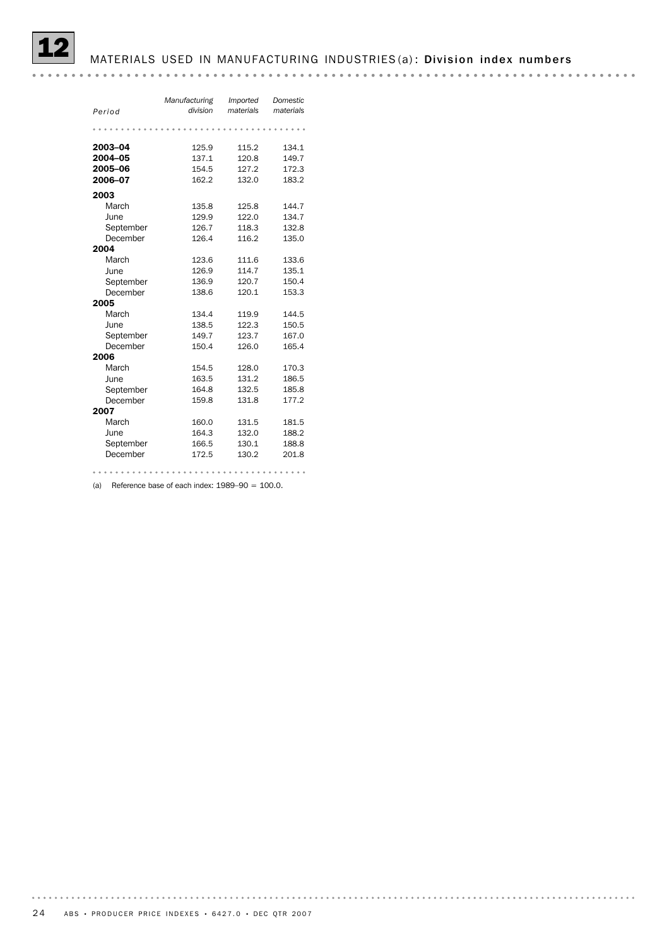## MATERIALS USED IN MANUFACTURING INDUSTRIES (a): Division index numbers

|           | Manufacturing | Imported  | Domestic  |
|-----------|---------------|-----------|-----------|
| Period    | division      | materials | materials |
|           |               |           |           |
|           |               |           |           |
| 2003-04   | 125.9         | 115.2     | 134.1     |
| 2004-05   | 137.1         | 120.8     | 149.7     |
| 2005-06   | 154.5         | 127.2     | 172.3     |
| 2006-07   | 162.2         | 132.0     | 183.2     |
| 2003      |               |           |           |
| March     | 135.8         | 125.8     | 144.7     |
| June      | 129.9         | 122.0     | 134.7     |
| September | 126.7         | 118.3     | 132.8     |
| December  | 126.4         | 116.2     | 135.0     |
| 2004      |               |           |           |
| March     | 123.6         | 111.6     | 133.6     |
| June      | 126.9         | 114.7     | 135.1     |
| September | 136.9         | 120.7     | 150.4     |
| December  | 138.6         | 120.1     | 153.3     |
| 2005      |               |           |           |
| March     | 134.4         | 119.9     | 144.5     |
| June      | 138.5         | 122.3     | 150.5     |
| September | 149.7         | 123.7     | 167.0     |
| December  | 150.4         | 126.0     | 165.4     |
| 2006      |               |           |           |
| March     | 154.5         | 128.0     | 170.3     |
| June      | 163.5         | 131.2     | 186.5     |
| September | 164.8         | 132.5     | 185.8     |
| December  | 159.8         | 131.8     | 177.2     |
| 2007      |               |           |           |
| March     | 160.0         | 131.5     | 181.5     |
| June      | 164.3         | 132.0     | 188.2     |
| September | 166.5         | 130.1     | 188.8     |
| December  | 172.5         | 130.2     | 201.8     |

(a) Reference base of each index:  $1989-90 = 100.0$ .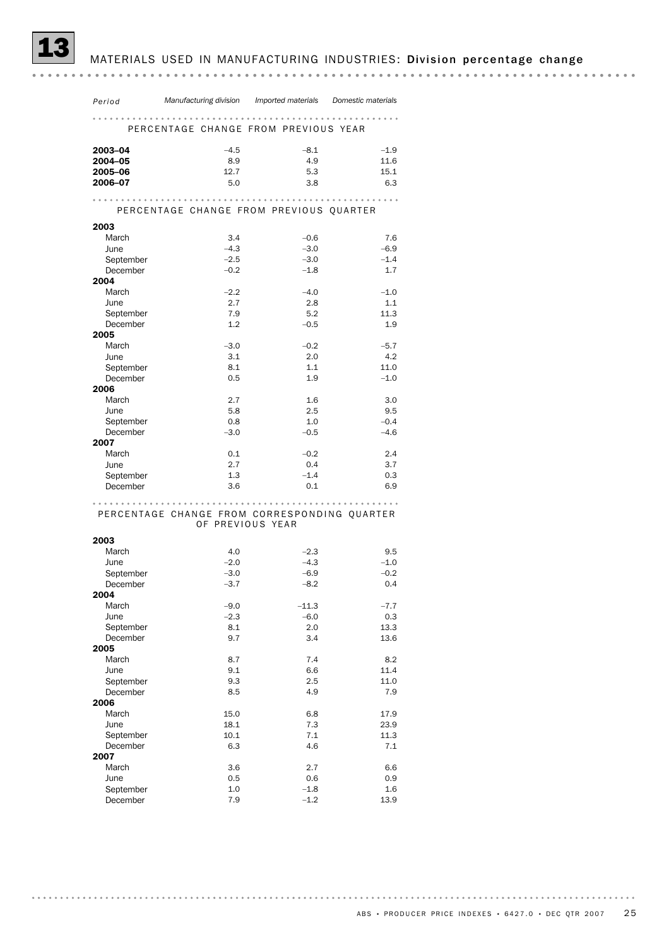## MATERIALS USED IN MANUFACTURING INDUSTRIES: Division percentage change

| Period                | Manufacturing division Imported materials Domestic materials |         |        |
|-----------------------|--------------------------------------------------------------|---------|--------|
| .                     |                                                              |         |        |
|                       | PERCENTAGE CHANGE FROM PREVIOUS YEAR                         |         |        |
| 2003-04               | $-4.5$                                                       | $-8.1$  | $-1.9$ |
| 2004-05               | 8.9                                                          | 4.9     | 11.6   |
| 2005-06               | 12.7                                                         | 5.3     | 15.1   |
| 2006-07               | 5.0                                                          | 3.8     | 6.3    |
|                       |                                                              | .       | .      |
|                       | PERCENTAGE CHANGE FROM PREVIOUS QUARTER                      |         |        |
| 2003                  |                                                              |         |        |
| March                 | 3.4                                                          | $-0.6$  | 7.6    |
| June                  | $-4.3$                                                       | $-3.0$  | $-6.9$ |
| September             | $-2.5$                                                       | $-3.0$  | $-1.4$ |
| December              | $-0.2$                                                       | $-1.8$  | 1.7    |
| 2004                  |                                                              |         |        |
| March                 | $-2.2$                                                       | $-4.0$  | $-1.0$ |
| June                  | 2.7                                                          | 2.8     | 1.1    |
| September             | 7.9                                                          | 5.2     | 11.3   |
| December              | 1.2                                                          | $-0.5$  | 1.9    |
| 2005                  |                                                              |         |        |
| March                 | $-3.0$                                                       | $-0.2$  | $-5.7$ |
| June                  | 3.1                                                          | 2.0     | 4.2    |
| September<br>December | 8.1                                                          | 1.1     | 11.0   |
| 2006                  | 0.5                                                          | 1.9     | $-1.0$ |
| March                 | 2.7                                                          | 1.6     | 3.0    |
| June                  | 5.8                                                          | 2.5     | 9.5    |
| September             | 0.8                                                          | 1.0     | $-0.4$ |
| December              | $-3.0$                                                       | $-0.5$  | $-4.6$ |
| 2007                  |                                                              |         |        |
| March                 | 0.1                                                          | $-0.2$  | 2.4    |
| June                  | 2.7                                                          | 0.4     | 3.7    |
| September             | 1.3                                                          | $-1.4$  | 0.3    |
| December              | 3.6                                                          | 0.1     | 6.9    |
|                       |                                                              |         |        |
|                       | PERCENTAGE CHANGE FROM CORRESPONDING QUARTER                 |         |        |
|                       | OF PREVIOUS YEAR                                             |         |        |
| 2003                  |                                                              |         |        |
| March                 | 4.0                                                          | $-2.3$  | 9.5    |
| June                  | $-2.0$                                                       | $-4.3$  | $-1.0$ |
| September             | $-3.0$                                                       | $-6.9$  | $-0.2$ |
| December              | $-3.7$                                                       | $-8.2$  | 0.4    |
| 2004                  |                                                              |         |        |
| March                 | $-9.0$                                                       | $-11.3$ | $-7.7$ |
| June                  | $-2.3$                                                       | $-6.0$  | 0.3    |
| September             | 8.1                                                          | 2.0     | 13.3   |
| December<br>2005      | 9.7                                                          | 3.4     | 13.6   |
| March                 | 8.7                                                          | 7.4     | 8.2    |
| June                  | 9.1                                                          | 6.6     | 11.4   |
| September             | 9.3                                                          | 2.5     | 11.0   |
| December              | 8.5                                                          | 4.9     | 7.9    |
| 2006                  |                                                              |         |        |
| March                 | 15.0                                                         | 6.8     | 17.9   |
| June                  | 18.1                                                         | 7.3     | 23.9   |
| September             | 10.1                                                         | 7.1     | 11.3   |
| December              | 6.3                                                          | 4.6     | 7.1    |
| 2007                  |                                                              |         |        |
| March                 | 3.6                                                          | 2.7     | 6.6    |
| June                  | 0.5                                                          | 0.6     | 0.9    |
| September             | 1.0                                                          | $-1.8$  | 1.6    |
| December              | 7.9                                                          | $-1.2$  | 13.9   |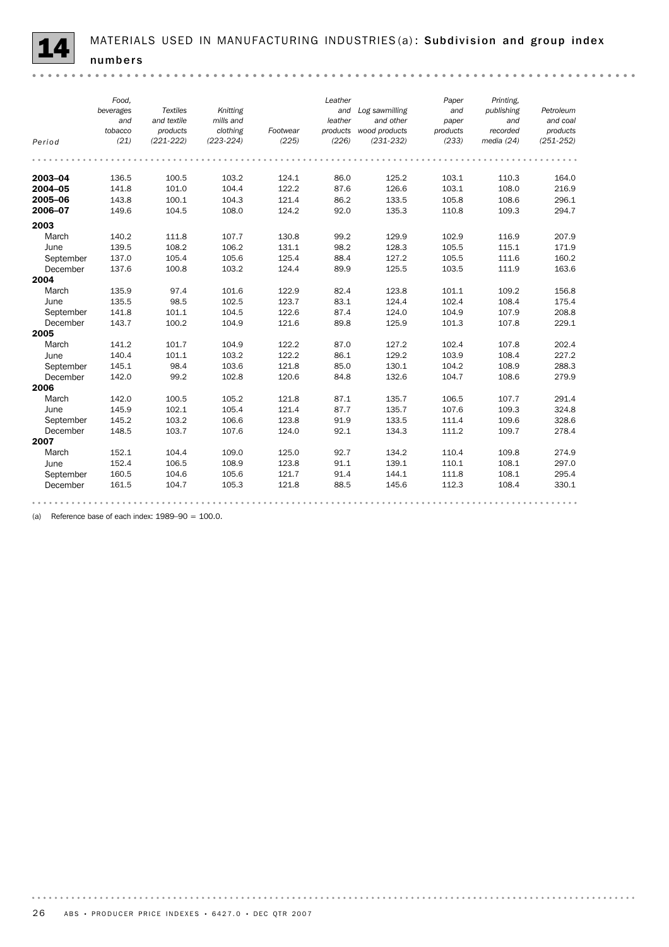*Food, Leather Paper Printing, Textiles beverages Knitting Log sawmilling and and publishing Petroleum and and textile mills and leather and other paper and and coal tobacco products clothing Footwear products recorded products wood products products Period (21) (221-222) (223-224) (225) (226) (231-232) (233) media (24) (251-252)* **2003–04** 136.5 100.5 103.2 124.1 86.0 125.2 103.1 110.3 164.0 **2004–05** 141.8 101.0 104.4 122.2 87.6 126.6 103.1 108.0 216.9 **2005–06** 143.8 100.1 104.3 121.4 86.2 133.5 105.8 108.6 296.1 **2006–07** 149.6 104.5 108.0 124.2 92.0 135.3 110.8 109.3 294.7 2003 March 140.2 111.8 107.7 130.8 99.2 129.9 102.9 116.9 207.9 June 139.5 108.2 106.2 131.1 98.2 128.3 105.5 115.1 171.9 September 137.0 105.4 105.6 125.4 88.4 127.2 105.5 111.6 160.2 December 137.6 100.8 103.2 124.4 89.9 125.5 103.5 111.9 163.6 2004 March 135.9 97.4 101.6 122.9 82.4 123.8 101.1 109.2 156.8 June 135.5 98.5 102.5 123.7 83.1 124.4 102.4 108.4 175.4 September 141.8 101.1 104.5 122.6 87.4 124.0 104.9 107.9 208.8 December 143.7 100.2 104.9 121.6 89.8 125.9 101.3 107.8 229.1 2005 March 141.2 101.7 104.9 122.2 87.0 127.2 102.4 107.8 202.4 June 140.4 101.1 103.2 122.2 86.1 129.2 103.9 108.4 227.2 September 145.1 98.4 103.6 121.8 85.0 130.1 104.2 108.9 288.3 December 142.0 99.2 102.8 120.6 84.8 132.6 104.7 108.6 279.9 **2006**<br>March March 142.0 100.5 105.2 121.8 87.1 135.7 106.5 107.7 291.4 June 145.9 102.1 105.4 121.4 87.7 135.7 107.6 109.3 324.8 September 145.2 103.2 106.6 123.8 91.9 133.5 111.4 109.6 328.6 December 148.5 103.7 107.6 124.0 92.1 134.3 111.2 109.7 278.4 2007 March 152.1 104.4 109.0 125.0 92.7 134.2 110.4 109.8 274.9 June 152.4 106.5 108.9 123.8 91.1 139.1 110.1 108.1 297.0 September 160.5 104.6 105.6 121.7 91.4 144.1 111.8 108.1 295.4 December 161.5 104.7 105.3 121.8 88.5 145.6 112.3 108.4 330.1 

(a) Reference base of each index:  $1989-90 = 100.0$ .

. . . . . . . . . . . . .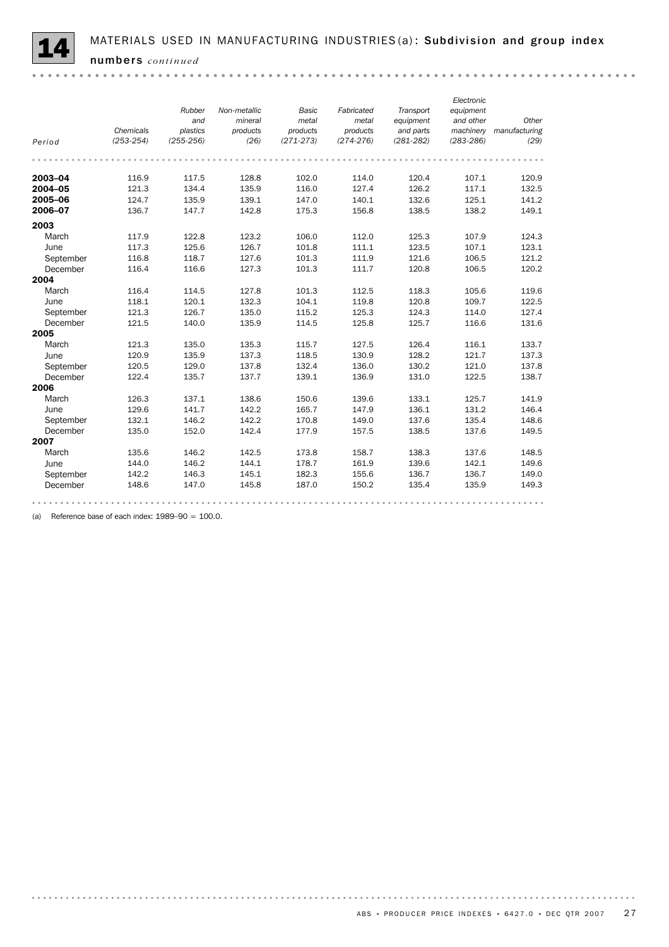

*Electronic Non-metallic Fabricated Rubber Basic Transport equipment and mineral metal metal equipment and other Other products products Chemicals plastics products and parts manufacturing machinery Period (253-254) (255-256) (26) (271-273) (274-276) (281-282) (283-286) (29)* **2003–04** 116.9 117.5 128.8 102.0 114.0 120.4 107.1 120.9 **2004–05** 121.3 134.4 135.9 116.0 127.4 126.2 117.1 132.5 **2005–06** 124.7 135.9 139.1 147.0 140.1 132.6 125.1 141.2 **2006–07** 136.7 147.7 142.8 175.3 156.8 138.5 138.2 149.1 2003 March 117.9 122.8 123.2 106.0 112.0 125.3 107.9 124.3 June 117.3 125.6 126.7 101.8 111.1 123.5 107.1 123.1 September 116.8 118.7 127.6 101.3 111.9 121.6 106.5 121.2 December 116.4 116.6 127.3 101.3 111.7 120.8 106.5 120.2 2004 March 116.4 114.5 127.8 101.3 112.5 118.3 105.6 119.6 June 118.1 120.1 132.3 104.1 119.8 120.8 109.7 122.5 September 121.3 126.7 135.0 115.2 125.3 124.3 114.0 127.4 December 121.5 140.0 135.9 114.5 125.8 125.7 116.6 131.6 2005 March 121.3 135.0 135.3 115.7 127.5 126.4 116.1 133.7 June 120.9 135.9 137.3 118.5 130.9 128.2 121.7 137.3 September 120.5 129.0 137.8 132.4 136.0 130.2 121.0 137.8 December 122.4 135.7 137.7 139.1 136.9 131.0 122.5 138.7 **2006**<br>March March 126.3 137.1 138.6 150.6 139.6 133.1 125.7 141.9 June 129.6 141.7 142.2 165.7 147.9 136.1 131.2 146.4 September 132.1 146.2 142.2 170.8 149.0 137.6 135.4 148.6 December 135.0 152.0 142.4 177.9 157.5 138.5 137.6 149.5 2007 March 135.6 146.2 142.5 173.8 158.7 138.3 137.6 148.5 June 144.0 146.2 144.1 178.7 161.9 139.6 142.1 149.6 September 142.2 146.3 145.1 182.3 155.6 136.7 136.7 149.0 December 148.6 147.0 145.8 187.0 150.2 135.4 135.9 149.3 

(a) Reference base of each index:  $1989-90 = 100.0$ .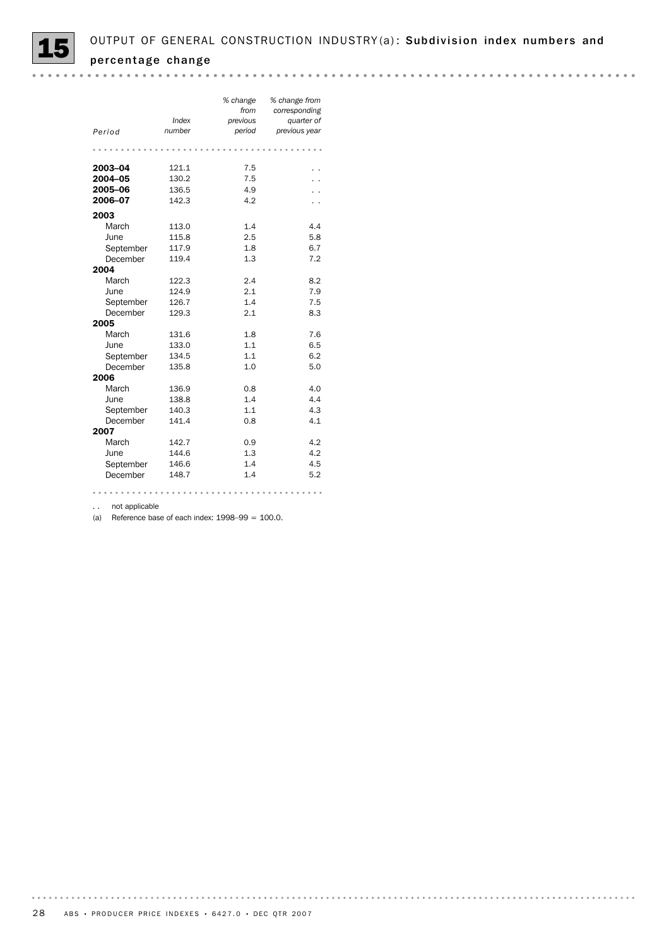

| Period    | Index<br>number | % change<br>from<br>previous<br>period | % change from<br>corresponding<br>quarter of<br>previous year |
|-----------|-----------------|----------------------------------------|---------------------------------------------------------------|
|           |                 |                                        |                                                               |
| 2003-04   | 121.1           | 7.5                                    |                                                               |
| 2004-05   | 130.2           | 7.5                                    |                                                               |
| 2005-06   | 136.5           | 4.9                                    |                                                               |
| 2006-07   | 142.3           | 4.2                                    |                                                               |
| 2003      |                 |                                        |                                                               |
| March     | 113.0           | 1.4                                    | 4.4                                                           |
| June      | 115.8           | 2.5                                    | 5.8                                                           |
| September | 117.9           | 1.8                                    | 6.7                                                           |
| December  | 119.4           | 1.3                                    | 7.2                                                           |
| 2004      |                 |                                        |                                                               |
| March     | 122.3           | 2.4                                    | 8.2                                                           |
| June      | 124.9           | 2.1                                    | 7.9                                                           |
| September | 126.7           | 1.4                                    | 7.5                                                           |
| December  | 129.3           | 2.1                                    | 8.3                                                           |
| 2005      |                 |                                        |                                                               |
| March     | 131.6           | 1.8                                    | 7.6                                                           |
| June      | 133.0           | 1.1                                    | 6.5                                                           |
| September | 134.5           | 1.1                                    | 6.2                                                           |
| December  | 135.8           | 1.0                                    | 5.0                                                           |
| 2006      |                 |                                        |                                                               |
| March     | 136.9           | 0.8                                    | 4.0                                                           |
| June      | 138.8           | 1.4                                    | 4.4                                                           |
| September | 140.3           | 1.1                                    | 4.3                                                           |
| December  | 141.4           | 0.8                                    | 4.1                                                           |
| 2007      |                 |                                        |                                                               |
| March     | 142.7           | 0.9                                    | 4.2                                                           |
| June      | 144.6           | 1.3                                    | 4.2                                                           |
| September | 146.6           | 1.4                                    | 4.5                                                           |
| December  | 148.7           | 1.4                                    | 5.2                                                           |
|           |                 |                                        |                                                               |

. . not applicable

(a) Reference base of each index:  $1998-99 = 100.0$ .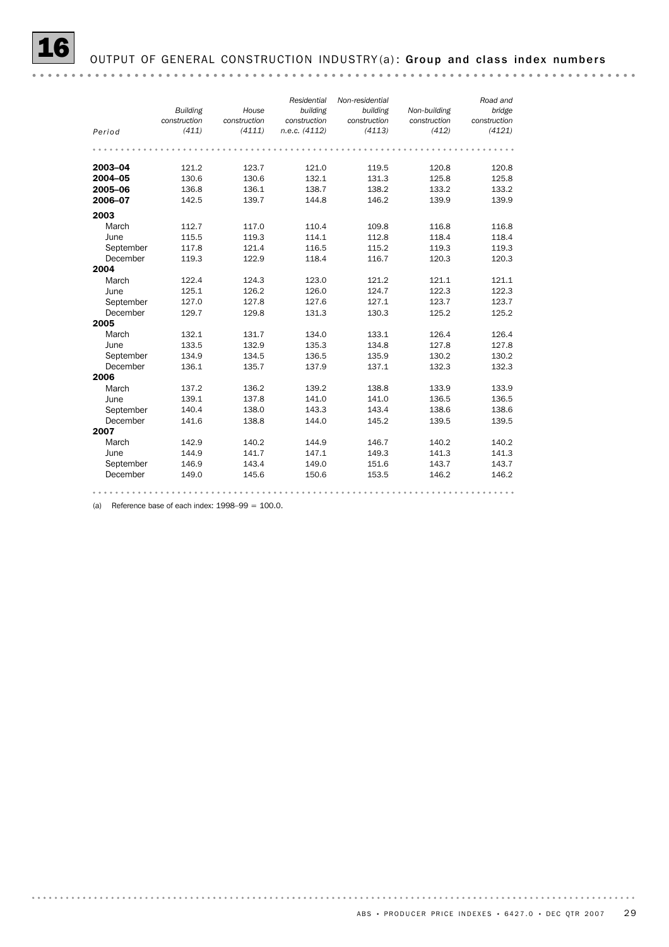#### *Road and Non-residential Residential Building House bridge Non-building building building construction construction construction construction construction construction Period (411) (4113) (412) (4121) n.e.c. (4112) (4111)* **2003–04** 121.2 123.7 121.0 119.5 120.8 120.8 **2004–05** 130.6 130.6 132.1 131.3 125.8 125.8 **2005–06** 136.8 136.1 138.7 138.2 133.2 133.2 **2006–07** 142.5 139.7 144.8 146.2 139.9 139.9 2003 March 112.7 117.0 110.4 109.8 116.8 116.8 June 115.5 119.3 114.1 112.8 118.4 118.4 Petember 117.8 121.4 116.5 115.2 119.3 119.3<br>December 119.3 122.9 118.4 116.7 120.3 120.3 September 117.8 121.4 116.5 115.2 119.3 119.3 2004 March 122.4 124.3 123.0 121.2 121.1 121.1 June 125.1 126.2 126.0 124.7 122.3 122.3 September 127.0 127.8 127.6 127.1 123.7 123.7 December 129.7 129.8 131.3 130.3 125.2 125.2 2005 March 132.1 131.7 134.0 133.1 126.4 126.4 June 133.5 132.9 135.3 134.8 127.8 127.8 September 134.9 134.5 136.5 135.9 130.2 130.2<br>December 136.1 135.7 137.9 137.1 132.3 132.3 December 136.1 135.7 137.9 137.1 132.3 132.3 2006 March 137.2 136.2 139.2 138.8 133.9 133.9 June 139.1 137.8 141.0 141.0 136.5 136.5 dune 139.1 137.8 141.0 141.0 136.5 136.5<br>September 140.4 138.0 143.3 143.4 138.6 138.6 September 140.4 138.0 145.5 145.4 150.0<br>December 141.6 138.8 144.0 145.2 139.5 139.5 2007 March 142.9 140.2 144.9 146.7 140.2 140.2 June 144.9 141.7 147.1 149.3 141.3 141.3 September 146.9 143.4 149.0 151.6 143.7 143.7<br>December 149.0 145.6 150.6 153.5 146.2 146.2 December 149.0 145.6 150.6 153.5 146.2 146.2

(a) Reference base of each index:  $1998-99 = 100.0$ .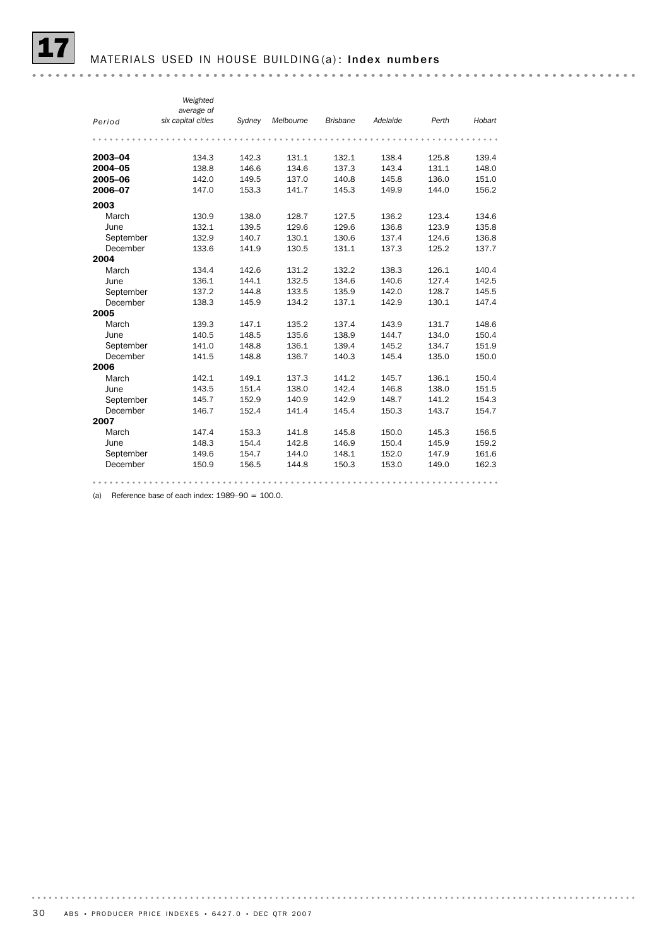#### MATERIALS USED IN HOUSE BUILDING (a): Index numbers

*Weighted average of Period six capital cities Sydney Melbourne Brisbane Adelaide Perth Hobart* **2003–04** 134.3 142.3 131.1 132.1 138.4 125.8 139.4<br>**2003–04 138.8** 146.6 134.6 137.3 143.4 131.1 148.0<br>151.0 2002 - 2012 - 2012 - 2012 - 2012 - 2012 - 2012 - 2014 - 2012 - 2012 - 2012 - 2012 - 2013 - 2014 - 2014 - 2014 -2005–06 142.0 149.5 137.0 140.8 145.8 136.0 151.0 **2006–07** 147.0 153.3 141.7 145.3 149.9 144.0 156.2 2003 March 130.9 138.0 128.7 127.5 136.2 123.4 134.6<br>
June 132.1 139.5 129.6 129.6 136.8 123.9 135.8 June 132.1 139.5 129.6 129.6 136.8 123.9 135.8 September 132.9 140.7 130.1 130.6 137.4 124.6 136.8 December 133.6 141.9 130.5 131.1 137.3 125.2 137.7 2004 March 134.4 142.6 131.2 132.2 138.3 126.1 140.4 June 136.1 144.1 132.5 134.6 140.6 127.4 142.5 September 137.2 144.8 133.5 135.9 142.0 128.7 145.5 December 138.3 145.9 134.2 137.1 142.9 130.1 147.4 2005 March 139.3 147.1 135.2 137.4 143.9 131.7 148.6<br>
June 140.5 148.5 135.6 138.9 144.7 134.0 150.4<br>
September 141.0 148.8 136.1 139.4 145.2 134.7 151.9 June 140.5 148.5 135.6 138.9 144.7 134.0 150.4 September 141.0 148.8 136.1 139.4 145.2 134.7 151.9 December 141.5 148.8 136.7 140.3 145.4 135.0 150.0 2006 March 142.1 149.1 137.3 141.2 145.7 136.1 150.4 dune 143.5 151.4 138.0 142.4 146.8 138.0 151.5<br>September 145.7 152.9 140.9 142.9 148.7 141.2 154.3 September 145.7 152.9 140.9 142.9 148.7 141.2 154.3 December 146.7 152.4 141.4 145.4 150.3 143.7 154.7 2007 March 147.4 153.3 141.8 145.8 150.0 145.3 156.5<br>
June 148.3 154.4 142.8 146.9 150.4 145.9 159.2 June 148.3 154.4 142.8 146.9 150.4 145.9 159.2 September 149.6 154.7 144.0 148.1 152.0 147.9 161.6 December 150.9 156.5 144.8 150.3 153.0 149.0 162.3 

(a) Reference base of each index:  $1989-90 = 100.0$ .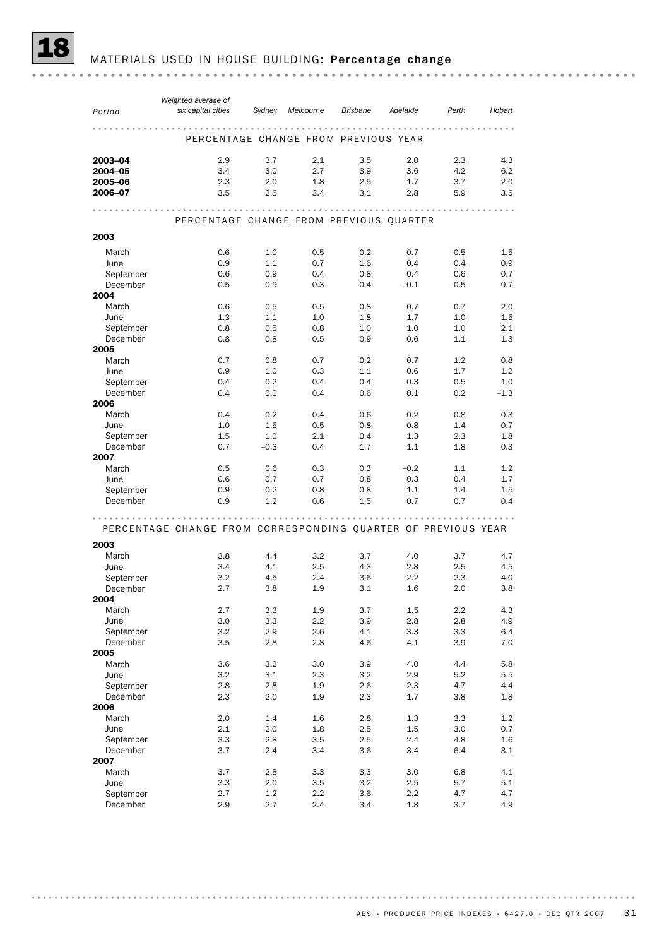MATERIALS USED IN HOUSE BUILDING: Percentage change

| Period                | Weighted average of<br>six capital cities                     | Sydney     | Melbourne   | <b>Brisbane</b> | Adelaide   | Perth      | Hobart     |
|-----------------------|---------------------------------------------------------------|------------|-------------|-----------------|------------|------------|------------|
|                       |                                                               |            | $- - - - -$ |                 |            |            |            |
|                       | PERCENTAGE CHANGE FROM PREVIOUS YEAR                          |            |             |                 |            |            |            |
| 2003-04               | 2.9                                                           | 3.7        | 2.1         | 3.5             | 2.0        | 2.3        | 4.3        |
| 2004-05               | 3.4                                                           | 3.0        | 2.7         | 3.9             | 3.6        | 4.2        | 6.2        |
| 2005-06               | 2.3                                                           | 2.0        | 1.8         | 2.5             | 1.7        | 3.7        | 2.0        |
| 2006-07               | 3.5                                                           | 2.5        | 3.4         | 3.1             | 2.8        | 5.9        | 3.5        |
|                       | PERCENTAGE CHANGE FROM PREVIOUS QUARTER                       |            |             |                 |            |            |            |
| 2003                  |                                                               |            |             |                 |            |            |            |
| March                 | 0.6                                                           | 1.0        | 0.5         | 0.2             | 0.7        | 0.5        | 1.5        |
| June                  | 0.9                                                           | 1.1        | 0.7         | 1.6             | 0.4        | 0.4        | 0.9        |
| September             | 0.6                                                           | 0.9        | 0.4         | 0.8             | 0.4        | 0.6        | 0.7        |
| December              | 0.5                                                           | 0.9        | 0.3         | 0.4             | $-0.1$     | 0.5        | 0.7        |
| 2004                  |                                                               |            |             |                 |            |            |            |
| March                 | 0.6                                                           | 0.5        | 0.5         | 0.8             | 0.7        | 0.7        | 2.0        |
| June                  | 1.3                                                           | 1.1<br>0.5 | 1.0         | 1.8<br>1.0      | 1.7<br>1.0 | 1.0<br>1.0 | 1.5<br>2.1 |
| September<br>December | 0.8<br>0.8                                                    | 0.8        | 0.8<br>0.5  | 0.9             | 0.6        | 1.1        | 1.3        |
| 2005                  |                                                               |            |             |                 |            |            |            |
| March                 | 0.7                                                           | 0.8        | 0.7         | 0.2             | 0.7        | 1.2        | 0.8        |
| June                  | 0.9                                                           | 1.0        | 0.3         | 1.1             | 0.6        | 1.7        | 1.2        |
| September             | 0.4                                                           | 0.2        | 0.4         | 0.4             | 0.3        | 0.5        | 1.0        |
| December              | 0.4                                                           | 0.0        | 0.4         | 0.6             | 0.1        | 0.2        | $-1.3$     |
| 2006                  |                                                               |            |             |                 |            |            |            |
| March                 | 0.4                                                           | 0.2        | 0.4         | 0.6             | 0.2        | 0.8        | 0.3        |
| June                  | 1.0                                                           | 1.5        | 0.5         | 0.8             | 0.8        | 1.4        | 0.7        |
| September             | 1.5                                                           | 1.0        | 2.1         | 0.4             | 1.3        | 2.3        | 1.8        |
| December<br>2007      | 0.7                                                           | $-0.3$     | 0.4         | 1.7             | 1.1        | 1.8        | 0.3        |
| March                 | 0.5                                                           | 0.6        | 0.3         | 0.3             | $-0.2$     | 1.1        | 1.2        |
| June                  | 0.6                                                           | 0.7        | 0.7         | 0.8             | 0.3        | 0.4        | 1.7        |
| September             | 0.9                                                           | 0.2        | 0.8         | 0.8             | 1.1        | 1.4        | $1.5\,$    |
| December              | 0.9                                                           | 1.2        | 0.6         | 1.5             | 0.7        | 0.7        | 0.4        |
| 2003                  | PERCENTAGE CHANGE FROM CORRESPONDING QUARTER OF PREVIOUS YEAR |            |             |                 |            |            |            |
| March                 | 3.8                                                           | 4.4        | 3.2         | 3.7             | 4.0        | 3.7        | 4.7        |
| June                  | 3.4                                                           | 4.1        | 2.5         | 4.3             | 2.8        | 2.5        | 4.5        |
| September             | 3.2                                                           | 4.5        | 2.4         | 3.6             | 2.2        | 2.3        | 4.0        |
| December<br>2004      | 2.7                                                           | 3.8        | 1.9         | 3.1             | 1.6        | 2.0        | 3.8        |
| March                 | 2.7                                                           | 3.3        | 1.9         | 3.7             | 1.5        | $2.2\,$    | 4.3        |
| June                  | 3.0                                                           | 3.3        | $2.2\,$     | 3.9             | 2.8        | 2.8        | 4.9        |
| September             | 3.2                                                           | 2.9        | 2.6         | 4.1             | 3.3        | 3.3        | 6.4        |
| December<br>2005      | 3.5                                                           | 2.8        | 2.8         | 4.6             | 4.1        | 3.9        | 7.0        |
| March                 | 3.6                                                           | 3.2        | 3.0         | 3.9             | 4.0        | 4.4        | 5.8        |
| June                  | 3.2                                                           | 3.1        | 2.3         | 3.2             | 2.9        | 5.2        | 5.5        |
| September             | 2.8                                                           | 2.8        | 1.9         | 2.6             | 2.3        | 4.7        | 4.4        |
| December<br>2006      | 2.3                                                           | 2.0        | 1.9         | 2.3             | 1.7        | 3.8        | 1.8        |
| March                 | 2.0                                                           | 1.4        | 1.6         | 2.8             | 1.3        | 3.3        | 1.2        |
| June                  | 2.1                                                           | 2.0        | 1.8         | 2.5             | 1.5        | 3.0        | 0.7        |
| September             | 3.3                                                           | 2.8        | 3.5         | 2.5             | 2.4        | 4.8        | 1.6        |
| December              | 3.7                                                           | 2.4        | 3.4         | 3.6             | 3.4        | 6.4        | 3.1        |
| 2007                  |                                                               |            |             |                 |            |            |            |
| March                 | 3.7                                                           | 2.8        | 3.3         | 3.3             | 3.0        | 6.8        | 4.1        |
| June                  | 3.3                                                           | 2.0        | 3.5         | 3.2             | 2.5        | 5.7        | 5.1        |
| September             | 2.7                                                           | 1.2        | $2.2\,$     | 3.6             | 2.2        | 4.7        | 4.7        |
| December              | 2.9                                                           | 2.7        | 2.4         | 3.4             | 1.8        | 3.7        | 4.9        |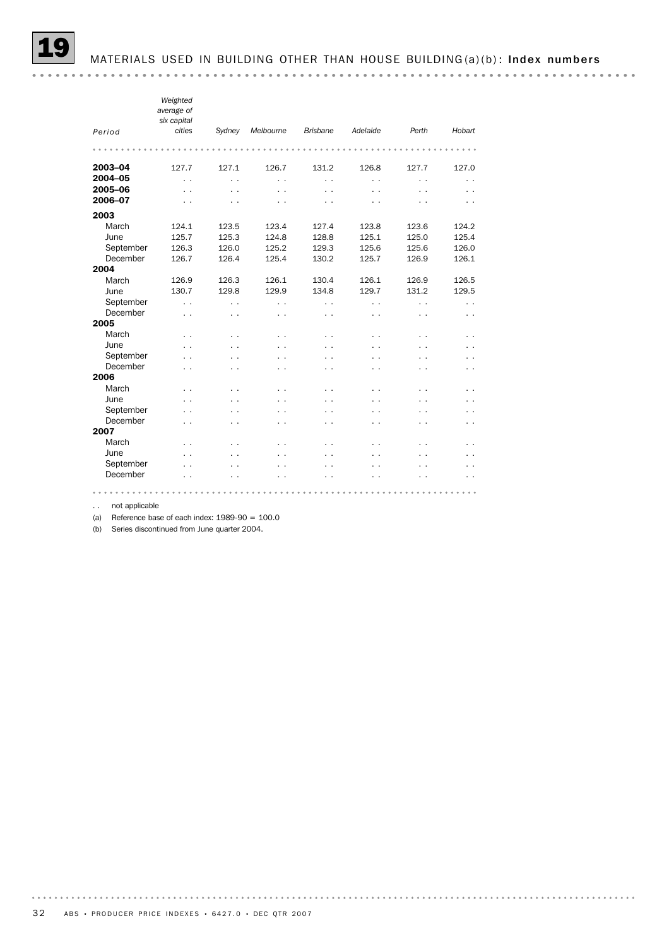|                       | Weighted<br>average of<br>six capital |                                   |                      |                             |            |            |                      |
|-----------------------|---------------------------------------|-----------------------------------|----------------------|-----------------------------|------------|------------|----------------------|
| Period                | cities                                | Sydney                            | Melbourne            | <b>Brisbane</b>             | Adelaide   | Perth      | Hobart               |
|                       |                                       |                                   |                      |                             |            |            |                      |
| 2003-04               | 127.7                                 | 127.1                             | 126.7                | 131.2                       | 126.8      | 127.7      | 127.0                |
| 2004-05               | $\ddot{\phantom{0}}$                  | . .                               | $\ddot{\phantom{0}}$ | $\ddot{\phantom{0}}$        | . .        | . .        | $\ddot{\phantom{0}}$ |
| 2005-06               | . .                                   | $\ddot{\phantom{0}}$              | . .                  | . .                         | . .        | . .        |                      |
| 2006-07               | . .                                   | . .                               | . .                  | . .                         | . .        |            |                      |
| 2003                  |                                       |                                   |                      |                             |            |            |                      |
| March                 | 124.1                                 | 123.5                             | 123.4                | 127.4                       | 123.8      | 123.6      | 124.2                |
| June                  | 125.7                                 | 125.3                             | 124.8                | 128.8                       | 125.1      | 125.0      | 125.4                |
| September             | 126.3                                 | 126.0                             | 125.2                | 129.3                       | 125.6      | 125.6      | 126.0                |
| December              | 126.7                                 | 126.4                             | 125.4                | 130.2                       | 125.7      | 126.9      | 126.1                |
| 2004                  |                                       |                                   |                      |                             |            |            |                      |
| March                 | 126.9                                 | 126.3                             | 126.1                | 130.4                       | 126.1      | 126.9      | 126.5                |
| June                  | 130.7                                 | 129.8                             | 129.9                | 134.8                       | 129.7      | 131.2      | 129.5                |
| September             | . .                                   | . .                               | . .                  | . .                         | . .        | . .        | . .                  |
| December              | $\ddot{\phantom{0}}$                  | . .                               | $\ddot{\phantom{0}}$ | . .                         | . .        | . .        | . .                  |
| 2005<br>March         |                                       |                                   |                      |                             |            |            |                      |
|                       | . .                                   | $\ddot{\phantom{0}}$              | . .                  | . .                         | . .        | . .        | . .                  |
| June                  | . .                                   | $\ddot{\phantom{0}}$              | . .                  | . .                         |            | . .        | . .                  |
| September<br>December | . .                                   | . .                               |                      | $\sim$                      |            |            | . .                  |
| 2006                  | . .                                   | . .                               | . .                  | . .                         | . .        | . .        | . .                  |
| March                 |                                       |                                   |                      |                             |            |            |                      |
| June                  | . .<br>. .                            | $\ddot{\phantom{1}}$<br>$\ddotsc$ | . .<br>. .           | . .<br>$\ddot{\phantom{1}}$ | . .<br>. . | . .<br>. . | . .<br>. .           |
| September             | . .                                   | $\ddot{\phantom{0}}$              | . .                  | $\sim$                      | . .        | . .        | . .                  |
| December              | . .                                   | . .                               | . .                  | . .                         | . .        | . .        | . .                  |
| 2007                  |                                       |                                   |                      |                             |            |            |                      |
| March                 | . .                                   | . .                               | . .                  | $\ddot{\phantom{1}}$        | . .        | . .        |                      |
| June                  | . .                                   | . .                               | . .                  | $\ddot{\phantom{0}}$        | . .        | . .        |                      |
| September             | . .                                   |                                   |                      | . .                         |            |            |                      |
| December              | . .                                   | . .                               | . .                  | . .                         | . .        | . .        | . .                  |

. . not applicable

(a) Reference base of each index:  $1989-90 = 100.0$ 

(b) Series discontinued from June quarter 2004.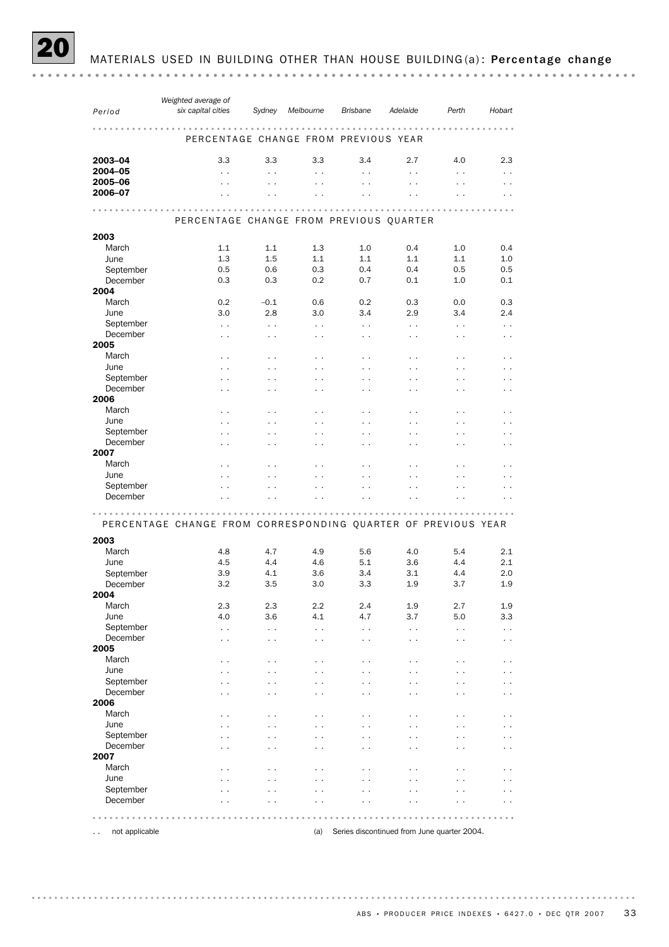MATERIALS USED IN BUILDING OTHER THAN HOUSE BUILDING(a): Percentage change

|                                        | Weighted average of                                           |                      |                          |                      |                                             |                          |                      |
|----------------------------------------|---------------------------------------------------------------|----------------------|--------------------------|----------------------|---------------------------------------------|--------------------------|----------------------|
| Period                                 | six capital cities                                            | Sydney               | Melbourne                | <b>Brisbane</b>      | Adelaide                                    | Perth                    | Hobart               |
|                                        |                                                               |                      |                          | $- - - - - -$        |                                             |                          |                      |
|                                        |                                                               |                      |                          |                      |                                             |                          |                      |
|                                        | PERCENTAGE CHANGE FROM PREVIOUS YEAR                          |                      |                          |                      |                                             |                          |                      |
| 2003-04                                | 3.3                                                           | 3.3                  | 3.3                      | 3.4                  | 2.7                                         | 4.0                      | 2.3                  |
| 2004-05                                |                                                               |                      |                          |                      |                                             |                          |                      |
| 2005-06                                | $\ddot{\phantom{1}}$                                          | $\ddot{\phantom{1}}$ | $\ddotsc$                | $\ddotsc$            | $\ddot{\phantom{0}}$                        | $\ddot{\phantom{1}}$     | $\ddot{\phantom{0}}$ |
| 2006-07                                | $\ddot{\phantom{0}}$                                          | $\ddot{\phantom{1}}$ | $\ddot{\phantom{0}}$     | $\ddot{\phantom{0}}$ | $\ddotsc$                                   | $\ddot{\phantom{0}}$     | $\ddot{\phantom{0}}$ |
|                                        |                                                               |                      |                          |                      | $\ddot{\phantom{0}}$                        |                          |                      |
|                                        |                                                               |                      |                          |                      |                                             |                          |                      |
|                                        | PERCENTAGE CHANGE FROM PREVIOUS QUARTER                       |                      |                          |                      |                                             |                          |                      |
| 2003                                   |                                                               |                      |                          |                      |                                             |                          |                      |
| March                                  | 1.1                                                           | 1.1                  | 1.3                      | 1.0                  | 0.4                                         | 1.0                      | 0.4                  |
|                                        |                                                               |                      |                          |                      |                                             |                          |                      |
| June                                   | 1.3                                                           | 1.5                  | 1.1                      | 1.1                  | 1.1                                         | 1.1                      | 1.0                  |
| September                              | 0.5                                                           | 0.6                  | 0.3                      | 0.4                  | 0.4                                         | 0.5                      | 0.5                  |
| December                               | 0.3                                                           | 0.3                  | 0.2                      | 0.7                  | 0.1                                         | 1.0                      | 0.1                  |
| 2004                                   |                                                               |                      |                          |                      |                                             |                          |                      |
| March                                  | 0.2                                                           | $-0.1$               | 0.6                      | 0.2                  | 0.3                                         | 0.0                      | 0.3                  |
| June                                   | 3.0                                                           | 2.8                  | 3.0                      | 3.4                  | 2.9                                         | 3.4                      | 2.4                  |
| September                              | $\ddot{\phantom{1}}$                                          | $\ddot{\phantom{1}}$ | $\ddotsc$                | $\ddotsc$            | $\ddot{\phantom{0}}$                        | $\ddot{\phantom{1}}$     | $\ddot{\phantom{0}}$ |
| December                               | $\sim$ $\sim$                                                 | $\sim$ $\sim$        | $\sim$                   | $\ddot{\phantom{0}}$ | $\ddot{\phantom{1}}$                        | $\ddot{\phantom{1}}$     | $\ddot{\phantom{0}}$ |
| 2005                                   |                                                               |                      |                          |                      |                                             |                          |                      |
| March                                  | $\ddot{\phantom{1}}$                                          | $\ddot{\phantom{1}}$ | $\ddotsc$                | $\ddotsc$            | $\ddot{\phantom{0}}$                        | $\ddot{\phantom{0}}$     | $\ddot{\phantom{0}}$ |
| June                                   | $\ddot{\phantom{0}}$                                          | $\ddot{\phantom{1}}$ | $\ddot{\phantom{1}}$     | . .                  | $\ddot{\phantom{0}}$                        |                          |                      |
| September                              | $\ddotsc$                                                     | $\ddot{\phantom{1}}$ | $\ddotsc$                | $\ddot{\phantom{0}}$ | $\cdot$ .                                   | $\cdot$ $\cdot$          | . .                  |
| December                               | $\ddot{\phantom{1}}$                                          | $\ddot{\phantom{1}}$ | $\ddot{\phantom{1}}$     | . .                  | $\ddot{\phantom{1}}$                        | $\ddot{\phantom{1}}$     | $\ddot{\phantom{1}}$ |
| 2006                                   |                                                               |                      |                          |                      |                                             |                          |                      |
| March                                  | $\ddot{\phantom{1}}$                                          | $\ddot{\phantom{1}}$ | $\cdot$ .                | $\ddot{\phantom{0}}$ | $\cdot$ .                                   | $\ddot{\phantom{0}}$     | $\ddot{\phantom{0}}$ |
| June                                   | $\ddot{\phantom{0}}$                                          | $\ddot{\phantom{1}}$ | $\ddot{\phantom{0}}$     |                      | $\ddot{\phantom{0}}$                        |                          |                      |
| September                              | $\ddotsc$                                                     | $\ddot{\phantom{1}}$ | $\ddotsc$                | $\ddot{\phantom{0}}$ | $\cdot$ .                                   | $\cdot$ $\cdot$          |                      |
| December                               | $\ddot{\phantom{1}}$                                          | $\ddot{\phantom{1}}$ | $\ddot{\phantom{1}}$     | . .                  | $\ddot{\phantom{1}}$                        | $\ddot{\phantom{1}}$     | $\ddot{\phantom{1}}$ |
| 2007                                   |                                                               |                      |                          |                      |                                             |                          |                      |
| March                                  | $\ddot{\phantom{1}}$                                          | $\ddot{\phantom{1}}$ | $\ddot{\phantom{0}}$     | $\overline{a}$       | $\ddot{\phantom{0}}$                        | $\overline{\phantom{a}}$ |                      |
| June                                   | $\ddot{\phantom{0}}$                                          | $\ddot{\phantom{0}}$ | $\ddot{\phantom{0}}$     |                      |                                             |                          |                      |
| September                              | $\overline{\phantom{a}}$                                      | $\cdot$ .            | . .                      |                      | $\overline{a}$                              |                          |                      |
| December                               |                                                               |                      |                          |                      |                                             |                          |                      |
|                                        |                                                               |                      |                          |                      |                                             |                          |                      |
|                                        | PERCENTAGE CHANGE FROM CORRESPONDING QUARTER OF PREVIOUS YEAR |                      |                          |                      |                                             |                          |                      |
|                                        |                                                               |                      |                          |                      |                                             |                          |                      |
| 2003                                   |                                                               |                      |                          |                      |                                             |                          |                      |
| March                                  | 4.8                                                           | 4.7                  | 4.9                      | 5.6                  | 4.0                                         | 5.4                      | 2.1                  |
| June                                   | 4.5                                                           | 4.4                  | 4.6                      | 5.1                  | 3.6                                         | 4.4                      | 2.1                  |
| September                              | 3.9                                                           | 4.1                  | 3.6                      | 3.4                  | 3.1                                         | 4.4                      | 2.0                  |
| December                               | 3.2                                                           | 3.5                  | 3.0                      | 3.3                  | 1.9                                         | 3.7                      | 1.9                  |
| 2004                                   |                                                               |                      |                          |                      |                                             |                          |                      |
| March                                  | 2.3                                                           | 2.3                  | 2.2                      | 2.4                  | 1.9                                         | 2.7                      | 1.9                  |
| June                                   | 4.0                                                           | 3.6                  | 4.1                      | 4.7                  | 3.7                                         | 5.0                      | 3.3                  |
| September                              | $\ddot{\phantom{1}}$                                          | $\ddot{\phantom{1}}$ | $\ddotsc$                | $\ddotsc$            | $\ddot{\phantom{0}}$                        | $\ddot{\phantom{1}}$     | $\ddot{\phantom{0}}$ |
| December                               | $\ddot{\phantom{1}}$                                          | $\ddot{\phantom{1}}$ | $\ddot{\phantom{1}}$     | . .                  | $\ddot{\phantom{1}}$                        | $\ddot{\phantom{1}}$     | $\ddot{\phantom{0}}$ |
| 2005                                   |                                                               |                      |                          |                      |                                             |                          |                      |
| March                                  | $\cdot$ .                                                     | . .                  |                          | . .                  | $\cdot$ .                                   | $\ddot{\phantom{0}}$     | $\cdot$ .            |
| June                                   |                                                               |                      |                          |                      |                                             |                          |                      |
| September                              |                                                               | $\ddot{\phantom{1}}$ | $\overline{\phantom{a}}$ |                      | . .                                         | . .                      |                      |
| December                               |                                                               | . .                  | $\ddot{\phantom{1}}$     |                      | $\ddot{\phantom{0}}$                        |                          |                      |
| 2006                                   |                                                               |                      |                          |                      |                                             |                          |                      |
| March                                  |                                                               | . .                  |                          |                      | $\overline{\phantom{a}}$                    | $\overline{\phantom{a}}$ |                      |
| June                                   |                                                               |                      |                          |                      |                                             |                          |                      |
| September                              |                                                               | $\ddot{\phantom{1}}$ | $\overline{\phantom{a}}$ |                      | . .                                         | . .                      |                      |
| December                               |                                                               | . .                  | $\ddot{\phantom{1}}$     |                      | $\ddot{\phantom{0}}$                        |                          |                      |
| 2007                                   |                                                               |                      |                          |                      |                                             |                          |                      |
| March                                  |                                                               | . .                  |                          |                      | $\overline{\phantom{a}}$                    | $\overline{\phantom{a}}$ |                      |
| June                                   |                                                               |                      |                          |                      |                                             |                          |                      |
| September                              |                                                               | . .                  |                          |                      |                                             |                          |                      |
| December                               |                                                               |                      |                          |                      |                                             |                          |                      |
|                                        |                                                               |                      |                          |                      |                                             |                          |                      |
|                                        |                                                               |                      |                          |                      |                                             |                          |                      |
| not applicable<br>$\ddot{\phantom{0}}$ |                                                               |                      | (a)                      |                      | Series discontinued from June quarter 2004. |                          |                      |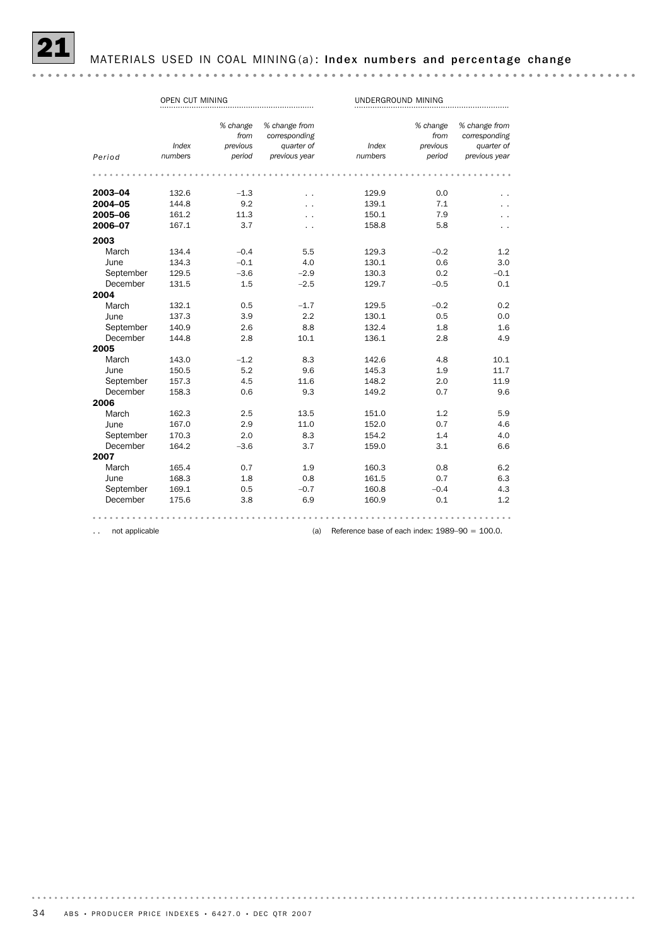

MATERIALS USED IN COAL MINING (a): Index numbers and percentage change

|           | OPEN CUT MINING |          |               | UNDERGROUND MINING |          |               |  |  |
|-----------|-----------------|----------|---------------|--------------------|----------|---------------|--|--|
|           |                 |          |               |                    |          |               |  |  |
|           |                 | % change | % change from |                    | % change | % change from |  |  |
|           |                 | from     | corresponding |                    | from     | corresponding |  |  |
|           | Index           | previous | quarter of    | Index              | previous | quarter of    |  |  |
| Period    | numbers         | period   | previous year | numbers            | period   | previous year |  |  |
|           |                 |          |               |                    |          |               |  |  |
| 2003-04   | 132.6           | $-1.3$   | . .           | 129.9              | 0.0      |               |  |  |
| 2004-05   | 144.8           | 9.2      |               | 139.1              | 7.1      |               |  |  |
| 2005-06   | 161.2           | 11.3     |               | 150.1              | 7.9      |               |  |  |
| 2006-07   | 167.1           | 3.7      |               | 158.8              | 5.8      |               |  |  |
| 2003      |                 |          |               |                    |          |               |  |  |
| March     | 134.4           | $-0.4$   | 5.5           | 129.3              | $-0.2$   | 1.2           |  |  |
| June      | 134.3           | $-0.1$   | 4.0           | 130.1              | 0.6      | 3.0           |  |  |
| September | 129.5           | $-3.6$   | $-2.9$        | 130.3              | 0.2      | $-0.1$        |  |  |
| December  | 131.5           | 1.5      | $-2.5$        | 129.7              | $-0.5$   | 0.1           |  |  |
| 2004      |                 |          |               |                    |          |               |  |  |
| March     | 132.1           | 0.5      | $-1.7$        | 129.5              | $-0.2$   | 0.2           |  |  |
| June      | 137.3           | 3.9      | 2.2           | 130.1              | 0.5      | 0.0           |  |  |
| September | 140.9           | 2.6      | 8.8           | 132.4              | 1.8      | 1.6           |  |  |
| December  | 144.8           | 2.8      | 10.1          | 136.1              | 2.8      | 4.9           |  |  |
| 2005      |                 |          |               |                    |          |               |  |  |
| March     | 143.0           | $-1.2$   | 8.3           | 142.6              | 4.8      | 10.1          |  |  |
| June      | 150.5           | 5.2      | 9.6           | 145.3              | 1.9      | 11.7          |  |  |
| September | 157.3           | 4.5      | 11.6          | 148.2              | 2.0      | 11.9          |  |  |
| December  | 158.3           | 0.6      | 9.3           | 149.2              | 0.7      | 9.6           |  |  |
| 2006      |                 |          |               |                    |          |               |  |  |
| March     | 162.3           | 2.5      | 13.5          | 151.0              | 1.2      | 5.9           |  |  |
| June      | 167.0           | 2.9      | 11.0          | 152.0              | 0.7      | 4.6           |  |  |
| September | 170.3           | 2.0      | 8.3           | 154.2              | 1.4      | 4.0           |  |  |
| December  | 164.2           | $-3.6$   | 3.7           | 159.0              | 3.1      | 6.6           |  |  |
| 2007      |                 |          |               |                    |          |               |  |  |
| March     | 165.4           | 0.7      | 1.9           | 160.3              | 0.8      | 6.2           |  |  |
| June      | 168.3           | 1.8      | 0.8           | 161.5              | 0.7      | 6.3           |  |  |
| September | 169.1           | 0.5      | $-0.7$        | 160.8              | $-0.4$   | 4.3           |  |  |
| December  | 175.6           | 3.8      | 6.9           | 160.9              | 0.1      | 1.2           |  |  |
|           |                 |          |               |                    |          |               |  |  |

.. not applicable **come contract to a contract the C** (a) Reference base of each index: 1989–90 = 100.0.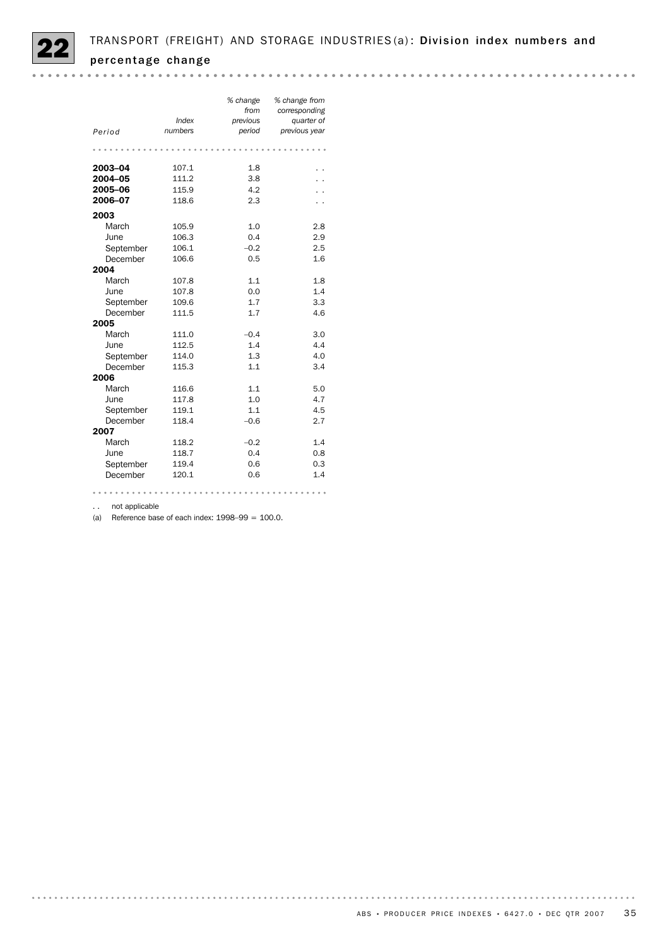|           | Index   | % change<br>from<br>previous | % change from<br>corresponding<br>quarter of |
|-----------|---------|------------------------------|----------------------------------------------|
| Period    | numbers | period                       | previous year                                |
|           |         |                              |                                              |
| 2003-04   | 107.1   | 1.8                          |                                              |
| 2004-05   | 111.2   | 3.8                          |                                              |
| 2005-06   | 115.9   | 4.2                          |                                              |
| 2006-07   | 118.6   | 2.3                          |                                              |
| 2003      |         |                              |                                              |
| March     | 105.9   | 1.0                          | 2.8                                          |
| June      | 106.3   | 0.4                          | 2.9                                          |
| September | 106.1   | $-0.2$                       | 2.5                                          |
| December  | 106.6   | 0.5                          | 1.6                                          |
| 2004      |         |                              |                                              |
| March     | 107.8   | 1.1                          | 1.8                                          |
| June      | 107.8   | 0.0                          | 1.4                                          |
| September | 109.6   | 1.7                          | 3.3                                          |
| December  | 111.5   | 1.7                          | 4.6                                          |
| 2005      |         |                              |                                              |
| March     | 111.0   | $-0.4$                       | 3.0                                          |
| June      | 112.5   | 1.4                          | 4.4                                          |
| September | 114.0   | 1.3                          | 4.0                                          |
| December  | 115.3   | 1.1                          | 3.4                                          |
| 2006      |         |                              |                                              |
| March     | 116.6   | 1.1                          | 5.0                                          |
| June      | 117.8   | 1.0                          | 4.7                                          |
| September | 119.1   | 1.1                          | 4.5                                          |
| December  | 118.4   | $-0.6$                       | 2.7                                          |
| 2007      |         |                              |                                              |
| March     | 118.2   | $-0.2$                       | 1.4                                          |
| June      | 118.7   | 0.4                          | 0.8                                          |
| September | 119.4   | 0.6                          | 0.3                                          |
| December  | 120.1   | 0.6                          | 1.4                                          |
|           |         |                              |                                              |

.. not applicable

(a) Reference base of each index:  $1998-99 = 100.0$ .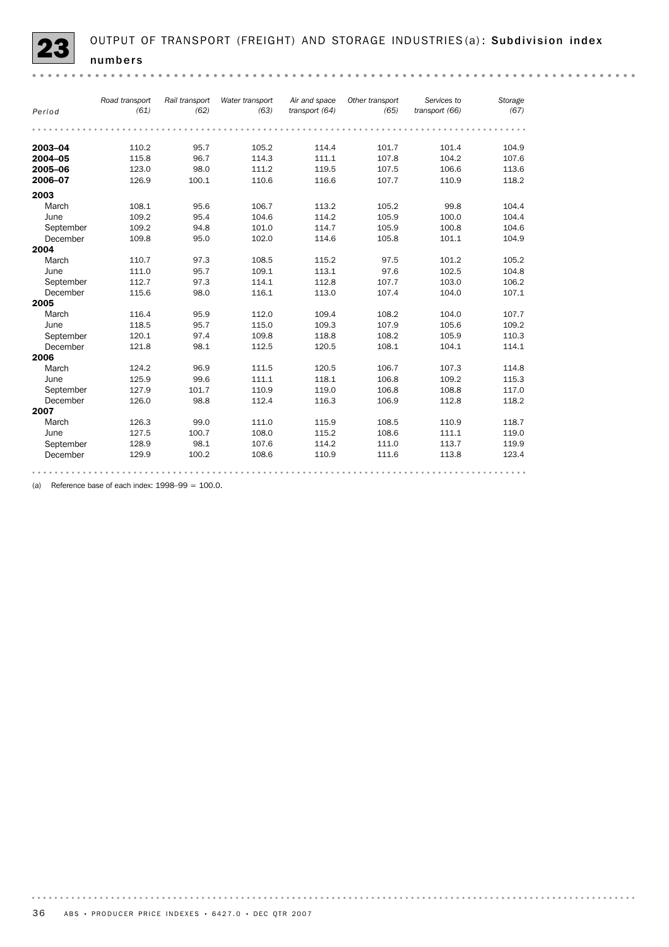|           | Road transport | Rail transport | Water transport | Air and space  | Other transport | Services to    | Storage |
|-----------|----------------|----------------|-----------------|----------------|-----------------|----------------|---------|
| Period    | (61)           | (62)           | (63)            | transport (64) | (65)            | transport (66) | (67)    |
|           |                |                |                 |                |                 |                |         |
| 2003-04   | 110.2          | 95.7           | 105.2           | 114.4          | 101.7           | 101.4          | 104.9   |
| 2004-05   | 115.8          | 96.7           | 114.3           | 111.1          | 107.8           | 104.2          | 107.6   |
| 2005-06   | 123.0          | 98.0           | 111.2           | 119.5          | 107.5           | 106.6          | 113.6   |
| 2006-07   | 126.9          | 100.1          | 110.6           | 116.6          | 107.7           | 110.9          | 118.2   |
| 2003      |                |                |                 |                |                 |                |         |
| March     | 108.1          | 95.6           | 106.7           | 113.2          | 105.2           | 99.8           | 104.4   |
| June      | 109.2          | 95.4           | 104.6           | 114.2          | 105.9           | 100.0          | 104.4   |
| September | 109.2          | 94.8           | 101.0           | 114.7          | 105.9           | 100.8          | 104.6   |
| December  | 109.8          | 95.0           | 102.0           | 114.6          | 105.8           | 101.1          | 104.9   |
| 2004      |                |                |                 |                |                 |                |         |
| March     | 110.7          | 97.3           | 108.5           | 115.2          | 97.5            | 101.2          | 105.2   |
| June      | 111.0          | 95.7           | 109.1           | 113.1          | 97.6            | 102.5          | 104.8   |
| September | 112.7          | 97.3           | 114.1           | 112.8          | 107.7           | 103.0          | 106.2   |
| December  | 115.6          | 98.0           | 116.1           | 113.0          | 107.4           | 104.0          | 107.1   |
| 2005      |                |                |                 |                |                 |                |         |
| March     | 116.4          | 95.9           | 112.0           | 109.4          | 108.2           | 104.0          | 107.7   |
| June      | 118.5          | 95.7           | 115.0           | 109.3          | 107.9           | 105.6          | 109.2   |
| September | 120.1          | 97.4           | 109.8           | 118.8          | 108.2           | 105.9          | 110.3   |
| December  | 121.8          | 98.1           | 112.5           | 120.5          | 108.1           | 104.1          | 114.1   |
| 2006      |                |                |                 |                |                 |                |         |
| March     | 124.2          | 96.9           | 111.5           | 120.5          | 106.7           | 107.3          | 114.8   |
| June      | 125.9          | 99.6           | 111.1           | 118.1          | 106.8           | 109.2          | 115.3   |
| September | 127.9          | 101.7          | 110.9           | 119.0          | 106.8           | 108.8          | 117.0   |
| December  | 126.0          | 98.8           | 112.4           | 116.3          | 106.9           | 112.8          | 118.2   |
| 2007      |                |                |                 |                |                 |                |         |
| March     | 126.3          | 99.0           | 111.0           | 115.9          | 108.5           | 110.9          | 118.7   |
| June      | 127.5          | 100.7          | 108.0           | 115.2          | 108.6           | 111.1          | 119.0   |
| September | 128.9          | 98.1           | 107.6           | 114.2          | 111.0           | 113.7          | 119.9   |
| December  | 129.9          | 100.2          | 108.6           | 110.9          | 111.6           | 113.8          | 123.4   |

(a) Reference base of each index:  $1998-99 = 100.0$ .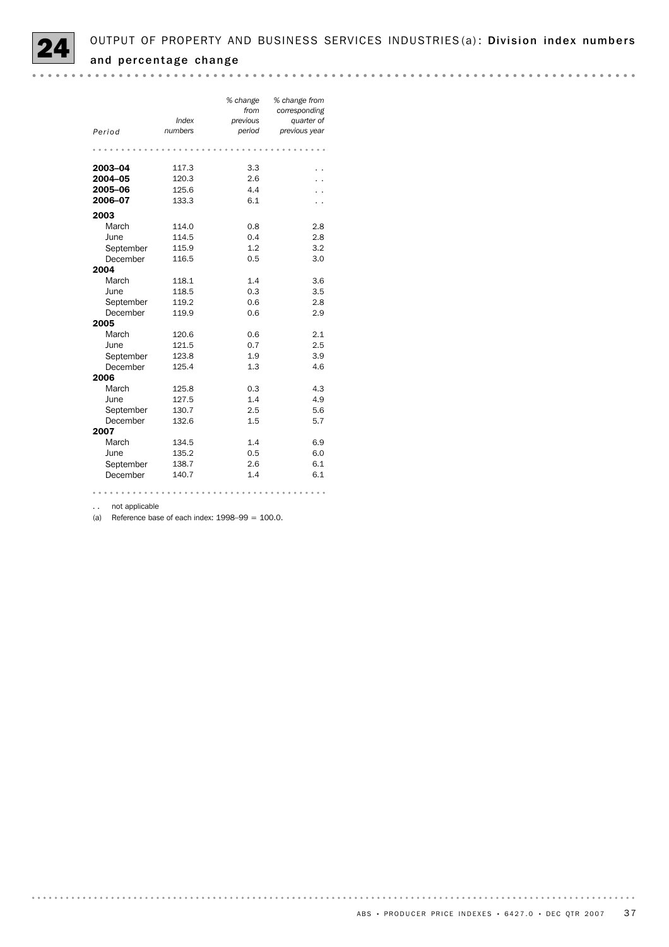

|           |         | % change<br>from | % change from<br>corresponding |
|-----------|---------|------------------|--------------------------------|
|           | Index   | previous         | quarter of                     |
| Period    | numbers | period           | previous year                  |
|           |         |                  |                                |
|           |         |                  |                                |
| 2003-04   | 117.3   | 3.3              |                                |
| 2004-05   | 120.3   | 2.6              |                                |
| 2005-06   | 125.6   | 4.4              |                                |
| 2006-07   | 133.3   | 6.1              |                                |
| 2003      |         |                  |                                |
| March     | 114.0   | 0.8              | 2.8                            |
| June      | 114.5   | 0.4              | 2.8                            |
| September | 115.9   | 1.2              | 3.2                            |
| December  | 116.5   | 0.5              | 3.0                            |
| 2004      |         |                  |                                |
| March     | 118.1   | 1.4              | 3.6                            |
| June      | 118.5   | 0.3              | 3.5                            |
| September | 119.2   | 0.6              | 2.8                            |
| December  | 119.9   | 0.6              | 2.9                            |
| 2005      |         |                  |                                |
| March     | 120.6   | 0.6              | 2.1                            |
| June      | 121.5   | 0.7              | 2.5                            |
| September | 123.8   | 1.9              | 3.9                            |
| December  | 125.4   | 1.3              | 4.6                            |
| 2006      |         |                  |                                |
| March     | 125.8   | 0.3              | 4.3                            |
| June      | 127.5   | 1.4              | 4.9                            |
| September | 130.7   | 2.5              | 5.6                            |
| December  | 132.6   | 1.5              | 5.7                            |
| 2007      |         |                  |                                |
| March     | 134.5   | 1.4              | 6.9                            |
| June      | 135.2   | 0.5              | 6.0                            |
| September | 138.7   | 2.6              | 6.1                            |
| December  | 140.7   | 1.4              | 6.1                            |
|           |         |                  |                                |

.. not applicable

(a) Reference base of each index:  $1998-99 = 100.0$ .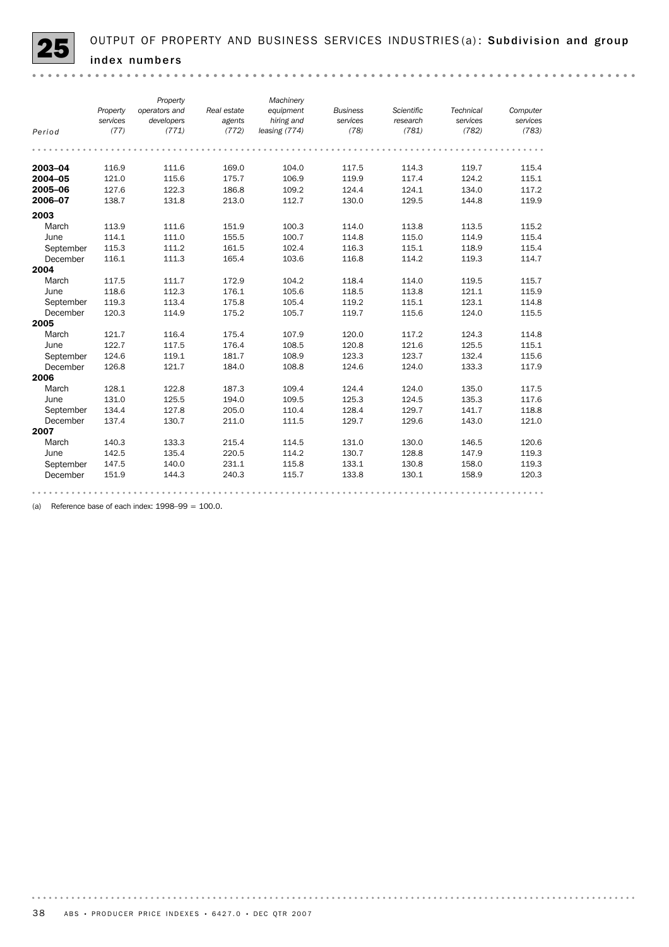

|           |          | Property      |             | Machinery     |                 |            |                  |          |
|-----------|----------|---------------|-------------|---------------|-----------------|------------|------------------|----------|
|           | Property | operators and | Real estate | equipment     | <b>Business</b> | Scientific | <b>Technical</b> | Computer |
|           | services | developers    | agents      | hiring and    | services        | research   | services         | services |
| Period    | (77)     | (771)         | (772)       | leasing (774) | (78)            | (781)      | (782)            | (783)    |
|           |          |               |             |               |                 |            |                  |          |
| 2003-04   | 116.9    | 111.6         | 169.0       | 104.0         | 117.5           | 114.3      | 119.7            | 115.4    |
| 2004-05   | 121.0    | 115.6         | 175.7       | 106.9         | 119.9           | 117.4      | 124.2            | 115.1    |
| 2005-06   | 127.6    | 122.3         | 186.8       | 109.2         | 124.4           | 124.1      | 134.0            | 117.2    |
| 2006-07   | 138.7    | 131.8         | 213.0       | 112.7         | 130.0           | 129.5      | 144.8            | 119.9    |
| 2003      |          |               |             |               |                 |            |                  |          |
| March     | 113.9    | 111.6         | 151.9       | 100.3         | 114.0           | 113.8      | 113.5            | 115.2    |
| June      | 114.1    | 111.0         | 155.5       | 100.7         | 114.8           | 115.0      | 114.9            | 115.4    |
| September | 115.3    | 111.2         | 161.5       | 102.4         | 116.3           | 115.1      | 118.9            | 115.4    |
| December  | 116.1    | 111.3         | 165.4       | 103.6         | 116.8           | 114.2      | 119.3            | 114.7    |
| 2004      |          |               |             |               |                 |            |                  |          |
| March     | 117.5    | 111.7         | 172.9       | 104.2         | 118.4           | 114.0      | 119.5            | 115.7    |
| June      | 118.6    | 112.3         | 176.1       | 105.6         | 118.5           | 113.8      | 121.1            | 115.9    |
| September | 119.3    | 113.4         | 175.8       | 105.4         | 119.2           | 115.1      | 123.1            | 114.8    |
| December  | 120.3    | 114.9         | 175.2       | 105.7         | 119.7           | 115.6      | 124.0            | 115.5    |
| 2005      |          |               |             |               |                 |            |                  |          |
| March     | 121.7    | 116.4         | 175.4       | 107.9         | 120.0           | 117.2      | 124.3            | 114.8    |
| June      | 122.7    | 117.5         | 176.4       | 108.5         | 120.8           | 121.6      | 125.5            | 115.1    |
| September | 124.6    | 119.1         | 181.7       | 108.9         | 123.3           | 123.7      | 132.4            | 115.6    |
| December  | 126.8    | 121.7         | 184.0       | 108.8         | 124.6           | 124.0      | 133.3            | 117.9    |
| 2006      |          |               |             |               |                 |            |                  |          |
| March     | 128.1    | 122.8         | 187.3       | 109.4         | 124.4           | 124.0      | 135.0            | 117.5    |
| June      | 131.0    | 125.5         | 194.0       | 109.5         | 125.3           | 124.5      | 135.3            | 117.6    |
| September | 134.4    | 127.8         | 205.0       | 110.4         | 128.4           | 129.7      | 141.7            | 118.8    |
| December  | 137.4    | 130.7         | 211.0       | 111.5         | 129.7           | 129.6      | 143.0            | 121.0    |
| 2007      |          |               |             |               |                 |            |                  |          |
| March     | 140.3    | 133.3         | 215.4       | 114.5         | 131.0           | 130.0      | 146.5            | 120.6    |
| June      | 142.5    | 135.4         | 220.5       | 114.2         | 130.7           | 128.8      | 147.9            | 119.3    |
| September | 147.5    | 140.0         | 231.1       | 115.8         | 133.1           | 130.8      | 158.0            | 119.3    |
| December  | 151.9    | 144.3         | 240.3       | 115.7         | 133.8           | 130.1      | 158.9            | 120.3    |
|           |          |               |             |               |                 |            |                  |          |

(a) Reference base of each index:  $1998-99 = 100.0$ .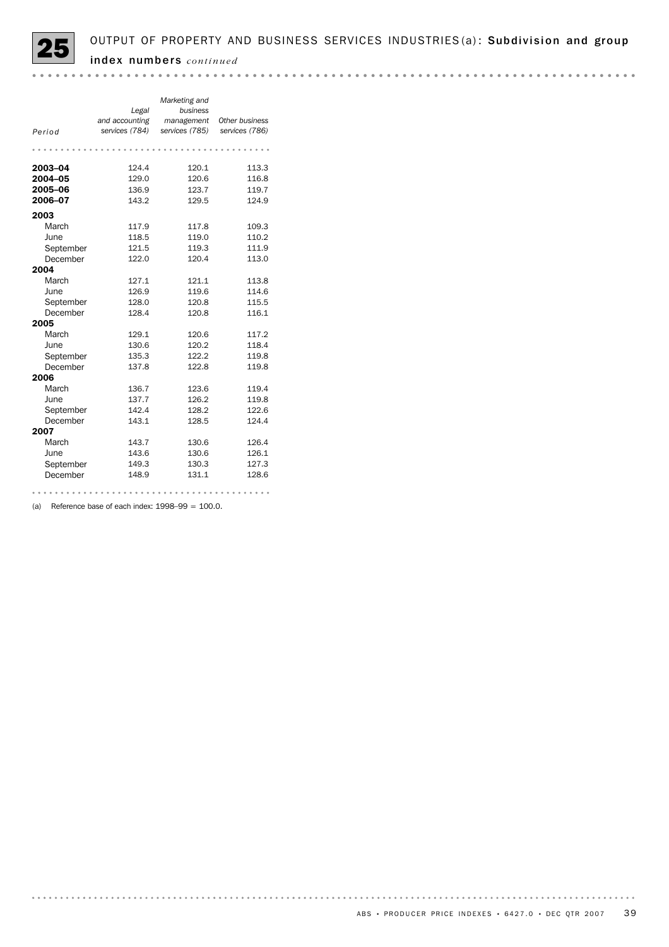

| Period<br>2003-04 | Legal<br>and accounting<br>services (784)<br>124.4 | Marketing and<br>business<br>management<br>services (785)<br>120.1 | Other business<br>services (786)<br>113.3 |
|-------------------|----------------------------------------------------|--------------------------------------------------------------------|-------------------------------------------|
| 2004-05           | 129.0                                              | 120.6                                                              | 116.8                                     |
| 2005-06           | 136.9                                              | 123.7                                                              | 119.7                                     |
| 2006-07           | 143.2                                              | 129.5                                                              | 124.9                                     |
| 2003              |                                                    |                                                                    |                                           |
| March             | 117.9                                              | 117.8                                                              | 109.3                                     |
| June              | 118.5                                              | 119.0                                                              | 110.2                                     |
| September         | 121.5                                              | 119.3                                                              | 111.9                                     |
| December          | 122.0                                              | 120.4                                                              | 113.0                                     |
| 2004              |                                                    |                                                                    |                                           |
| March             | 127.1                                              | 121.1                                                              | 113.8                                     |
| June              | 126.9                                              | 119.6                                                              | 114.6                                     |
| September         | 128.0                                              | 120.8                                                              | 115.5                                     |
| December          | 128.4                                              | 120.8                                                              | 116.1                                     |
| 2005              |                                                    |                                                                    |                                           |
| March             | 129.1                                              | 120.6                                                              | 117.2                                     |
| June              | 130.6                                              | 120.2                                                              | 118.4                                     |
| September         | 135.3                                              | 122.2                                                              | 119.8                                     |
| December          | 137.8                                              | 122.8                                                              | 119.8                                     |
| 2006              |                                                    |                                                                    |                                           |
| March             | 136.7                                              | 123.6                                                              | 119.4                                     |
| June              | 137.7                                              | 126.2                                                              | 119.8                                     |
| September         | 142.4                                              | 128.2                                                              | 122.6                                     |
| December          | 143.1                                              | 128.5                                                              | 124.4                                     |
| 2007              |                                                    |                                                                    |                                           |
| March             | 143.7                                              | 130.6                                                              | 126.4                                     |
| June              | 143.6                                              | 130.6                                                              | 126.1                                     |
| September         | 149.3                                              | 130.3                                                              | 127.3                                     |
| December          | 148.9                                              | 131.1                                                              | 128.6                                     |

(a) Reference base of each index:  $1998-99 = 100.0$ .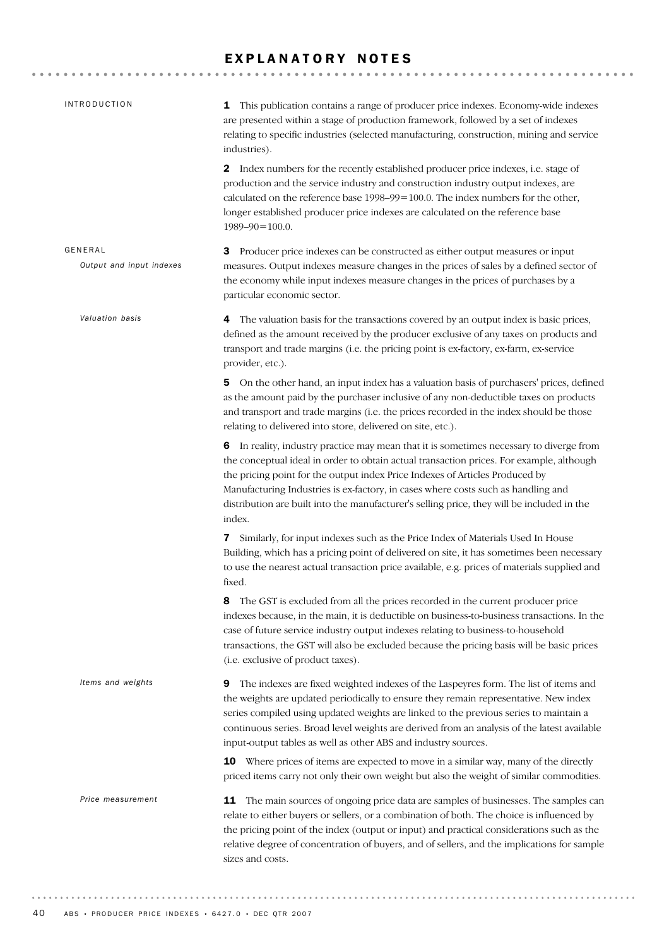## EXPLANATORY NOTES

| <b>INTRODUCTION</b>                 | 1 This publication contains a range of producer price indexes. Economy-wide indexes<br>are presented within a stage of production framework, followed by a set of indexes<br>relating to specific industries (selected manufacturing, construction, mining and service<br>industries).                                                                                                                                                                           |
|-------------------------------------|------------------------------------------------------------------------------------------------------------------------------------------------------------------------------------------------------------------------------------------------------------------------------------------------------------------------------------------------------------------------------------------------------------------------------------------------------------------|
|                                     | <b>2</b> Index numbers for the recently established producer price indexes, i.e. stage of<br>production and the service industry and construction industry output indexes, are<br>calculated on the reference base 1998-99=100.0. The index numbers for the other,<br>longer established producer price indexes are calculated on the reference base<br>$1989 - 90 = 100.0$ .                                                                                    |
| GENERAL<br>Output and input indexes | Producer price indexes can be constructed as either output measures or input<br>з<br>measures. Output indexes measure changes in the prices of sales by a defined sector of<br>the economy while input indexes measure changes in the prices of purchases by a<br>particular economic sector.                                                                                                                                                                    |
| Valuation basis                     | 4 The valuation basis for the transactions covered by an output index is basic prices,<br>defined as the amount received by the producer exclusive of any taxes on products and<br>transport and trade margins (i.e. the pricing point is ex-factory, ex-farm, ex-service<br>provider, etc.).                                                                                                                                                                    |
|                                     | 5 On the other hand, an input index has a valuation basis of purchasers' prices, defined<br>as the amount paid by the purchaser inclusive of any non-deductible taxes on products<br>and transport and trade margins (i.e. the prices recorded in the index should be those<br>relating to delivered into store, delivered on site, etc.).                                                                                                                       |
|                                     | 6 In reality, industry practice may mean that it is sometimes necessary to diverge from<br>the conceptual ideal in order to obtain actual transaction prices. For example, although<br>the pricing point for the output index Price Indexes of Articles Produced by<br>Manufacturing Industries is ex-factory, in cases where costs such as handling and<br>distribution are built into the manufacturer's selling price, they will be included in the<br>index. |
|                                     | Similarly, for input indexes such as the Price Index of Materials Used In House<br>7<br>Building, which has a pricing point of delivered on site, it has sometimes been necessary<br>to use the nearest actual transaction price available, e.g. prices of materials supplied and<br>fixed.                                                                                                                                                                      |
|                                     | The GST is excluded from all the prices recorded in the current producer price<br>8<br>indexes because, in the main, it is deductible on business-to-business transactions. In the<br>case of future service industry output indexes relating to business-to-household<br>transactions, the GST will also be excluded because the pricing basis will be basic prices<br>(i.e. exclusive of product taxes).                                                       |
| Items and weights                   | The indexes are fixed weighted indexes of the Laspeyres form. The list of items and<br>9<br>the weights are updated periodically to ensure they remain representative. New index<br>series compiled using updated weights are linked to the previous series to maintain a<br>continuous series. Broad level weights are derived from an analysis of the latest available<br>input-output tables as well as other ABS and industry sources.                       |
|                                     | <b>10</b> Where prices of items are expected to move in a similar way, many of the directly<br>priced items carry not only their own weight but also the weight of similar commodities.                                                                                                                                                                                                                                                                          |
| Price measurement                   | The main sources of ongoing price data are samples of businesses. The samples can<br>11<br>relate to either buyers or sellers, or a combination of both. The choice is influenced by<br>the pricing point of the index (output or input) and practical considerations such as the<br>relative degree of concentration of buyers, and of sellers, and the implications for sample<br>sizes and costs.                                                             |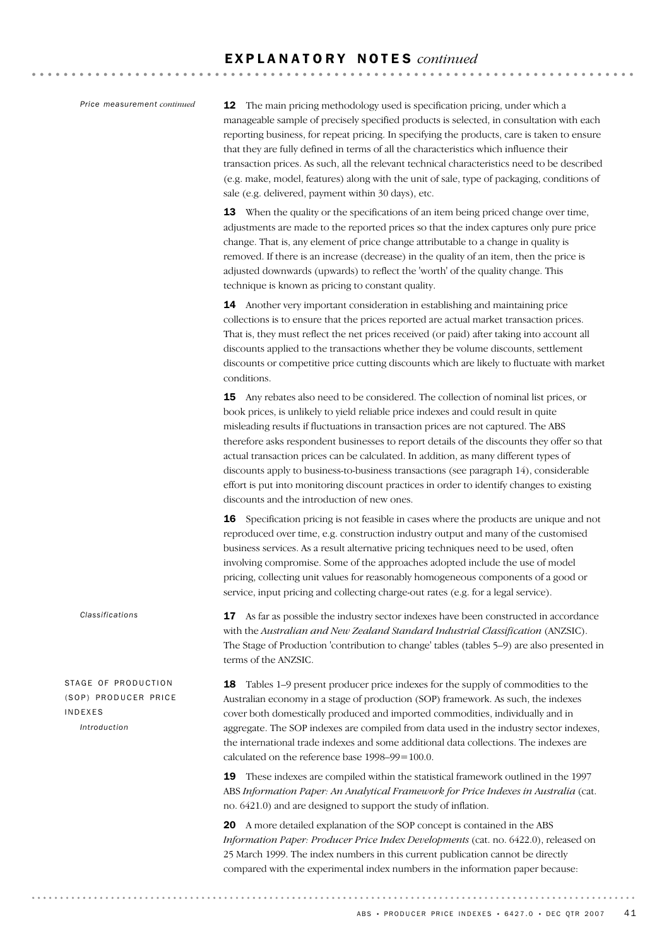#### *Price measurement continued*

12 The main pricing methodology used is specification pricing, under which a manageable sample of precisely specified products is selected, in consultation with each reporting business, for repeat pricing. In specifying the products, care is taken to ensure that they are fully defined in terms of all the characteristics which influence their transaction prices. As such, all the relevant technical characteristics need to be described (e.g. make, model, features) along with the unit of sale, type of packaging, conditions of sale (e.g. delivered, payment within 30 days), etc.

13 When the quality or the specifications of an item being priced change over time, adjustments are made to the reported prices so that the index captures only pure price change. That is, any element of price change attributable to a change in quality is removed. If there is an increase (decrease) in the quality of an item, then the price is adjusted downwards (upwards) to reflect the 'worth' of the quality change. This technique is known as pricing to constant quality.

14 Another very important consideration in establishing and maintaining price collections is to ensure that the prices reported are actual market transaction prices. That is, they must reflect the net prices received (or paid) after taking into account all discounts applied to the transactions whether they be volume discounts, settlement discounts or competitive price cutting discounts which are likely to fluctuate with market conditions.

15 Any rebates also need to be considered. The collection of nominal list prices, or book prices, is unlikely to yield reliable price indexes and could result in quite misleading results if fluctuations in transaction prices are not captured. The ABS therefore asks respondent businesses to report details of the discounts they offer so that actual transaction prices can be calculated. In addition, as many different types of discounts apply to business-to-business transactions (see paragraph 14), considerable effort is put into monitoring discount practices in order to identify changes to existing discounts and the introduction of new ones.

**16** Specification pricing is not feasible in cases where the products are unique and not reproduced over time, e.g. construction industry output and many of the customised business services. As a result alternative pricing techniques need to be used, often involving compromise. Some of the approaches adopted include the use of model pricing, collecting unit values for reasonably homogeneous components of a good or service, input pricing and collecting charge-out rates (e.g. for a legal service).

17 As far as possible the industry sector indexes have been constructed in accordance with the *Australian and New Zealand Standard Industrial Classification* (ANZSIC). The Stage of Production 'contribution to change' tables (tables 5–9) are also presented in terms of the ANZSIC.

18 Tables 1–9 present producer price indexes for the supply of commodities to the Australian economy in a stage of production (SOP) framework. As such, the indexes cover both domestically produced and imported commodities, individually and in aggregate. The SOP indexes are compiled from data used in the industry sector indexes, the international trade indexes and some additional data collections. The indexes are calculated on the reference base 1998–99=100.0.

19 These indexes are compiled within the statistical framework outlined in the 1997 ABS *Information Paper: An Analytical Framework for Price Indexes in Australia* (cat. no. 6421.0) and are designed to support the study of inflation.

20 A more detailed explanation of the SOP concept is contained in the ABS *Information Paper: Producer Price Index Developments* (cat. no. 6422.0), released on 25 March 1999. The index numbers in this current publication cannot be directly compared with the experimental index numbers in the information paper because:

#### *Classifications*

STAGE OF PRODUCTION (SOP) PRODUCER PRICE INDEXES *Introduction*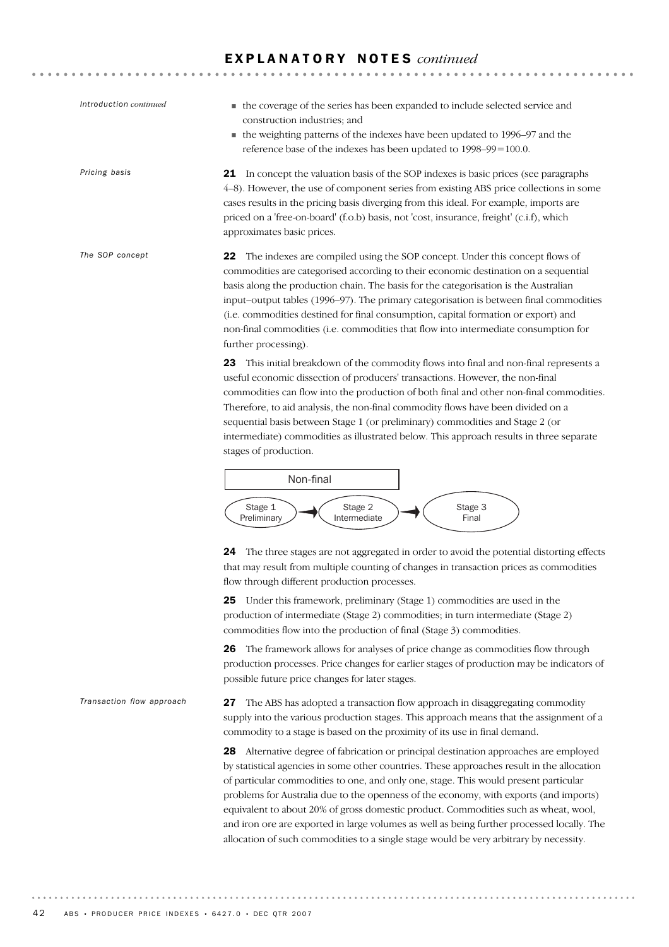. . . . . . . . . . . . . . . . . . . .

. . . . . . . . . . . . . . . . .

| Introduction continued    | • the coverage of the series has been expanded to include selected service and<br>construction industries; and<br>• the weighting patterns of the indexes have been updated to 1996–97 and the<br>reference base of the indexes has been updated to 1998–99=100.0.                                                                                                                                                                                                                                                                                              |
|---------------------------|-----------------------------------------------------------------------------------------------------------------------------------------------------------------------------------------------------------------------------------------------------------------------------------------------------------------------------------------------------------------------------------------------------------------------------------------------------------------------------------------------------------------------------------------------------------------|
| Pricing basis             | 21 In concept the valuation basis of the SOP indexes is basic prices (see paragraphs<br>4–8). However, the use of component series from existing ABS price collections in some<br>cases results in the pricing basis diverging from this ideal. For example, imports are<br>priced on a 'free-on-board' (f.o.b) basis, not 'cost, insurance, freight' (c.i.f), which<br>approximates basic prices.                                                                                                                                                              |
| The SOP concept           | The indexes are compiled using the SOP concept. Under this concept flows of<br>22<br>commodities are categorised according to their economic destination on a sequential<br>basis along the production chain. The basis for the categorisation is the Australian<br>input-output tables (1996–97). The primary categorisation is between final commodities<br>(i.e. commodities destined for final consumption, capital formation or export) and<br>non-final commodities (i.e. commodities that flow into intermediate consumption for<br>further processing). |
|                           | This initial breakdown of the commodity flows into final and non-final represents a<br>23<br>useful economic dissection of producers' transactions. However, the non-final<br>commodities can flow into the production of both final and other non-final commodities.<br>Therefore, to aid analysis, the non-final commodity flows have been divided on a<br>sequential basis between Stage 1 (or preliminary) commodities and Stage 2 (or<br>intermediate) commodities as illustrated below. This approach results in three separate<br>stages of production.  |
|                           | Non-final                                                                                                                                                                                                                                                                                                                                                                                                                                                                                                                                                       |
|                           | Stage 1<br>Stage 2<br>Stage 3<br>Intermediate<br>Preliminary<br>Final                                                                                                                                                                                                                                                                                                                                                                                                                                                                                           |
|                           | 24<br>The three stages are not aggregated in order to avoid the potential distorting effects<br>that may result from multiple counting of changes in transaction prices as commodities<br>flow through different production processes.                                                                                                                                                                                                                                                                                                                          |
|                           | 25 Under this framework, preliminary (Stage 1) commodities are used in the<br>production of intermediate (Stage 2) commodities; in turn intermediate (Stage 2)<br>commodities flow into the production of final (Stage 3) commodities.                                                                                                                                                                                                                                                                                                                          |
|                           | The framework allows for analyses of price change as commodities flow through<br>26<br>production processes. Price changes for earlier stages of production may be indicators of<br>possible future price changes for later stages.                                                                                                                                                                                                                                                                                                                             |
| Transaction flow approach | The ABS has adopted a transaction flow approach in disaggregating commodity<br>27<br>supply into the various production stages. This approach means that the assignment of a<br>commodity to a stage is based on the proximity of its use in final demand.                                                                                                                                                                                                                                                                                                      |
|                           | 28 Alternative degree of fabrication or principal destination approaches are employed<br>by statistical agencies in some other countries. These approaches result in the allocation                                                                                                                                                                                                                                                                                                                                                                             |

by statistical agencies in some other countries. These approaches result in the allocation of particular commodities to one, and only one, stage. This would present particular problems for Australia due to the openness of the economy, with exports (and imports) equivalent to about 20% of gross domestic product. Commodities such as wheat, wool, and iron ore are exported in large volumes as well as being further processed locally. The allocation of such commodities to a single stage would be very arbitrary by necessity.

. . . . . . . .

. . . . . .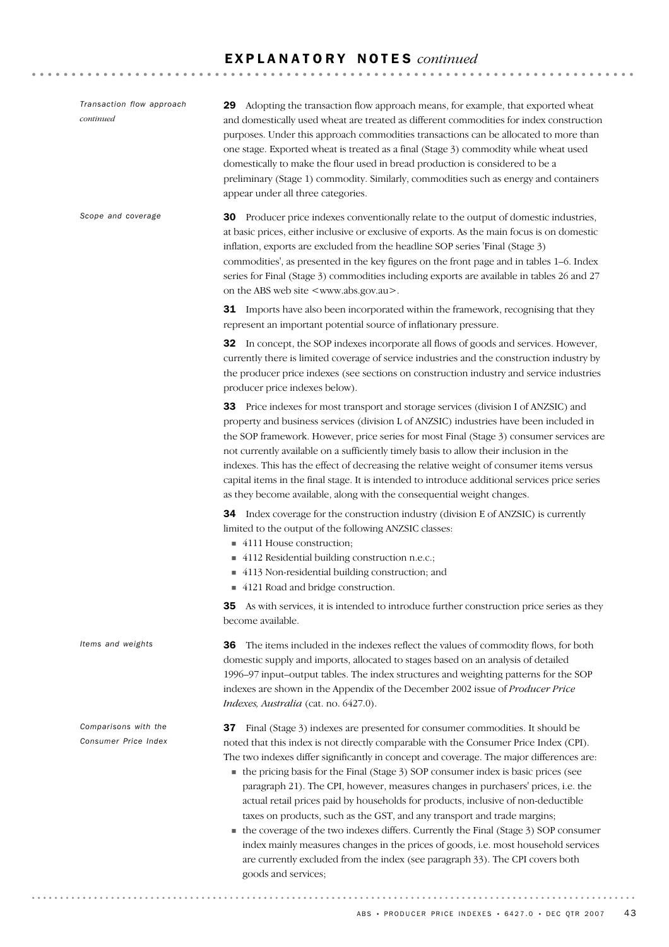| Transaction flow approach<br>continued       | Adopting the transaction flow approach means, for example, that exported wheat<br>29<br>and domestically used wheat are treated as different commodities for index construction<br>purposes. Under this approach commodities transactions can be allocated to more than<br>one stage. Exported wheat is treated as a final (Stage 3) commodity while wheat used<br>domestically to make the flour used in bread production is considered to be a<br>preliminary (Stage 1) commodity. Similarly, commodities such as energy and containers<br>appear under all three categories.                                                                                                                                                                                                                                                                                                                             |
|----------------------------------------------|-------------------------------------------------------------------------------------------------------------------------------------------------------------------------------------------------------------------------------------------------------------------------------------------------------------------------------------------------------------------------------------------------------------------------------------------------------------------------------------------------------------------------------------------------------------------------------------------------------------------------------------------------------------------------------------------------------------------------------------------------------------------------------------------------------------------------------------------------------------------------------------------------------------|
| Scope and coverage                           | Producer price indexes conventionally relate to the output of domestic industries,<br>30<br>at basic prices, either inclusive or exclusive of exports. As the main focus is on domestic<br>inflation, exports are excluded from the headline SOP series 'Final (Stage 3)<br>commodities', as presented in the key figures on the front page and in tables 1-6. Index<br>series for Final (Stage 3) commodities including exports are available in tables 26 and 27<br>on the ABS web site <www.abs.gov.au>.</www.abs.gov.au>                                                                                                                                                                                                                                                                                                                                                                                |
|                                              | <b>31</b> Imports have also been incorporated within the framework, recognising that they<br>represent an important potential source of inflationary pressure.                                                                                                                                                                                                                                                                                                                                                                                                                                                                                                                                                                                                                                                                                                                                              |
|                                              | <b>32</b> In concept, the SOP indexes incorporate all flows of goods and services. However,<br>currently there is limited coverage of service industries and the construction industry by<br>the producer price indexes (see sections on construction industry and service industries<br>producer price indexes below).                                                                                                                                                                                                                                                                                                                                                                                                                                                                                                                                                                                     |
|                                              | 33 Price indexes for most transport and storage services (division I of ANZSIC) and<br>property and business services (division L of ANZSIC) industries have been included in<br>the SOP framework. However, price series for most Final (Stage 3) consumer services are<br>not currently available on a sufficiently timely basis to allow their inclusion in the<br>indexes. This has the effect of decreasing the relative weight of consumer items versus<br>capital items in the final stage. It is intended to introduce additional services price series<br>as they become available, along with the consequential weight changes.                                                                                                                                                                                                                                                                   |
|                                              | <b>34</b> Index coverage for the construction industry (division E of ANZSIC) is currently<br>limited to the output of the following ANZSIC classes:<br>■ 4111 House construction;<br>4112 Residential building construction n.e.c.;<br>4113 Non-residential building construction; and<br>4121 Road and bridge construction.                                                                                                                                                                                                                                                                                                                                                                                                                                                                                                                                                                               |
|                                              | 35 As with services, it is intended to introduce further construction price series as they<br>become available.                                                                                                                                                                                                                                                                                                                                                                                                                                                                                                                                                                                                                                                                                                                                                                                             |
| Items and weights                            | The items included in the indexes reflect the values of commodity flows, for both<br>36<br>domestic supply and imports, allocated to stages based on an analysis of detailed<br>1996-97 input-output tables. The index structures and weighting patterns for the SOP<br>indexes are shown in the Appendix of the December 2002 issue of Producer Price<br>Indexes, Australia (cat. no. 6427.0).                                                                                                                                                                                                                                                                                                                                                                                                                                                                                                             |
| Comparisons with the<br>Consumer Price Index | Final (Stage 3) indexes are presented for consumer commodities. It should be<br>37<br>noted that this index is not directly comparable with the Consumer Price Index (CPI).<br>The two indexes differ significantly in concept and coverage. The major differences are:<br>• the pricing basis for the Final (Stage 3) SOP consumer index is basic prices (see<br>paragraph 21). The CPI, however, measures changes in purchasers' prices, i.e. the<br>actual retail prices paid by households for products, inclusive of non-deductible<br>taxes on products, such as the GST, and any transport and trade margins;<br>• the coverage of the two indexes differs. Currently the Final (Stage 3) SOP consumer<br>index mainly measures changes in the prices of goods, i.e. most household services<br>are currently excluded from the index (see paragraph 33). The CPI covers both<br>goods and services; |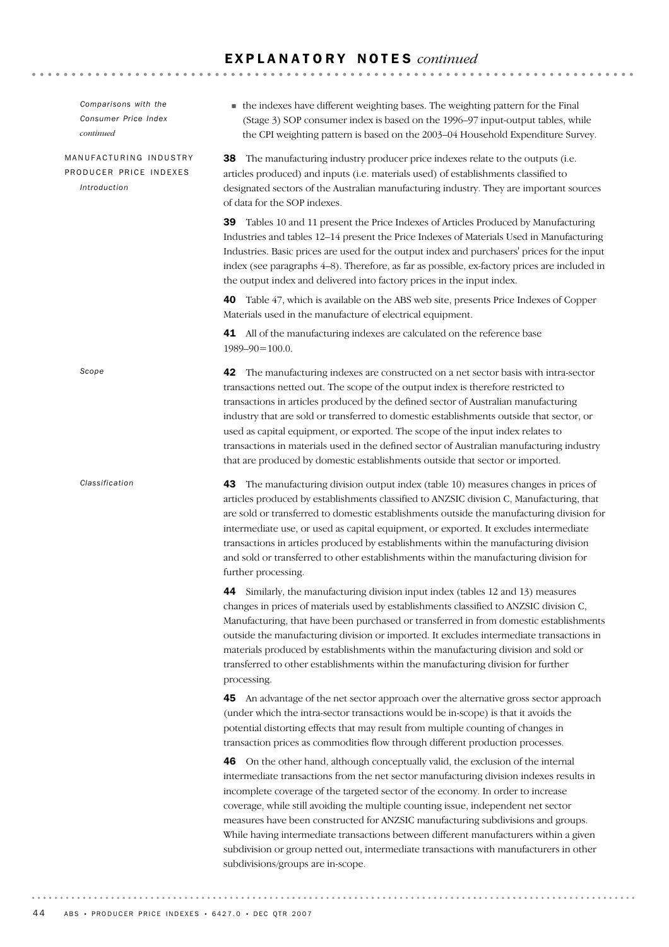| Comparisons with the<br>Consumer Price Index<br>continued        | • the indexes have different weighting bases. The weighting pattern for the Final<br>(Stage 3) SOP consumer index is based on the 1996-97 input-output tables, while<br>the CPI weighting pattern is based on the 2003-04 Household Expenditure Survey.                                                                                                                                                                                                                                                                                                                                                                        |
|------------------------------------------------------------------|--------------------------------------------------------------------------------------------------------------------------------------------------------------------------------------------------------------------------------------------------------------------------------------------------------------------------------------------------------------------------------------------------------------------------------------------------------------------------------------------------------------------------------------------------------------------------------------------------------------------------------|
| MANUFACTURING INDUSTRY<br>PRODUCER PRICE INDEXES<br>Introduction | The manufacturing industry producer price indexes relate to the outputs (i.e.<br>38<br>articles produced) and inputs (i.e. materials used) of establishments classified to<br>designated sectors of the Australian manufacturing industry. They are important sources<br>of data for the SOP indexes.                                                                                                                                                                                                                                                                                                                          |
|                                                                  | <b>39</b> Tables 10 and 11 present the Price Indexes of Articles Produced by Manufacturing<br>Industries and tables 12-14 present the Price Indexes of Materials Used in Manufacturing<br>Industries. Basic prices are used for the output index and purchasers' prices for the input<br>index (see paragraphs 4–8). Therefore, as far as possible, ex-factory prices are included in<br>the output index and delivered into factory prices in the input index.                                                                                                                                                                |
|                                                                  | Table 47, which is available on the ABS web site, presents Price Indexes of Copper<br>40<br>Materials used in the manufacture of electrical equipment.                                                                                                                                                                                                                                                                                                                                                                                                                                                                         |
|                                                                  | 41 All of the manufacturing indexes are calculated on the reference base<br>$1989 - 90 = 100.0$ .                                                                                                                                                                                                                                                                                                                                                                                                                                                                                                                              |
| Scope                                                            | 42 The manufacturing indexes are constructed on a net sector basis with intra-sector<br>transactions netted out. The scope of the output index is therefore restricted to<br>transactions in articles produced by the defined sector of Australian manufacturing<br>industry that are sold or transferred to domestic establishments outside that sector, or<br>used as capital equipment, or exported. The scope of the input index relates to<br>transactions in materials used in the defined sector of Australian manufacturing industry<br>that are produced by domestic establishments outside that sector or imported.  |
| Classification                                                   | 43 The manufacturing division output index (table 10) measures changes in prices of<br>articles produced by establishments classified to ANZSIC division C, Manufacturing, that<br>are sold or transferred to domestic establishments outside the manufacturing division for<br>intermediate use, or used as capital equipment, or exported. It excludes intermediate<br>transactions in articles produced by establishments within the manufacturing division<br>and sold or transferred to other establishments within the manufacturing division for<br>further processing.                                                 |
|                                                                  | Similarly, the manufacturing division input index (tables 12 and 13) measures<br>44<br>changes in prices of materials used by establishments classified to ANZSIC division C,<br>Manufacturing, that have been purchased or transferred in from domestic establishments<br>outside the manufacturing division or imported. It excludes intermediate transactions in<br>materials produced by establishments within the manufacturing division and sold or<br>transferred to other establishments within the manufacturing division for further<br>processing.                                                                  |
|                                                                  | An advantage of the net sector approach over the alternative gross sector approach<br>45<br>(under which the intra-sector transactions would be in-scope) is that it avoids the<br>potential distorting effects that may result from multiple counting of changes in<br>transaction prices as commodities flow through different production processes.                                                                                                                                                                                                                                                                         |
|                                                                  | On the other hand, although conceptually valid, the exclusion of the internal<br>46<br>intermediate transactions from the net sector manufacturing division indexes results in<br>incomplete coverage of the targeted sector of the economy. In order to increase<br>coverage, while still avoiding the multiple counting issue, independent net sector<br>measures have been constructed for ANZSIC manufacturing subdivisions and groups.<br>While having intermediate transactions between different manufacturers within a given<br>subdivision or group netted out, intermediate transactions with manufacturers in other |

subdivisions/groups are in-scope.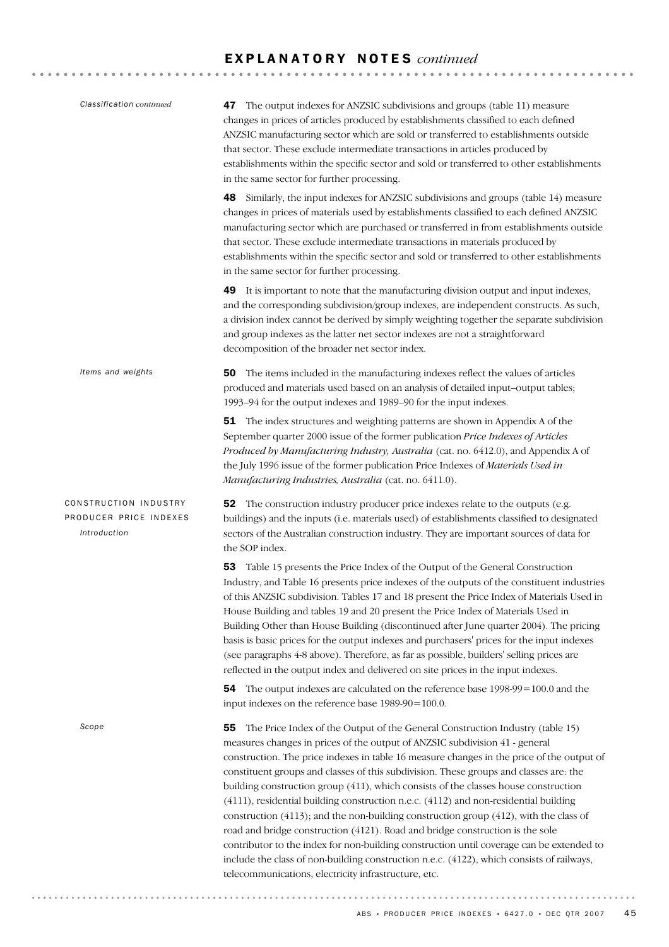| Classification continued                                        | 47 The output indexes for ANZSIC subdivisions and groups (table 11) measure<br>changes in prices of articles produced by establishments classified to each defined<br>ANZSIC manufacturing sector which are sold or transferred to establishments outside<br>that sector. These exclude intermediate transactions in articles produced by<br>establishments within the specific sector and sold or transferred to other establishments<br>in the same sector for further processing.                                                                                                                                                                                                                                                                                                                                                                                                                                                                               |
|-----------------------------------------------------------------|--------------------------------------------------------------------------------------------------------------------------------------------------------------------------------------------------------------------------------------------------------------------------------------------------------------------------------------------------------------------------------------------------------------------------------------------------------------------------------------------------------------------------------------------------------------------------------------------------------------------------------------------------------------------------------------------------------------------------------------------------------------------------------------------------------------------------------------------------------------------------------------------------------------------------------------------------------------------|
|                                                                 | 48 Similarly, the input indexes for ANZSIC subdivisions and groups (table 14) measure<br>changes in prices of materials used by establishments classified to each defined ANZSIC<br>manufacturing sector which are purchased or transferred in from establishments outside<br>that sector. These exclude intermediate transactions in materials produced by<br>establishments within the specific sector and sold or transferred to other establishments<br>in the same sector for further processing.                                                                                                                                                                                                                                                                                                                                                                                                                                                             |
|                                                                 | It is important to note that the manufacturing division output and input indexes,<br>49<br>and the corresponding subdivision/group indexes, are independent constructs. As such,<br>a division index cannot be derived by simply weighting together the separate subdivision<br>and group indexes as the latter net sector indexes are not a straightforward<br>decomposition of the broader net sector index.                                                                                                                                                                                                                                                                                                                                                                                                                                                                                                                                                     |
| Items and weights                                               | The items included in the manufacturing indexes reflect the values of articles<br>50<br>produced and materials used based on an analysis of detailed input-output tables;<br>1993-94 for the output indexes and 1989-90 for the input indexes.                                                                                                                                                                                                                                                                                                                                                                                                                                                                                                                                                                                                                                                                                                                     |
|                                                                 | 51 The index structures and weighting patterns are shown in Appendix A of the<br>September quarter 2000 issue of the former publication Price Indexes of Articles<br>Produced by Manufacturing Industry, Australia (cat. no. 6412.0), and Appendix A of<br>the July 1996 issue of the former publication Price Indexes of Materials Used in<br>Manufacturing Industries, Australia (cat. no. 6411.0).                                                                                                                                                                                                                                                                                                                                                                                                                                                                                                                                                              |
| CONSTRUCTION INDUSTRY<br>PRODUCER PRICE INDEXES<br>Introduction | 52 The construction industry producer price indexes relate to the outputs (e.g.<br>buildings) and the inputs (i.e. materials used) of establishments classified to designated<br>sectors of the Australian construction industry. They are important sources of data for<br>the SOP index.                                                                                                                                                                                                                                                                                                                                                                                                                                                                                                                                                                                                                                                                         |
|                                                                 | Table 15 presents the Price Index of the Output of the General Construction<br>53<br>Industry, and Table 16 presents price indexes of the outputs of the constituent industries<br>of this ANZSIC subdivision. Tables 17 and 18 present the Price Index of Materials Used in<br>House Building and tables 19 and 20 present the Price Index of Materials Used in<br>Building Other than House Building (discontinued after June quarter 2004). The pricing<br>basis is basic prices for the output indexes and purchasers' prices for the input indexes<br>(see paragraphs 4-8 above). Therefore, as far as possible, builders' selling prices are<br>reflected in the output index and delivered on site prices in the input indexes.                                                                                                                                                                                                                             |
|                                                                 | 54 The output indexes are calculated on the reference base 1998-99=100.0 and the<br>input indexes on the reference base 1989-90=100.0.                                                                                                                                                                                                                                                                                                                                                                                                                                                                                                                                                                                                                                                                                                                                                                                                                             |
| Scope                                                           | The Price Index of the Output of the General Construction Industry (table 15)<br>55<br>measures changes in prices of the output of ANZSIC subdivision 41 - general<br>construction. The price indexes in table 16 measure changes in the price of the output of<br>constituent groups and classes of this subdivision. These groups and classes are: the<br>building construction group (411), which consists of the classes house construction<br>(4111), residential building construction n.e.c. (4112) and non-residential building<br>construction (4113); and the non-building construction group (412), with the class of<br>road and bridge construction (4121). Road and bridge construction is the sole<br>contributor to the index for non-building construction until coverage can be extended to<br>include the class of non-building construction n.e.c. (4122), which consists of railways,<br>telecommunications, electricity infrastructure, etc. |

ABS • PRODUCER PRICE INDEXES • 6427.0 • DEC QTR 2007  $45$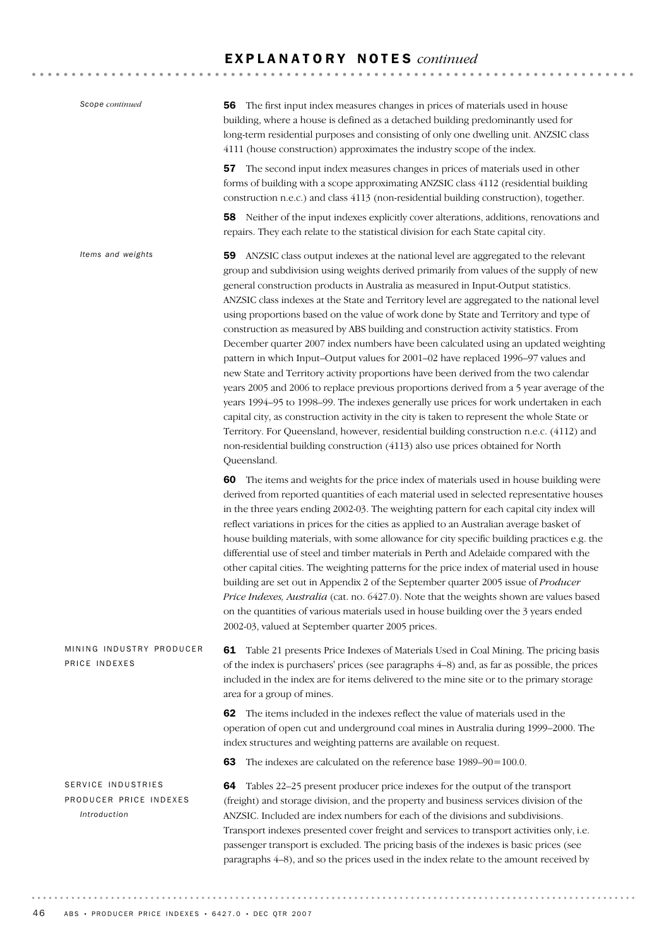| Scope continued                                              | The first input index measures changes in prices of materials used in house<br>56.<br>building, where a house is defined as a detached building predominantly used for<br>long-term residential purposes and consisting of only one dwelling unit. ANZSIC class<br>4111 (house construction) approximates the industry scope of the index.                                                                                                                                                                                                                                                                                                                                                                                                                                                                                                                                                                                                                                                                                                                                                                                                                                                                                                                                                                |
|--------------------------------------------------------------|-----------------------------------------------------------------------------------------------------------------------------------------------------------------------------------------------------------------------------------------------------------------------------------------------------------------------------------------------------------------------------------------------------------------------------------------------------------------------------------------------------------------------------------------------------------------------------------------------------------------------------------------------------------------------------------------------------------------------------------------------------------------------------------------------------------------------------------------------------------------------------------------------------------------------------------------------------------------------------------------------------------------------------------------------------------------------------------------------------------------------------------------------------------------------------------------------------------------------------------------------------------------------------------------------------------|
|                                                              | The second input index measures changes in prices of materials used in other<br>57<br>forms of building with a scope approximating ANZSIC class 4112 (residential building<br>construction n.e.c.) and class 4113 (non-residential building construction), together.                                                                                                                                                                                                                                                                                                                                                                                                                                                                                                                                                                                                                                                                                                                                                                                                                                                                                                                                                                                                                                      |
|                                                              | 58 Neither of the input indexes explicitly cover alterations, additions, renovations and<br>repairs. They each relate to the statistical division for each State capital city.                                                                                                                                                                                                                                                                                                                                                                                                                                                                                                                                                                                                                                                                                                                                                                                                                                                                                                                                                                                                                                                                                                                            |
| Items and weights                                            | ANZSIC class output indexes at the national level are aggregated to the relevant<br>59<br>group and subdivision using weights derived primarily from values of the supply of new<br>general construction products in Australia as measured in Input-Output statistics.<br>ANZSIC class indexes at the State and Territory level are aggregated to the national level<br>using proportions based on the value of work done by State and Territory and type of<br>construction as measured by ABS building and construction activity statistics. From<br>December quarter 2007 index numbers have been calculated using an updated weighting<br>pattern in which Input-Output values for 2001-02 have replaced 1996-97 values and<br>new State and Territory activity proportions have been derived from the two calendar<br>years 2005 and 2006 to replace previous proportions derived from a 5 year average of the<br>years 1994–95 to 1998–99. The indexes generally use prices for work undertaken in each<br>capital city, as construction activity in the city is taken to represent the whole State or<br>Territory. For Queensland, however, residential building construction n.e.c. (4112) and<br>non-residential building construction (4113) also use prices obtained for North<br>Queensland. |
|                                                              | The items and weights for the price index of materials used in house building were<br>60<br>derived from reported quantities of each material used in selected representative houses<br>in the three years ending 2002-03. The weighting pattern for each capital city index will<br>reflect variations in prices for the cities as applied to an Australian average basket of<br>house building materials, with some allowance for city specific building practices e.g. the<br>differential use of steel and timber materials in Perth and Adelaide compared with the<br>other capital cities. The weighting patterns for the price index of material used in house<br>building are set out in Appendix 2 of the September quarter 2005 issue of Producer<br>Price Indexes, Australia (cat. no. 6427.0). Note that the weights shown are values based<br>on the quantities of various materials used in house building over the 3 years ended<br>2002-03, valued at September quarter 2005 prices.                                                                                                                                                                                                                                                                                                      |
| MINING INDUSTRY PRODUCER<br>PRICE INDEXES                    | 61 Table 21 presents Price Indexes of Materials Used in Coal Mining. The pricing basis<br>of the index is purchasers' prices (see paragraphs 4–8) and, as far as possible, the prices<br>included in the index are for items delivered to the mine site or to the primary storage<br>area for a group of mines.                                                                                                                                                                                                                                                                                                                                                                                                                                                                                                                                                                                                                                                                                                                                                                                                                                                                                                                                                                                           |
|                                                              | The items included in the indexes reflect the value of materials used in the<br>62<br>operation of open cut and underground coal mines in Australia during 1999-2000. The<br>index structures and weighting patterns are available on request.                                                                                                                                                                                                                                                                                                                                                                                                                                                                                                                                                                                                                                                                                                                                                                                                                                                                                                                                                                                                                                                            |
|                                                              | The indexes are calculated on the reference base 1989–90=100.0.<br>63                                                                                                                                                                                                                                                                                                                                                                                                                                                                                                                                                                                                                                                                                                                                                                                                                                                                                                                                                                                                                                                                                                                                                                                                                                     |
| SERVICE INDUSTRIES<br>PRODUCER PRICE INDEXES<br>Introduction | Tables 22-25 present producer price indexes for the output of the transport<br>64<br>(freight) and storage division, and the property and business services division of the<br>ANZSIC. Included are index numbers for each of the divisions and subdivisions.<br>Transport indexes presented cover freight and services to transport activities only, i.e.<br>passenger transport is excluded. The pricing basis of the indexes is basic prices (see<br>paragraphs 4-8), and so the prices used in the index relate to the amount received by                                                                                                                                                                                                                                                                                                                                                                                                                                                                                                                                                                                                                                                                                                                                                             |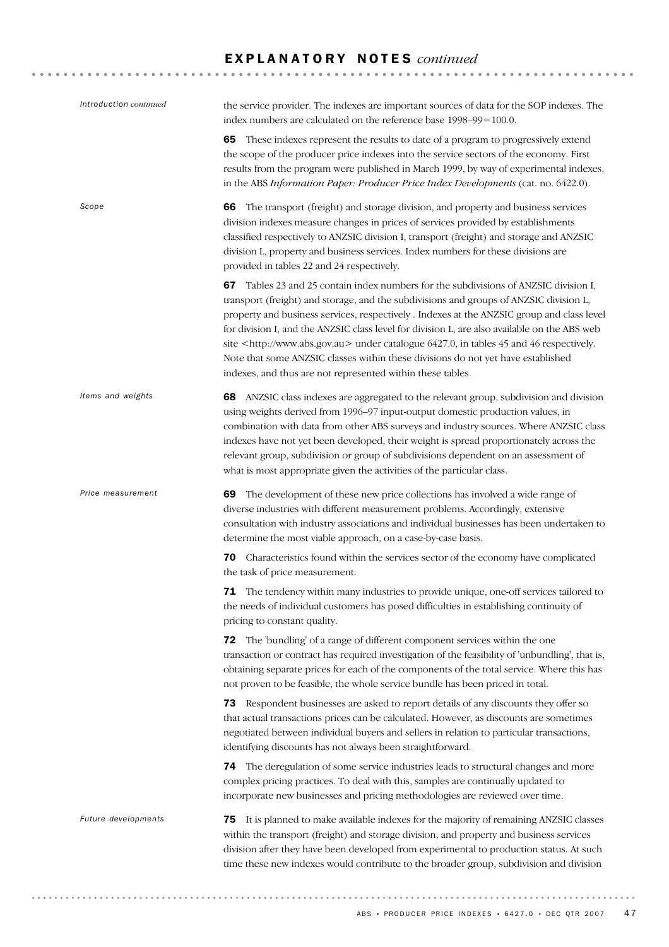| Introduction continued | the service provider. The indexes are important sources of data for the SOP indexes. The<br>index numbers are calculated on the reference base 1998-99=100.0.                                                                                                                                                                                                                                                                                                                                                                                                                                                                           |
|------------------------|-----------------------------------------------------------------------------------------------------------------------------------------------------------------------------------------------------------------------------------------------------------------------------------------------------------------------------------------------------------------------------------------------------------------------------------------------------------------------------------------------------------------------------------------------------------------------------------------------------------------------------------------|
|                        | 65 These indexes represent the results to date of a program to progressively extend<br>the scope of the producer price indexes into the service sectors of the economy. First<br>results from the program were published in March 1999, by way of experimental indexes,<br>in the ABS Information Paper: Producer Price Index Developments (cat. no. 6422.0).                                                                                                                                                                                                                                                                           |
| Scope                  | The transport (freight) and storage division, and property and business services<br>66<br>division indexes measure changes in prices of services provided by establishments<br>classified respectively to ANZSIC division I, transport (freight) and storage and ANZSIC<br>division L, property and business services. Index numbers for these divisions are<br>provided in tables 22 and 24 respectively.                                                                                                                                                                                                                              |
|                        | Tables 23 and 25 contain index numbers for the subdivisions of ANZSIC division I,<br>67<br>transport (freight) and storage, and the subdivisions and groups of ANZSIC division L,<br>property and business services, respectively . Indexes at the ANZSIC group and class level<br>for division I, and the ANZSIC class level for division L, are also available on the ABS web<br>site <http: www.abs.gov.au=""> under catalogue 6427.0, in tables 45 and 46 respectively.<br/>Note that some ANZSIC classes within these divisions do not yet have established<br/>indexes, and thus are not represented within these tables.</http:> |
| Items and weights      | 68 ANZSIC class indexes are aggregated to the relevant group, subdivision and division<br>using weights derived from 1996-97 input-output domestic production values, in<br>combination with data from other ABS surveys and industry sources. Where ANZSIC class<br>indexes have not yet been developed, their weight is spread proportionately across the<br>relevant group, subdivision or group of subdivisions dependent on an assessment of<br>what is most appropriate given the activities of the particular class.                                                                                                             |
| Price measurement      | The development of these new price collections has involved a wide range of<br>69<br>diverse industries with different measurement problems. Accordingly, extensive<br>consultation with industry associations and individual businesses has been undertaken to<br>determine the most viable approach, on a case-by-case basis.                                                                                                                                                                                                                                                                                                         |
|                        | Characteristics found within the services sector of the economy have complicated<br>70<br>the task of price measurement.                                                                                                                                                                                                                                                                                                                                                                                                                                                                                                                |
|                        | <b>71</b> The tendency within many industries to provide unique, one-off services tailored to<br>the needs of individual customers has posed difficulties in establishing continuity of<br>pricing to constant quality.                                                                                                                                                                                                                                                                                                                                                                                                                 |
|                        | 72 The 'bundling' of a range of different component services within the one<br>transaction or contract has required investigation of the feasibility of 'unbundling', that is,<br>obtaining separate prices for each of the components of the total service. Where this has<br>not proven to be feasible, the whole service bundle has been priced in total.                                                                                                                                                                                                                                                                            |
|                        | 73 Respondent businesses are asked to report details of any discounts they offer so<br>that actual transactions prices can be calculated. However, as discounts are sometimes<br>negotiated between individual buyers and sellers in relation to particular transactions,<br>identifying discounts has not always been straightforward.                                                                                                                                                                                                                                                                                                 |
|                        | 74 The deregulation of some service industries leads to structural changes and more<br>complex pricing practices. To deal with this, samples are continually updated to<br>incorporate new businesses and pricing methodologies are reviewed over time.                                                                                                                                                                                                                                                                                                                                                                                 |
| Future developments    | It is planned to make available indexes for the majority of remaining ANZSIC classes<br>75<br>within the transport (freight) and storage division, and property and business services<br>division after they have been developed from experimental to production status. At such<br>time these new indexes would contribute to the broader group, subdivision and division                                                                                                                                                                                                                                                              |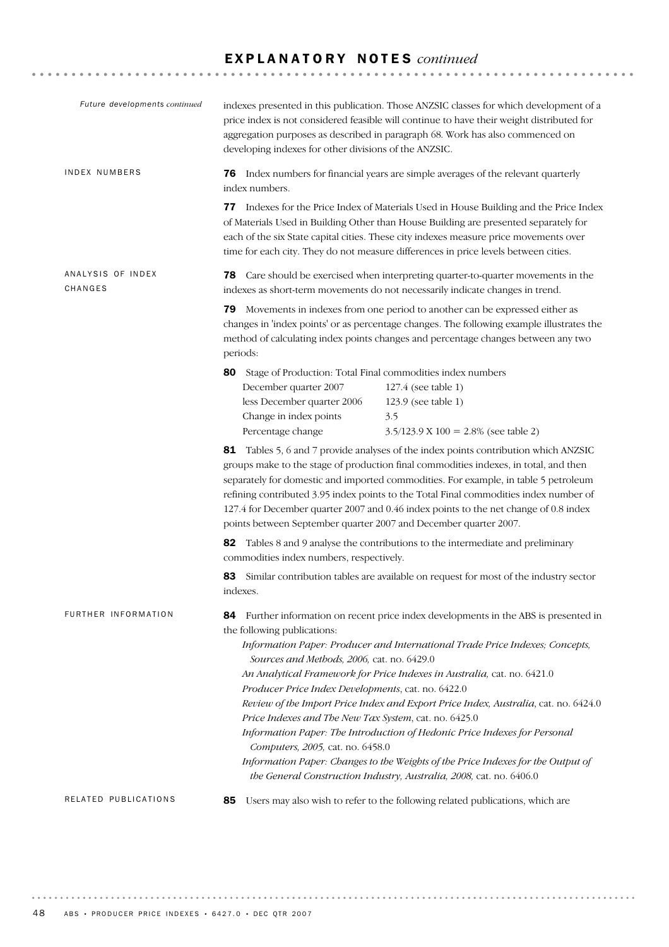| Future developments continued | indexes presented in this publication. Those ANZSIC classes for which development of a<br>price index is not considered feasible will continue to have their weight distributed for<br>aggregation purposes as described in paragraph 68. Work has also commenced on<br>developing indexes for other divisions of the ANZSIC.                                                                                                                                                                                                                                                                                                                                                                                                                                                                                     |  |  |
|-------------------------------|-------------------------------------------------------------------------------------------------------------------------------------------------------------------------------------------------------------------------------------------------------------------------------------------------------------------------------------------------------------------------------------------------------------------------------------------------------------------------------------------------------------------------------------------------------------------------------------------------------------------------------------------------------------------------------------------------------------------------------------------------------------------------------------------------------------------|--|--|
| <b>INDEX NUMBERS</b>          | 76 Index numbers for financial years are simple averages of the relevant quarterly<br>index numbers.                                                                                                                                                                                                                                                                                                                                                                                                                                                                                                                                                                                                                                                                                                              |  |  |
|                               | <b>77</b> Indexes for the Price Index of Materials Used in House Building and the Price Index<br>of Materials Used in Building Other than House Building are presented separately for<br>each of the six State capital cities. These city indexes measure price movements over<br>time for each city. They do not measure differences in price levels between cities.                                                                                                                                                                                                                                                                                                                                                                                                                                             |  |  |
| ANALYSIS OF INDEX<br>CHANGES  | <b>78</b> Care should be exercised when interpreting quarter-to-quarter movements in the<br>indexes as short-term movements do not necessarily indicate changes in trend.                                                                                                                                                                                                                                                                                                                                                                                                                                                                                                                                                                                                                                         |  |  |
|                               | 79 Movements in indexes from one period to another can be expressed either as<br>changes in 'index points' or as percentage changes. The following example illustrates the<br>method of calculating index points changes and percentage changes between any two<br>periods:                                                                                                                                                                                                                                                                                                                                                                                                                                                                                                                                       |  |  |
|                               | 80<br>Stage of Production: Total Final commodities index numbers<br>December quarter 2007<br>127.4 (see table 1)<br>less December quarter 2006<br>123.9 (see table 1)<br>Change in index points<br>3.5<br>Percentage change<br>$3.5/123.9 \text{ X } 100 = 2.8\%$ (see table 2)                                                                                                                                                                                                                                                                                                                                                                                                                                                                                                                                   |  |  |
|                               | 81 Tables 5, 6 and 7 provide analyses of the index points contribution which ANZSIC<br>groups make to the stage of production final commodities indexes, in total, and then<br>separately for domestic and imported commodities. For example, in table 5 petroleum<br>refining contributed 3.95 index points to the Total Final commodities index number of<br>127.4 for December quarter 2007 and 0.46 index points to the net change of 0.8 index<br>points between September quarter 2007 and December quarter 2007.                                                                                                                                                                                                                                                                                           |  |  |
|                               | 82 Tables 8 and 9 analyse the contributions to the intermediate and preliminary<br>commodities index numbers, respectively.                                                                                                                                                                                                                                                                                                                                                                                                                                                                                                                                                                                                                                                                                       |  |  |
|                               | Similar contribution tables are available on request for most of the industry sector<br>83<br>indexes.                                                                                                                                                                                                                                                                                                                                                                                                                                                                                                                                                                                                                                                                                                            |  |  |
| FURTHER INFORMATION           | Further information on recent price index developments in the ABS is presented in<br>84<br>the following publications:<br>Information Paper: Producer and International Trade Price Indexes; Concepts,<br>Sources and Methods, 2006, cat. no. 6429.0<br>An Analytical Framework for Price Indexes in Australia, cat. no. 6421.0<br>Producer Price Index Developments, cat. no. 6422.0<br>Review of the Import Price Index and Export Price Index, Australia, cat. no. 6424.0<br>Price Indexes and The New Tax System, cat. no. 6425.0<br>Information Paper: The Introduction of Hedonic Price Indexes for Personal<br>Computers, 2005, cat. no. 6458.0<br>Information Paper: Changes to the Weights of the Price Indexes for the Output of<br>the General Construction Industry, Australia, 2008, cat. no. 6406.0 |  |  |
| RELATED PUBLICATIONS          | Users may also wish to refer to the following related publications, which are<br>85                                                                                                                                                                                                                                                                                                                                                                                                                                                                                                                                                                                                                                                                                                                               |  |  |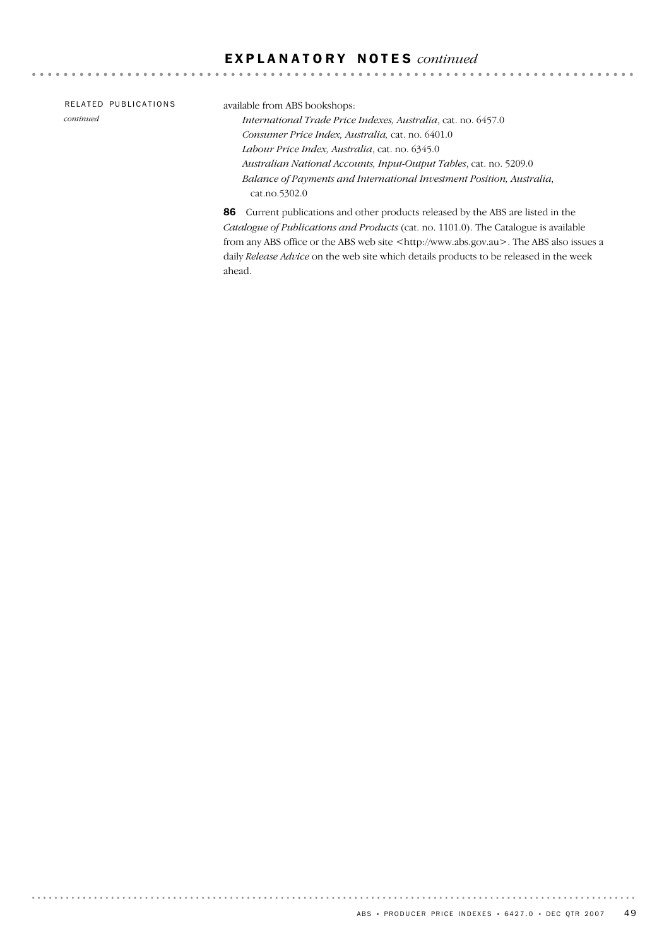| RELATED PUBLICATIONS | available from ABS bookshops:                                                           |
|----------------------|-----------------------------------------------------------------------------------------|
| continued            | International Trade Price Indexes, Australia, cat. no. 6457.0                           |
|                      | Consumer Price Index, Australia, cat. no. 6401.0                                        |
|                      | Labour Price Index, Australia, cat. no. 6345.0                                          |
|                      | Australian National Accounts, Input-Output Tables, cat. no. 5209.0                      |
|                      | Balance of Payments and International Investment Position, Australia,                   |
|                      | cat.no.5302.0                                                                           |
|                      | <b>86</b> Current publications and other products released by the ABS are listed in the |

 $- - - - - -$ 

. . . . . . . . . . . . . . . . . . .

Current publications and other products released by the ABS are listed *Catalogue of Publications and Products* (cat. no. 1101.0). The Catalogue is available from any ABS office or the ABS web site <http://www.abs.gov.au>. The ABS also issues a daily *Release Advice* on the web site which details products to be released in the week ahead.